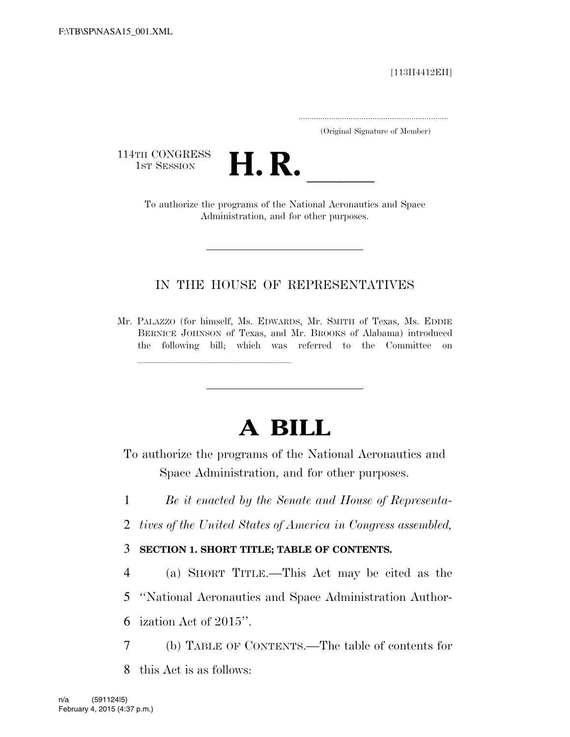[113H4412EH]

.....................................................................

(Original Signature of Member)

114TH CONGRESS<br>1st Session



1ST SESSION **H. R.** ll To authorize the programs of the National Aeronautics and Space Administration, and for other purposes.

## IN THE HOUSE OF REPRESENTATIVES

Mr. PALAZZO (for himself, Ms. EDWARDS, Mr. SMITH of Texas, Ms. EDDIE BERNICE JOHNSON of Texas, and Mr. BROOKS of Alabama) introduced the following bill; which was referred to the Committee on

llland and a state of the state of the state of the state of the state of the state of the state of the state o<br>The state of the state of the state of the state of the state of the state of the state of the state of the st

# **A BILL**

To authorize the programs of the National Aeronautics and Space Administration, and for other purposes.

- 1 *Be it enacted by the Senate and House of Representa-*
- 2 *tives of the United States of America in Congress assembled,*

3 **SECTION 1. SHORT TITLE; TABLE OF CONTENTS.** 

4 (a) SHORT TITLE.—This Act may be cited as the

5 ''National Aeronautics and Space Administration Author-

6 ization Act of 2015''.

- 7 (b) TABLE OF CONTENTS.—The table of contents for
- 8 this Act is as follows: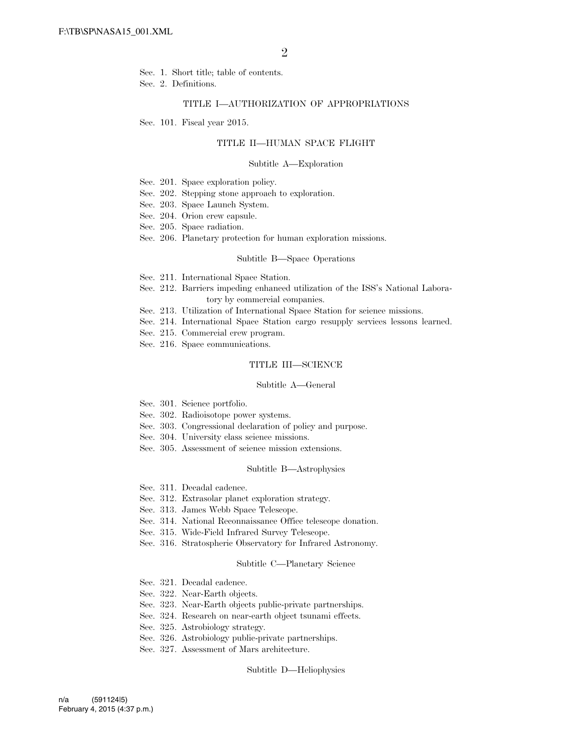- Sec. 1. Short title; table of contents.
- Sec. 2. Definitions.

### TITLE I—AUTHORIZATION OF APPROPRIATIONS

Sec. 101. Fiscal year 2015.

### TITLE II—HUMAN SPACE FLIGHT

#### Subtitle A—Exploration

- Sec. 201. Space exploration policy.
- Sec. 202. Stepping stone approach to exploration.
- Sec. 203. Space Launch System.
- Sec. 204. Orion crew capsule.
- Sec. 205. Space radiation.
- Sec. 206. Planetary protection for human exploration missions.

#### Subtitle B—Space Operations

- Sec. 211. International Space Station.
- Sec. 212. Barriers impeding enhanced utilization of the ISS's National Laboratory by commercial companies.
- Sec. 213. Utilization of International Space Station for science missions.
- Sec. 214. International Space Station cargo resupply services lessons learned.
- Sec. 215. Commercial crew program.
- Sec. 216. Space communications.

### TITLE III—SCIENCE

#### Subtitle A—General

- Sec. 301. Science portfolio.
- Sec. 302. Radioisotope power systems.
- Sec. 303. Congressional declaration of policy and purpose.
- Sec. 304. University class science missions.
- Sec. 305. Assessment of science mission extensions.

#### Subtitle B—Astrophysics

- Sec. 311. Decadal cadence.
- Sec. 312. Extrasolar planet exploration strategy.
- Sec. 313. James Webb Space Telescope.
- Sec. 314. National Reconnaissance Office telescope donation.
- Sec. 315. Wide-Field Infrared Survey Telescope.
- Sec. 316. Stratospheric Observatory for Infrared Astronomy.

#### Subtitle C—Planetary Science

- Sec. 321. Decadal cadence.
- Sec. 322. Near-Earth objects.
- Sec. 323. Near-Earth objects public-private partnerships.
- Sec. 324. Research on near-earth object tsunami effects.
- Sec. 325. Astrobiology strategy.
- Sec. 326. Astrobiology public-private partnerships.
- Sec. 327. Assessment of Mars architecture.

#### Subtitle D—Heliophysics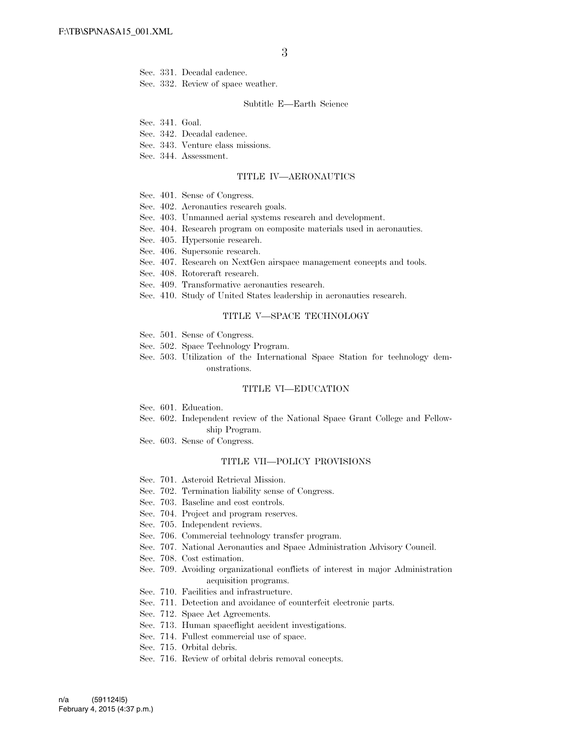- Sec. 331. Decadal cadence.
- Sec. 332. Review of space weather.

#### Subtitle E—Earth Science

- Sec. 341. Goal.
- Sec. 342. Decadal cadence.
- Sec. 343. Venture class missions.
- Sec. 344. Assessment.

#### TITLE IV—AERONAUTICS

- Sec. 401. Sense of Congress.
- Sec. 402. Aeronautics research goals.
- Sec. 403. Unmanned aerial systems research and development.
- Sec. 404. Research program on composite materials used in aeronautics.
- Sec. 405. Hypersonic research.
- Sec. 406. Supersonic research.
- Sec. 407. Research on NextGen airspace management concepts and tools.
- Sec. 408. Rotorcraft research.
- Sec. 409. Transformative aeronautics research.
- Sec. 410. Study of United States leadership in aeronautics research.

### TITLE V—SPACE TECHNOLOGY

- Sec. 501. Sense of Congress.
- Sec. 502. Space Technology Program.
- Sec. 503. Utilization of the International Space Station for technology demonstrations.

### TITLE VI—EDUCATION

- Sec. 601. Education.
- Sec. 602. Independent review of the National Space Grant College and Fellowship Program.
- Sec. 603. Sense of Congress.

### TITLE VII—POLICY PROVISIONS

- Sec. 701. Asteroid Retrieval Mission.
- Sec. 702. Termination liability sense of Congress.
- Sec. 703. Baseline and cost controls.
- Sec. 704. Project and program reserves.
- Sec. 705. Independent reviews.
- Sec. 706. Commercial technology transfer program.
- Sec. 707. National Aeronautics and Space Administration Advisory Council.
- Sec. 708. Cost estimation.
- Sec. 709. Avoiding organizational conflicts of interest in major Administration acquisition programs.
- Sec. 710. Facilities and infrastructure.
- Sec. 711. Detection and avoidance of counterfeit electronic parts.
- Sec. 712. Space Act Agreements.
- Sec. 713. Human spaceflight accident investigations.
- Sec. 714. Fullest commercial use of space.
- Sec. 715. Orbital debris.
- Sec. 716. Review of orbital debris removal concepts.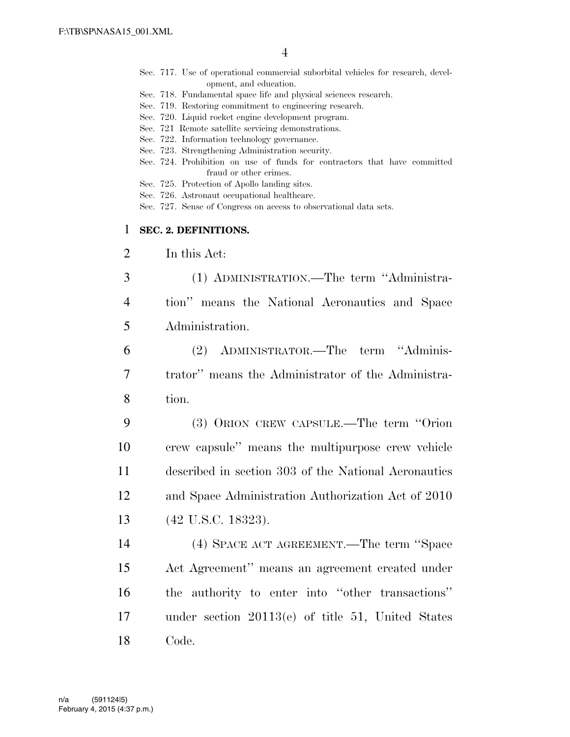- Sec. 717. Use of operational commercial suborbital vehicles for research, development, and education.
- Sec. 718. Fundamental space life and physical sciences research.
- Sec. 719. Restoring commitment to engineering research.
- Sec. 720. Liquid rocket engine development program.
- Sec. 721 Remote satellite servicing demonstrations.
- Sec. 722. Information technology governance.
- Sec. 723. Strengthening Administration security.
- Sec. 724. Prohibition on use of funds for contractors that have committed fraud or other crimes.
- Sec. 725. Protection of Apollo landing sites.
- Sec. 726. Astronaut occupational healthcare.
- Sec. 727. Sense of Congress on access to observational data sets.

## 1 **SEC. 2. DEFINITIONS.**

- 2 In this Act:
- 3 (1) ADMINISTRATION.—The term ''Administra-4 tion'' means the National Aeronautics and Space 5 Administration.
- 6 (2) ADMINISTRATOR.—The term ''Adminis-7 trator'' means the Administrator of the Administra-8 tion.
- 9 (3) ORION CREW CAPSULE.—The term ''Orion 10 crew capsule'' means the multipurpose crew vehicle 11 described in section 303 of the National Aeronautics 12 and Space Administration Authorization Act of 2010 13 (42 U.S.C. 18323).
- 14 (4) SPACE ACT AGREEMENT.—The term ''Space 15 Act Agreement'' means an agreement created under 16 the authority to enter into ''other transactions'' 17 under section 20113(e) of title 51, United States 18 Code.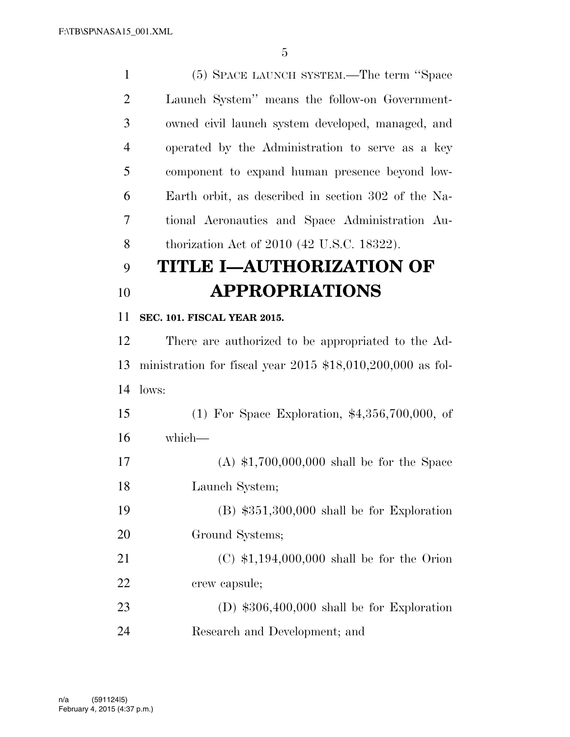(5) SPACE LAUNCH SYSTEM.—The term ''Space Launch System'' means the follow-on Government- owned civil launch system developed, managed, and operated by the Administration to serve as a key component to expand human presence beyond low- Earth orbit, as described in section 302 of the Na- tional Aeronautics and Space Administration Au-thorization Act of 2010 (42 U.S.C. 18322).

## **TITLE I—AUTHORIZATION OF APPROPRIATIONS**

## **SEC. 101. FISCAL YEAR 2015.**

 There are authorized to be appropriated to the Ad- ministration for fiscal year 2015 \$18,010,200,000 as fol-lows:

 (1) For Space Exploration, \$4,356,700,000, of which—

 (A) \$1,700,000,000 shall be for the Space Launch System; (B) \$351,300,000 shall be for Exploration Ground Systems; (C) \$1,194,000,000 shall be for the Orion crew capsule; (D) \$306,400,000 shall be for Exploration

Research and Development; and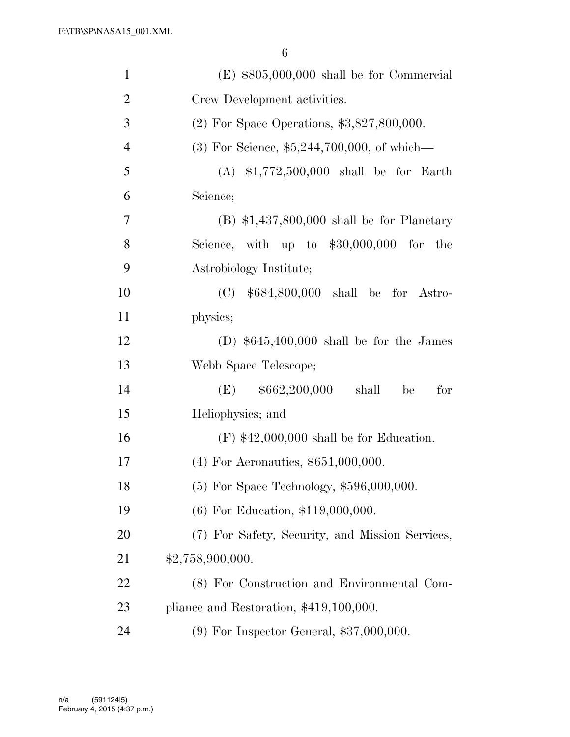| $\mathbf{1}$   | $(E)$ \$805,000,000 shall be for Commercial     |
|----------------|-------------------------------------------------|
| $\overline{2}$ | Crew Development activities.                    |
| 3              | $(2)$ For Space Operations, \$3,827,800,000.    |
| $\overline{4}$ | $(3)$ For Science, \$5,244,700,000, of which—   |
| 5              | $(A)$ \$1,772,500,000 shall be for Earth        |
| 6              | Science;                                        |
| 7              | $(B)$ \$1,437,800,000 shall be for Planetary    |
| 8              | Science, with up to $$30,000,000$ for the       |
| 9              | Astrobiology Institute;                         |
| 10             | (C) $$684,800,000$ shall be for Astro-          |
| 11             | physics;                                        |
| 12             | (D) $$645,400,000$ shall be for the James       |
| 13             | Webb Space Telescope;                           |
| 14             | $(E)$ \$662,200,000<br>shall<br>for<br>be       |
| 15             | Heliophysics; and                               |
| 16             | $(F)$ \$42,000,000 shall be for Education.      |
| 17             | $(4)$ For Aeronautics, \$651,000,000.           |
| 18             | $(5)$ For Space Technology, \$596,000,000.      |
| 19             | $(6)$ For Education, \$119,000,000.             |
| 20             | (7) For Safety, Security, and Mission Services, |
| 21             | \$2,758,900,000.                                |
| 22             | (8) For Construction and Environmental Com-     |
| 23             | pliance and Restoration, $$419,100,000$ .       |
| 24             | $(9)$ For Inspector General, \$37,000,000.      |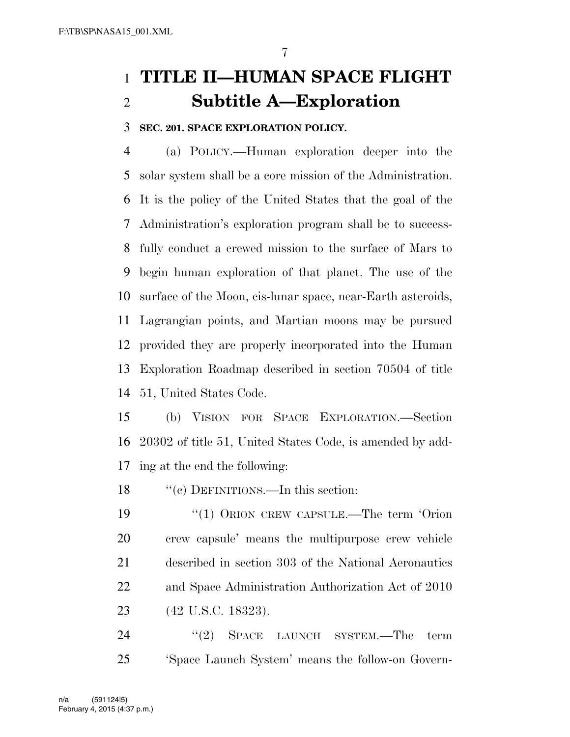## **TITLE II—HUMAN SPACE FLIGHT Subtitle A—Exploration**

## **SEC. 201. SPACE EXPLORATION POLICY.**

 (a) POLICY.—Human exploration deeper into the solar system shall be a core mission of the Administration. It is the policy of the United States that the goal of the Administration's exploration program shall be to success- fully conduct a crewed mission to the surface of Mars to begin human exploration of that planet. The use of the surface of the Moon, cis-lunar space, near-Earth asteroids, Lagrangian points, and Martian moons may be pursued provided they are properly incorporated into the Human Exploration Roadmap described in section 70504 of title 51, United States Code.

 (b) VISION FOR SPACE EXPLORATION.—Section 20302 of title 51, United States Code, is amended by add-ing at the end the following:

18 "'(c) DEFINITIONS.—In this section:

19 "(1) ORION CREW CAPSULE.—The term 'Orion crew capsule' means the multipurpose crew vehicle described in section 303 of the National Aeronautics and Space Administration Authorization Act of 2010 (42 U.S.C. 18323).

24 "(2) SPACE LAUNCH SYSTEM.—The term 'Space Launch System' means the follow-on Govern-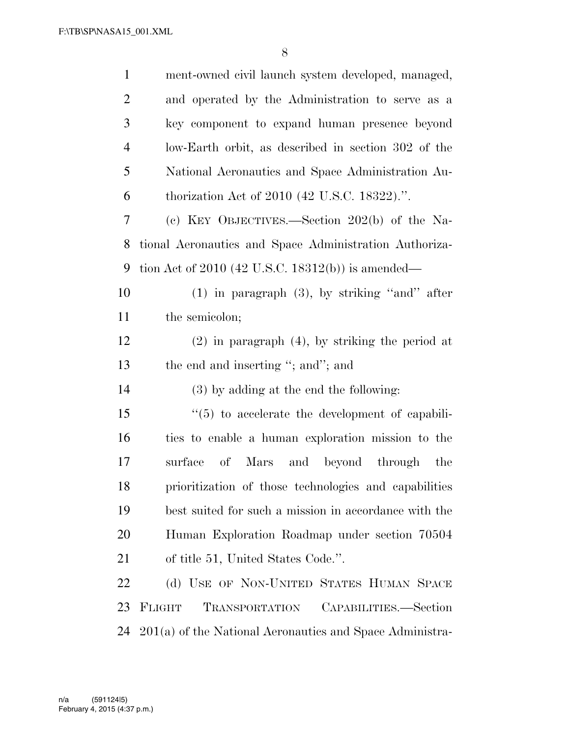| $\mathbf{1}$   | ment-owned civil launch system developed, managed,       |
|----------------|----------------------------------------------------------|
| $\overline{2}$ | and operated by the Administration to serve as a         |
| 3              | key component to expand human presence beyond            |
| $\overline{4}$ | low-Earth orbit, as described in section 302 of the      |
| 5              | National Aeronautics and Space Administration Au-        |
| 6              | thorization Act of 2010 (42 U.S.C. 18322).".             |
| $\overline{7}$ | (c) KEY OBJECTIVES.—Section $202(b)$ of the Na-          |
| 8              | tional Aeronautics and Space Administration Authoriza-   |
| 9              | tion Act of 2010 (42 U.S.C. 18312(b)) is amended—        |
| 10             | $(1)$ in paragraph $(3)$ , by striking "and" after       |
| 11             | the semicolon;                                           |
| 12             | $(2)$ in paragraph $(4)$ , by striking the period at     |
| 13             | the end and inserting "; and"; and                       |
| 14             | (3) by adding at the end the following:                  |
| 15             | $\lq(5)$ to accelerate the development of capabili-      |
| 16             | ties to enable a human exploration mission to the        |
| 17             | surface<br>$\sigma$<br>Mars<br>and beyond through the    |
| 18             | prioritization of those technologies and capabilities    |
| 19             | best suited for such a mission in accordance with the    |
| 20             | Human Exploration Roadmap under section 70504            |
| 21             | of title 51, United States Code.".                       |
| 22             | (d) USE OF NON-UNITED STATES HUMAN SPACE                 |
| 23             | FLIGHT<br>TRANSPORTATION<br>CAPABILITIES.—Section        |
| 24             | 201(a) of the National Aeronautics and Space Administra- |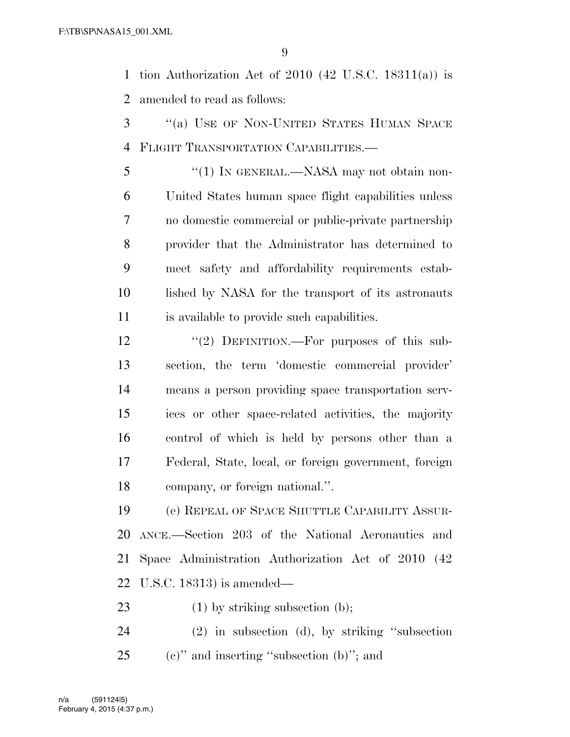tion Authorization Act of 2010 (42 U.S.C. 18311(a)) is amended to read as follows:

- ''(a) USE OF NON-UNITED STATES HUMAN SPACE FLIGHT TRANSPORTATION CAPABILITIES.—
- ''(1) IN GENERAL.—NASA may not obtain non- United States human space flight capabilities unless no domestic commercial or public-private partnership provider that the Administrator has determined to meet safety and affordability requirements estab- lished by NASA for the transport of its astronauts is available to provide such capabilities.
- 12 "(2) DEFINITION.—For purposes of this sub- section, the term 'domestic commercial provider' means a person providing space transportation serv- ices or other space-related activities, the majority control of which is held by persons other than a Federal, State, local, or foreign government, foreign company, or foreign national.''.

 (e) REPEAL OF SPACE SHUTTLE CAPABILITY ASSUR- ANCE.—Section 203 of the National Aeronautics and Space Administration Authorization Act of 2010 (42 U.S.C. 18313) is amended—

- 23 (1) by striking subsection (b);
- (2) in subsection (d), by striking ''subsection (c)" and inserting "subsection (b)"; and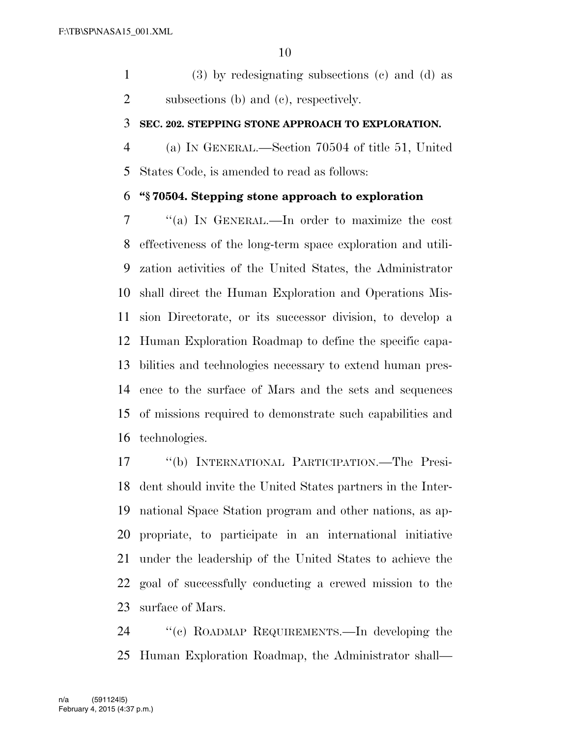(3) by redesignating subsections (c) and (d) as subsections (b) and (c), respectively.

## **SEC. 202. STEPPING STONE APPROACH TO EXPLORATION.**

 (a) IN GENERAL.—Section 70504 of title 51, United States Code, is amended to read as follows:

## **''§ 70504. Stepping stone approach to exploration**

 ''(a) IN GENERAL.—In order to maximize the cost effectiveness of the long-term space exploration and utili- zation activities of the United States, the Administrator shall direct the Human Exploration and Operations Mis- sion Directorate, or its successor division, to develop a Human Exploration Roadmap to define the specific capa- bilities and technologies necessary to extend human pres- ence to the surface of Mars and the sets and sequences of missions required to demonstrate such capabilities and technologies.

 ''(b) INTERNATIONAL PARTICIPATION.—The Presi- dent should invite the United States partners in the Inter- national Space Station program and other nations, as ap- propriate, to participate in an international initiative under the leadership of the United States to achieve the goal of successfully conducting a crewed mission to the surface of Mars.

 ''(c) ROADMAP REQUIREMENTS.—In developing the Human Exploration Roadmap, the Administrator shall—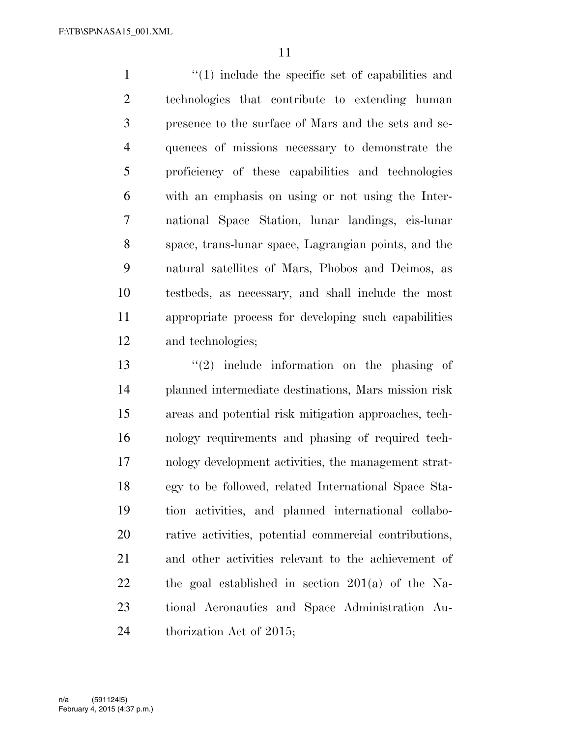1 ''(1) include the specific set of capabilities and technologies that contribute to extending human presence to the surface of Mars and the sets and se- quences of missions necessary to demonstrate the proficiency of these capabilities and technologies with an emphasis on using or not using the Inter- national Space Station, lunar landings, cis-lunar space, trans-lunar space, Lagrangian points, and the natural satellites of Mars, Phobos and Deimos, as testbeds, as necessary, and shall include the most appropriate process for developing such capabilities and technologies;

 ''(2) include information on the phasing of planned intermediate destinations, Mars mission risk areas and potential risk mitigation approaches, tech- nology requirements and phasing of required tech- nology development activities, the management strat- egy to be followed, related International Space Sta- tion activities, and planned international collabo- rative activities, potential commercial contributions, and other activities relevant to the achievement of the goal established in section 201(a) of the Na- tional Aeronautics and Space Administration Au-24 thorization Act of 2015;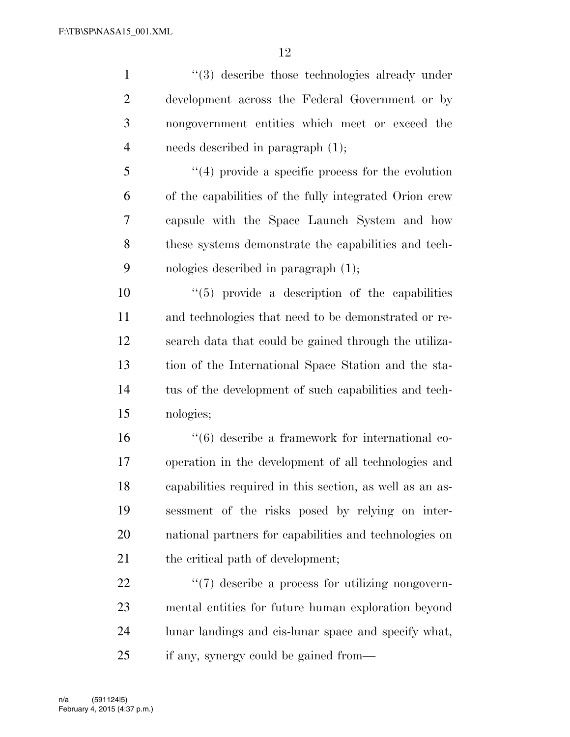1 ''(3) describe those technologies already under development across the Federal Government or by nongovernment entities which meet or exceed the needs described in paragraph (1);

 ''(4) provide a specific process for the evolution of the capabilities of the fully integrated Orion crew capsule with the Space Launch System and how these systems demonstrate the capabilities and tech-nologies described in paragraph (1);

 ''(5) provide a description of the capabilities and technologies that need to be demonstrated or re- search data that could be gained through the utiliza- tion of the International Space Station and the sta- tus of the development of such capabilities and tech-nologies;

 ''(6) describe a framework for international co- operation in the development of all technologies and capabilities required in this section, as well as an as- sessment of the risks posed by relying on inter- national partners for capabilities and technologies on 21 the critical path of development;

 $\frac{1}{2}$  (7) describe a process for utilizing nongovern- mental entities for future human exploration beyond lunar landings and cis-lunar space and specify what, if any, synergy could be gained from—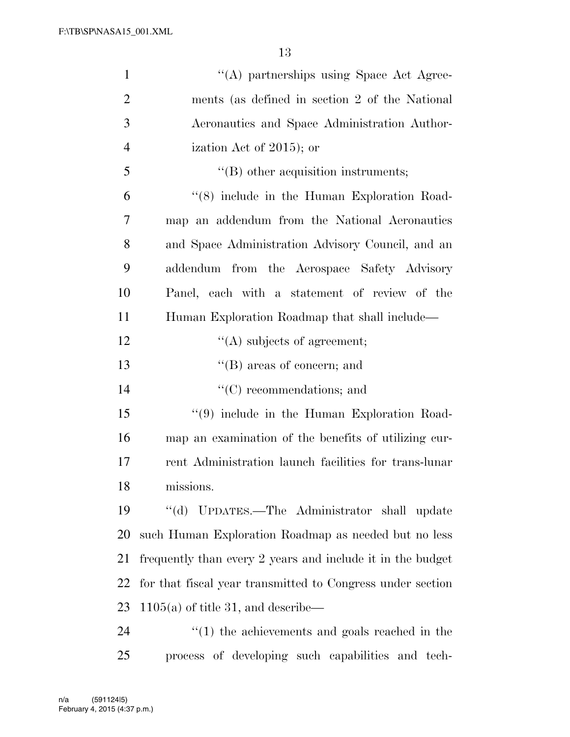| $\mathbf{1}$   | "(A) partnerships using Space Act Agree-                       |
|----------------|----------------------------------------------------------------|
| $\overline{2}$ | ments (as defined in section 2 of the National                 |
| 3              | Aeronautics and Space Administration Author-                   |
| $\overline{4}$ | ization Act of 2015); or                                       |
| 5              | $\lq\lq$ other acquisition instruments;                        |
| 6              | "(8) include in the Human Exploration Road-                    |
| 7              | map an addendum from the National Aeronautics                  |
| 8              | and Space Administration Advisory Council, and an              |
| 9              | addendum from the Aerospace Safety Advisory                    |
| 10             | Panel, each with a statement of review of the                  |
| 11             | Human Exploration Roadmap that shall include—                  |
| 12             | $\lq\lq$ subjects of agreement;                                |
| 13             | $\lq\lq$ (B) areas of concern; and                             |
| 14             | $\lq\lq$ (C) recommendations; and                              |
| 15             | $(9)$ include in the Human Exploration Road-                   |
| 16             | map an examination of the benefits of utilizing cur-           |
| 17             | rent Administration launch facilities for trans-lunar          |
| 18             | missions.                                                      |
| 19             | "(d) UPDATES.—The Administrator shall update                   |
| 20             | such Human Exploration Roadmap as needed but no less           |
| 21             | frequently than every 2 years and include it in the budget     |
| 22             | for that fiscal year transmitted to Congress under section     |
| 23             | $1105(a)$ of title 31, and describe—                           |
| 24             | $\cdot\cdot\cdot(1)$ the achievements and goals reached in the |
| 25             | process of developing such capabilities and tech-              |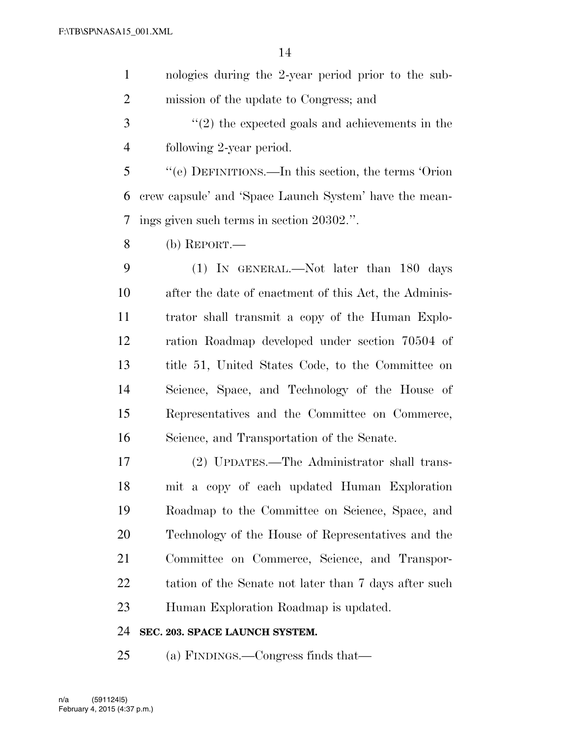nologies during the 2-year period prior to the sub-mission of the update to Congress; and

 ''(2) the expected goals and achievements in the following 2-year period.

 ''(e) DEFINITIONS.—In this section, the terms 'Orion crew capsule' and 'Space Launch System' have the mean-ings given such terms in section 20302.''.

(b) REPORT.—

 (1) IN GENERAL.—Not later than 180 days after the date of enactment of this Act, the Adminis- trator shall transmit a copy of the Human Explo- ration Roadmap developed under section 70504 of title 51, United States Code, to the Committee on Science, Space, and Technology of the House of Representatives and the Committee on Commerce, Science, and Transportation of the Senate.

 (2) UPDATES.—The Administrator shall trans- mit a copy of each updated Human Exploration Roadmap to the Committee on Science, Space, and Technology of the House of Representatives and the Committee on Commerce, Science, and Transpor-22 tation of the Senate not later than 7 days after such Human Exploration Roadmap is updated.

**SEC. 203. SPACE LAUNCH SYSTEM.** 

(a) FINDINGS.—Congress finds that—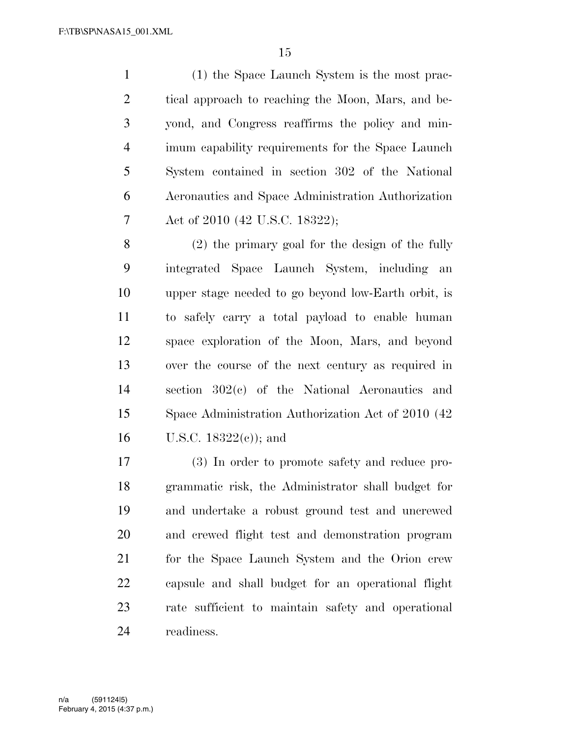(1) the Space Launch System is the most prac- tical approach to reaching the Moon, Mars, and be- yond, and Congress reaffirms the policy and min- imum capability requirements for the Space Launch System contained in section 302 of the National Aeronautics and Space Administration Authorization Act of 2010 (42 U.S.C. 18322);

 (2) the primary goal for the design of the fully integrated Space Launch System, including an upper stage needed to go beyond low-Earth orbit, is to safely carry a total payload to enable human space exploration of the Moon, Mars, and beyond over the course of the next century as required in section 302(c) of the National Aeronautics and Space Administration Authorization Act of 2010 (42 16 U.S.C.  $18322(c)$ ; and

 (3) In order to promote safety and reduce pro- grammatic risk, the Administrator shall budget for and undertake a robust ground test and uncrewed and crewed flight test and demonstration program for the Space Launch System and the Orion crew capsule and shall budget for an operational flight rate sufficient to maintain safety and operational readiness.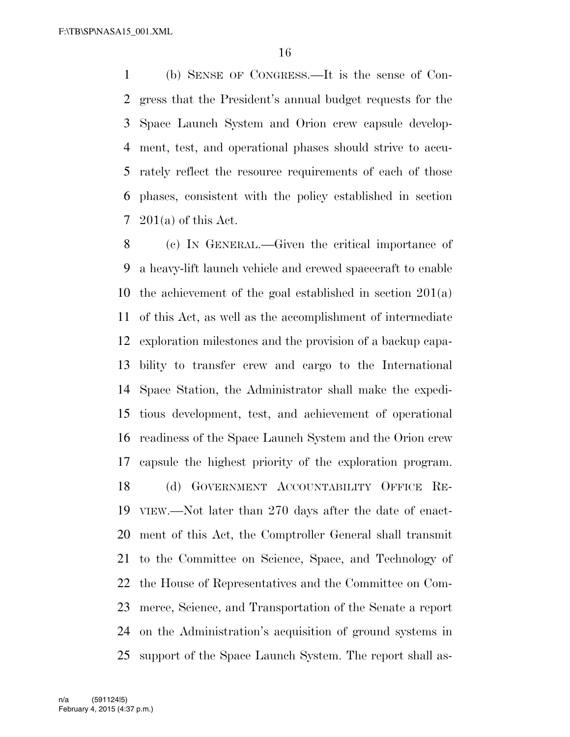(b) SENSE OF CONGRESS.—It is the sense of Con- gress that the President's annual budget requests for the Space Launch System and Orion crew capsule develop- ment, test, and operational phases should strive to accu- rately reflect the resource requirements of each of those phases, consistent with the policy established in section 201(a) of this Act.

 (c) IN GENERAL.—Given the critical importance of a heavy-lift launch vehicle and crewed spacecraft to enable the achievement of the goal established in section 201(a) of this Act, as well as the accomplishment of intermediate exploration milestones and the provision of a backup capa- bility to transfer crew and cargo to the International Space Station, the Administrator shall make the expedi- tious development, test, and achievement of operational readiness of the Space Launch System and the Orion crew capsule the highest priority of the exploration program. (d) GOVERNMENT ACCOUNTABILITY OFFICE RE- VIEW.—Not later than 270 days after the date of enact- ment of this Act, the Comptroller General shall transmit to the Committee on Science, Space, and Technology of the House of Representatives and the Committee on Com- merce, Science, and Transportation of the Senate a report on the Administration's acquisition of ground systems in support of the Space Launch System. The report shall as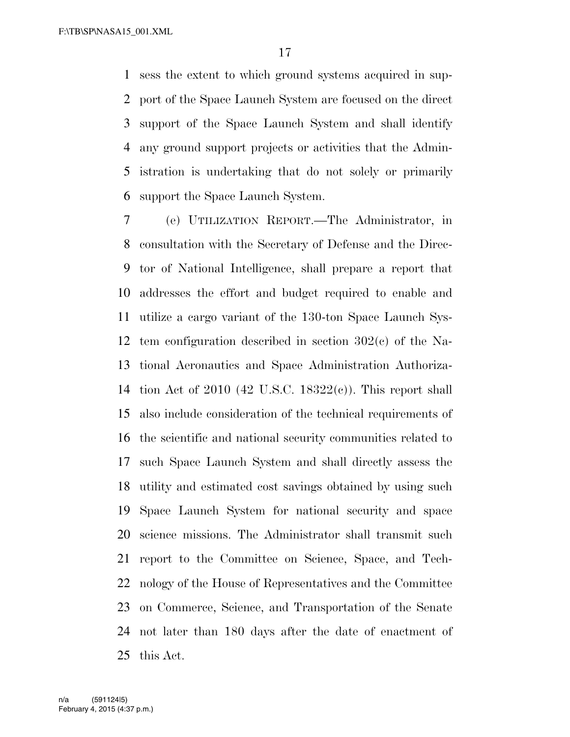sess the extent to which ground systems acquired in sup- port of the Space Launch System are focused on the direct support of the Space Launch System and shall identify any ground support projects or activities that the Admin- istration is undertaking that do not solely or primarily support the Space Launch System.

 (e) UTILIZATION REPORT.—The Administrator, in consultation with the Secretary of Defense and the Direc- tor of National Intelligence, shall prepare a report that addresses the effort and budget required to enable and utilize a cargo variant of the 130-ton Space Launch Sys- tem configuration described in section 302(c) of the Na- tional Aeronautics and Space Administration Authoriza- tion Act of 2010 (42 U.S.C. 18322(c)). This report shall also include consideration of the technical requirements of the scientific and national security communities related to such Space Launch System and shall directly assess the utility and estimated cost savings obtained by using such Space Launch System for national security and space science missions. The Administrator shall transmit such report to the Committee on Science, Space, and Tech- nology of the House of Representatives and the Committee on Commerce, Science, and Transportation of the Senate not later than 180 days after the date of enactment of this Act.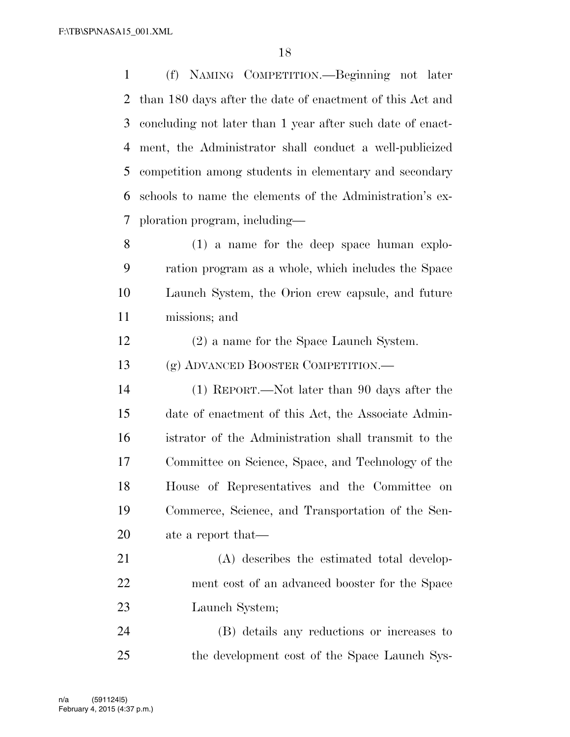(f) NAMING COMPETITION.—Beginning not later than 180 days after the date of enactment of this Act and concluding not later than 1 year after such date of enact- ment, the Administrator shall conduct a well-publicized competition among students in elementary and secondary schools to name the elements of the Administration's ex-ploration program, including—

 (1) a name for the deep space human explo- ration program as a whole, which includes the Space Launch System, the Orion crew capsule, and future missions; and

(2) a name for the Space Launch System.

(g) ADVANCED BOOSTER COMPETITION.—

 (1) REPORT.—Not later than 90 days after the date of enactment of this Act, the Associate Admin- istrator of the Administration shall transmit to the Committee on Science, Space, and Technology of the House of Representatives and the Committee on Commerce, Science, and Transportation of the Sen-ate a report that—

 (A) describes the estimated total develop- ment cost of an advanced booster for the Space Launch System;

 (B) details any reductions or increases to the development cost of the Space Launch Sys-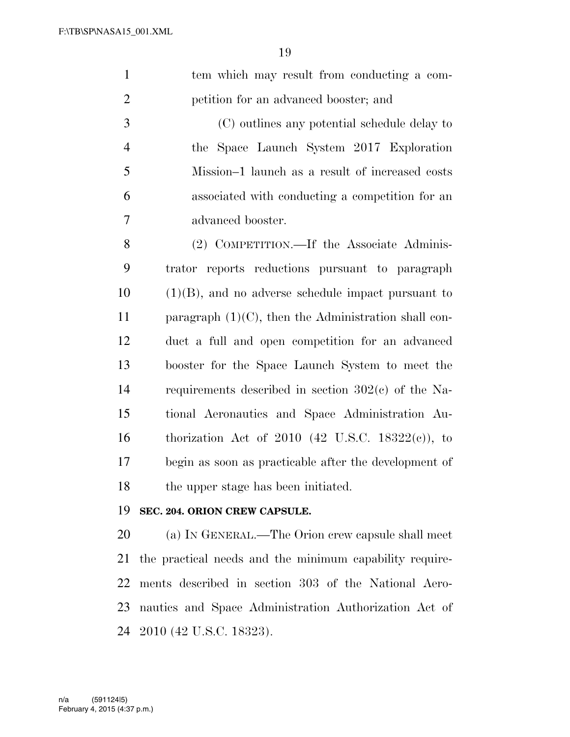tem which may result from conducting a com-petition for an advanced booster; and

 (C) outlines any potential schedule delay to the Space Launch System 2017 Exploration Mission–1 launch as a result of increased costs associated with conducting a competition for an advanced booster.

 (2) COMPETITION.—If the Associate Adminis- trator reports reductions pursuant to paragraph (1)(B), and no adverse schedule impact pursuant to 11 paragraph  $(1)(C)$ , then the Administration shall con- duct a full and open competition for an advanced booster for the Space Launch System to meet the requirements described in section 302(c) of the Na- tional Aeronautics and Space Administration Au- thorization Act of 2010 (42 U.S.C. 18322(c)), to begin as soon as practicable after the development of the upper stage has been initiated.

## **SEC. 204. ORION CREW CAPSULE.**

 (a) IN GENERAL.—The Orion crew capsule shall meet the practical needs and the minimum capability require- ments described in section 303 of the National Aero- nautics and Space Administration Authorization Act of 2010 (42 U.S.C. 18323).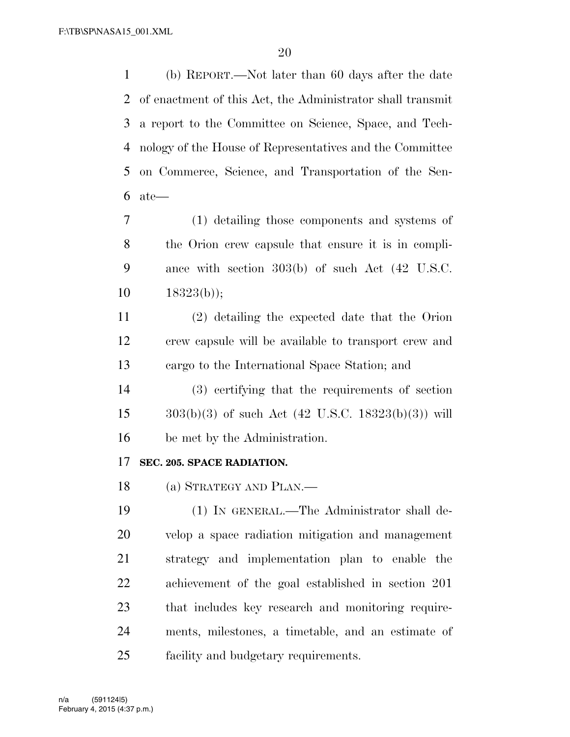(b) REPORT.—Not later than 60 days after the date of enactment of this Act, the Administrator shall transmit a report to the Committee on Science, Space, and Tech- nology of the House of Representatives and the Committee on Commerce, Science, and Transportation of the Sen-ate—

 (1) detailing those components and systems of the Orion crew capsule that ensure it is in compli- ance with section 303(b) of such Act (42 U.S.C.  $10 \qquad 18323(b)$ ;

 (2) detailing the expected date that the Orion crew capsule will be available to transport crew and cargo to the International Space Station; and

 (3) certifying that the requirements of section 15  $303(b)(3)$  of such Act (42 U.S.C. 18323(b)(3)) will be met by the Administration.

## **SEC. 205. SPACE RADIATION.**

(a) STRATEGY AND PLAN.—

 (1) IN GENERAL.—The Administrator shall de- velop a space radiation mitigation and management strategy and implementation plan to enable the achievement of the goal established in section 201 that includes key research and monitoring require- ments, milestones, a timetable, and an estimate of facility and budgetary requirements.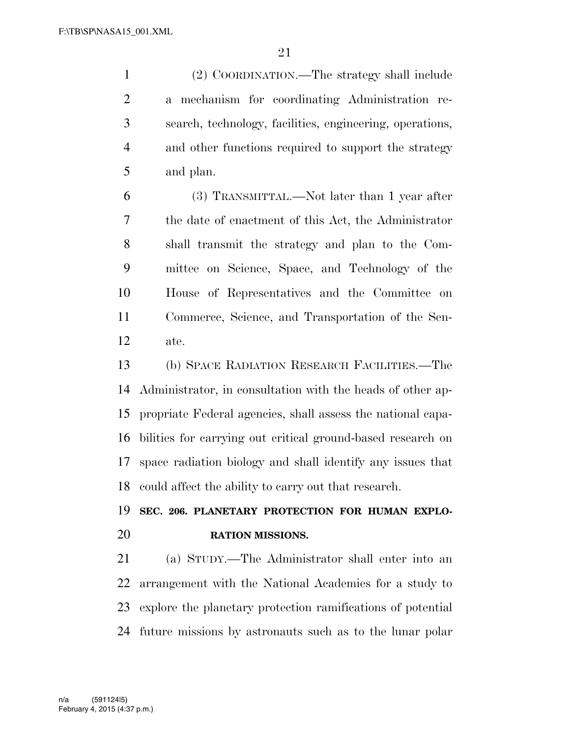(2) COORDINATION.—The strategy shall include a mechanism for coordinating Administration re- search, technology, facilities, engineering, operations, and other functions required to support the strategy and plan.

 (3) TRANSMITTAL.—Not later than 1 year after the date of enactment of this Act, the Administrator shall transmit the strategy and plan to the Com- mittee on Science, Space, and Technology of the House of Representatives and the Committee on Commerce, Science, and Transportation of the Sen-ate.

 (b) SPACE RADIATION RESEARCH FACILITIES.—The Administrator, in consultation with the heads of other ap- propriate Federal agencies, shall assess the national capa- bilities for carrying out critical ground-based research on space radiation biology and shall identify any issues that could affect the ability to carry out that research.

## **SEC. 206. PLANETARY PROTECTION FOR HUMAN EXPLO-RATION MISSIONS.**

 (a) STUDY.—The Administrator shall enter into an arrangement with the National Academies for a study to explore the planetary protection ramifications of potential future missions by astronauts such as to the lunar polar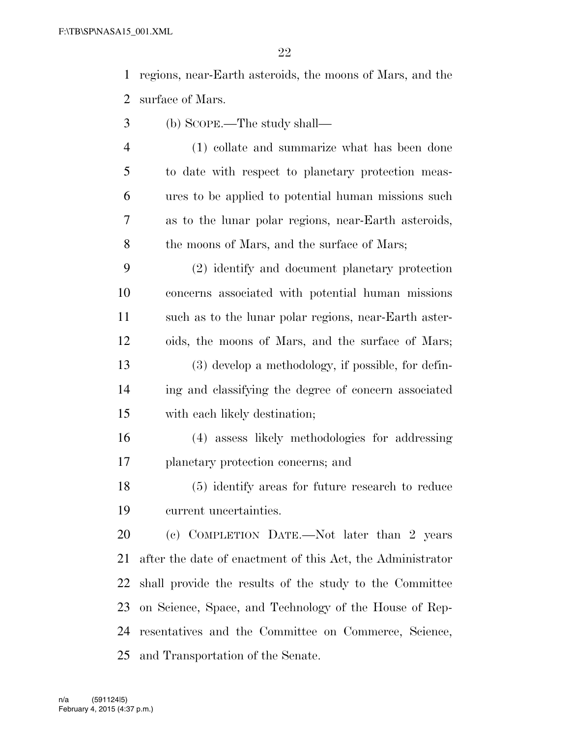regions, near-Earth asteroids, the moons of Mars, and the surface of Mars.

- (b) SCOPE.—The study shall—
- (1) collate and summarize what has been done to date with respect to planetary protection meas- ures to be applied to potential human missions such as to the lunar polar regions, near-Earth asteroids, 8 the moons of Mars, and the surface of Mars;
- (2) identify and document planetary protection concerns associated with potential human missions such as to the lunar polar regions, near-Earth aster- oids, the moons of Mars, and the surface of Mars; (3) develop a methodology, if possible, for defin- ing and classifying the degree of concern associated with each likely destination;
- (4) assess likely methodologies for addressing planetary protection concerns; and
- (5) identify areas for future research to reduce current uncertainties.

 (c) COMPLETION DATE.—Not later than 2 years after the date of enactment of this Act, the Administrator shall provide the results of the study to the Committee on Science, Space, and Technology of the House of Rep- resentatives and the Committee on Commerce, Science, and Transportation of the Senate.

February 4, 2015 (4:37 p.m.) n/a (591124|5)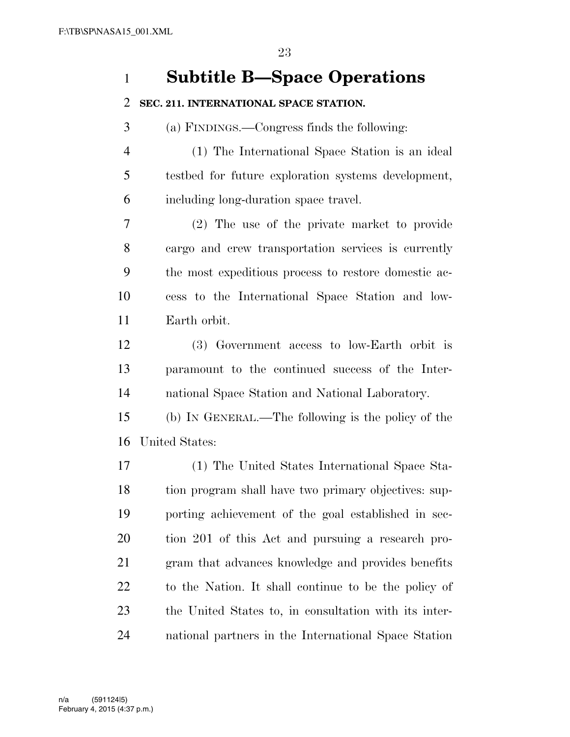## **Subtitle B—Space Operations**

## **SEC. 211. INTERNATIONAL SPACE STATION.**

(a) FINDINGS.—Congress finds the following:

 (1) The International Space Station is an ideal testbed for future exploration systems development, including long-duration space travel.

 (2) The use of the private market to provide cargo and crew transportation services is currently the most expeditious process to restore domestic ac- cess to the International Space Station and low-Earth orbit.

 (3) Government access to low-Earth orbit is paramount to the continued success of the Inter-national Space Station and National Laboratory.

 (b) IN GENERAL.—The following is the policy of the United States:

 (1) The United States International Space Sta- tion program shall have two primary objectives: sup- porting achievement of the goal established in sec- tion 201 of this Act and pursuing a research pro- gram that advances knowledge and provides benefits to the Nation. It shall continue to be the policy of the United States to, in consultation with its inter-national partners in the International Space Station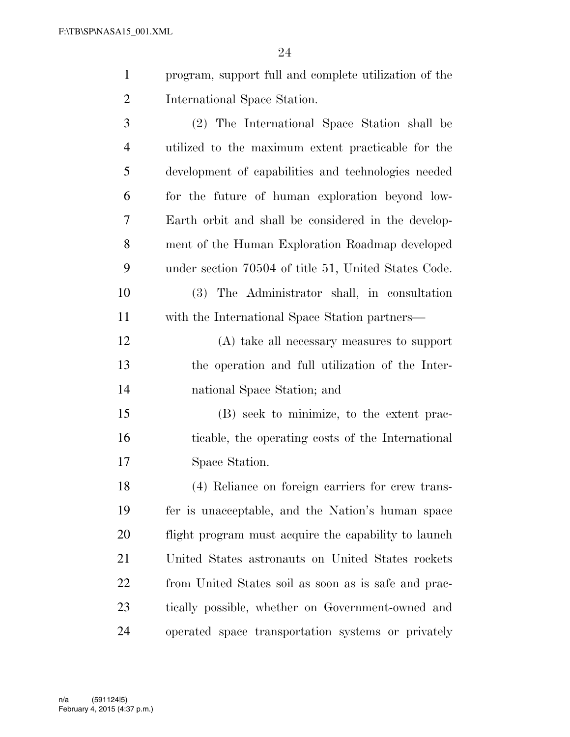| $\mathbf{1}$ | program, support full and complete utilization of the |
|--------------|-------------------------------------------------------|
| 2            | International Space Station.                          |
| 3            | (2) The International Space Station shall be          |

 utilized to the maximum extent practicable for the development of capabilities and technologies needed for the future of human exploration beyond low- Earth orbit and shall be considered in the develop- ment of the Human Exploration Roadmap developed under section 70504 of title 51, United States Code.

 (3) The Administrator shall, in consultation with the International Space Station partners—

 (A) take all necessary measures to support the operation and full utilization of the Inter-national Space Station; and

 (B) seek to minimize, to the extent prac- ticable, the operating costs of the International Space Station.

 (4) Reliance on foreign carriers for crew trans- fer is unacceptable, and the Nation's human space flight program must acquire the capability to launch United States astronauts on United States rockets from United States soil as soon as is safe and prac- tically possible, whether on Government-owned and operated space transportation systems or privately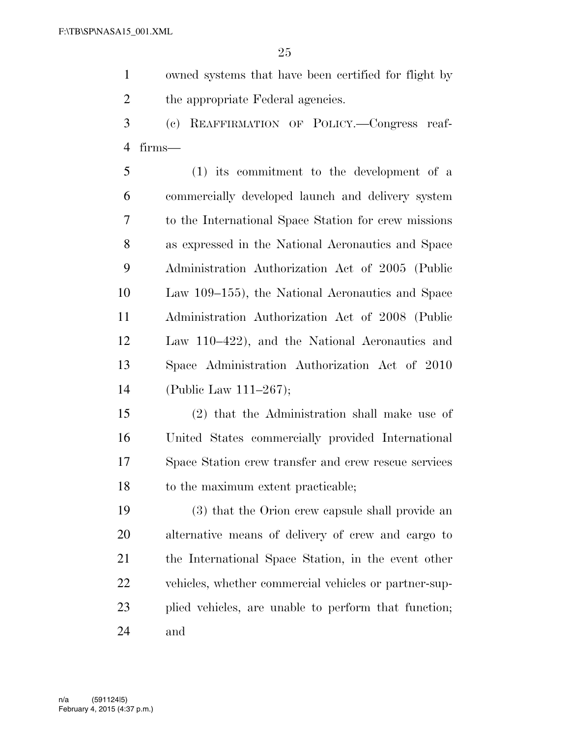- owned systems that have been certified for flight by 2 the appropriate Federal agencies.
- (c) REAFFIRMATION OF POLICY.—Congress reaf-firms—

 (1) its commitment to the development of a commercially developed launch and delivery system to the International Space Station for crew missions as expressed in the National Aeronautics and Space Administration Authorization Act of 2005 (Public Law 109–155), the National Aeronautics and Space Administration Authorization Act of 2008 (Public Law 110–422), and the National Aeronautics and Space Administration Authorization Act of 2010 (Public Law 111–267);

 (2) that the Administration shall make use of United States commercially provided International Space Station crew transfer and crew rescue services 18 to the maximum extent practicable;

 (3) that the Orion crew capsule shall provide an alternative means of delivery of crew and cargo to the International Space Station, in the event other vehicles, whether commercial vehicles or partner-sup- plied vehicles, are unable to perform that function; and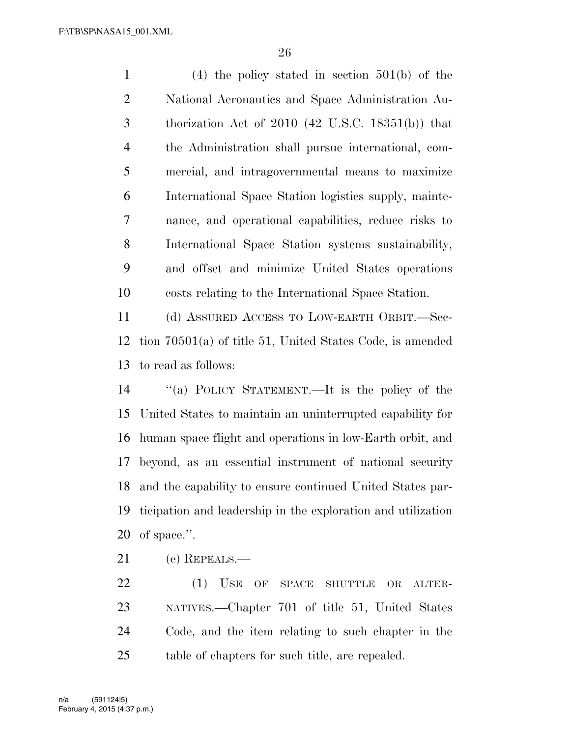(4) the policy stated in section 501(b) of the National Aeronautics and Space Administration Au- thorization Act of 2010 (42 U.S.C. 18351(b)) that the Administration shall pursue international, com- mercial, and intragovernmental means to maximize International Space Station logistics supply, mainte- nance, and operational capabilities, reduce risks to International Space Station systems sustainability, and offset and minimize United States operations costs relating to the International Space Station.

 (d) ASSURED ACCESS TO LOW-EARTH ORBIT.—Sec- tion 70501(a) of title 51, United States Code, is amended to read as follows:

 ''(a) POLICY STATEMENT.—It is the policy of the United States to maintain an uninterrupted capability for human space flight and operations in low-Earth orbit, and beyond, as an essential instrument of national security and the capability to ensure continued United States par- ticipation and leadership in the exploration and utilization of space.''.

(e) REPEALS.—

22 (1) USE OF SPACE SHUTTLE OR ALTER- NATIVES.—Chapter 701 of title 51, United States Code, and the item relating to such chapter in the table of chapters for such title, are repealed.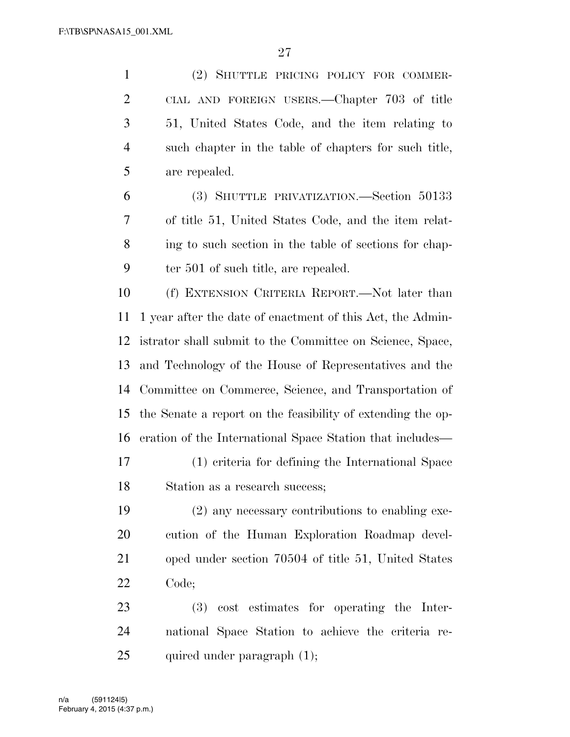(2) SHUTTLE PRICING POLICY FOR COMMER- CIAL AND FOREIGN USERS.—Chapter 703 of title 51, United States Code, and the item relating to such chapter in the table of chapters for such title, are repealed.

 (3) SHUTTLE PRIVATIZATION.—Section 50133 of title 51, United States Code, and the item relat- ing to such section in the table of sections for chap-ter 501 of such title, are repealed.

 (f) EXTENSION CRITERIA REPORT.—Not later than 1 year after the date of enactment of this Act, the Admin- istrator shall submit to the Committee on Science, Space, and Technology of the House of Representatives and the Committee on Commerce, Science, and Transportation of the Senate a report on the feasibility of extending the op-eration of the International Space Station that includes—

 (1) criteria for defining the International Space Station as a research success;

 (2) any necessary contributions to enabling exe- cution of the Human Exploration Roadmap devel- oped under section 70504 of title 51, United States Code;

 (3) cost estimates for operating the Inter- national Space Station to achieve the criteria re-25 quired under paragraph (1);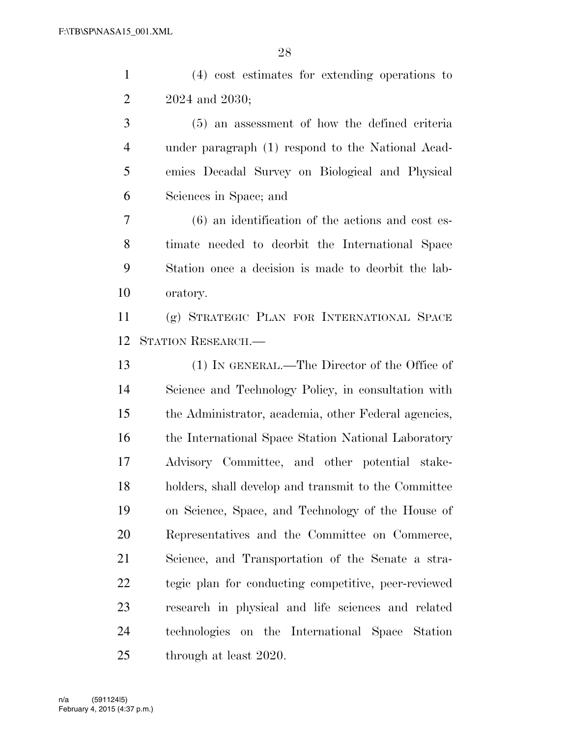(4) cost estimates for extending operations to 2024 and 2030; (5) an assessment of how the defined criteria under paragraph (1) respond to the National Acad- emies Decadal Survey on Biological and Physical Sciences in Space; and (6) an identification of the actions and cost es- timate needed to deorbit the International Space Station once a decision is made to deorbit the lab- oratory. (g) STRATEGIC PLAN FOR INTERNATIONAL SPACE STATION RESEARCH.— (1) IN GENERAL.—The Director of the Office of Science and Technology Policy, in consultation with the Administrator, academia, other Federal agencies, 16 the International Space Station National Laboratory Advisory Committee, and other potential stake- holders, shall develop and transmit to the Committee on Science, Space, and Technology of the House of Representatives and the Committee on Commerce, Science, and Transportation of the Senate a stra-tegic plan for conducting competitive, peer-reviewed

 research in physical and life sciences and related technologies on the International Space Station 25 through at least 2020.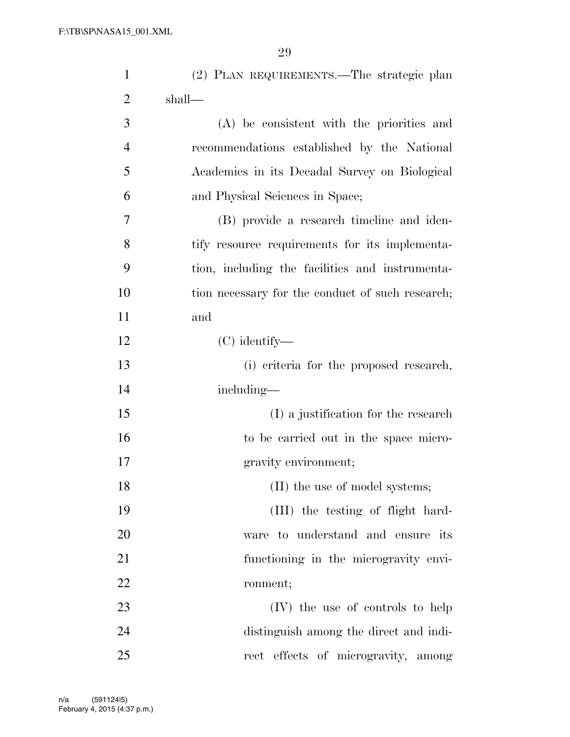| $\mathbf{1}$   | (2) PLAN REQUIREMENTS.—The strategic plan        |
|----------------|--------------------------------------------------|
| $\overline{2}$ | shall—                                           |
| 3              | (A) be consistent with the priorities and        |
| $\overline{4}$ | recommendations established by the National      |
| 5              | Academies in its Decadal Survey on Biological    |
| 6              | and Physical Sciences in Space;                  |
| 7              | (B) provide a research timeline and iden-        |
| 8              | tify resource requirements for its implementa-   |
| 9              | tion, including the facilities and instrumenta-  |
| 10             | tion necessary for the conduct of such research; |
| 11             | and                                              |
| 12             | $(C)$ identify—                                  |
| 13             | (i) criteria for the proposed research,          |
| 14             | including—                                       |
| 15             | (I) a justification for the research             |
| 16             | to be carried out in the space micro-            |
| 17             | gravity environment;                             |
| 18             | (II) the use of model systems;                   |
| 19             | (III) the testing of flight hard-                |
| 20             | ware to understand and ensure its                |
| 21             | functioning in the microgravity envi-            |
| 22             | ronment;                                         |
| 23             | (IV) the use of controls to help                 |
| 24             | distinguish among the direct and indi-           |
| 25             | rect effects of microgravity, among              |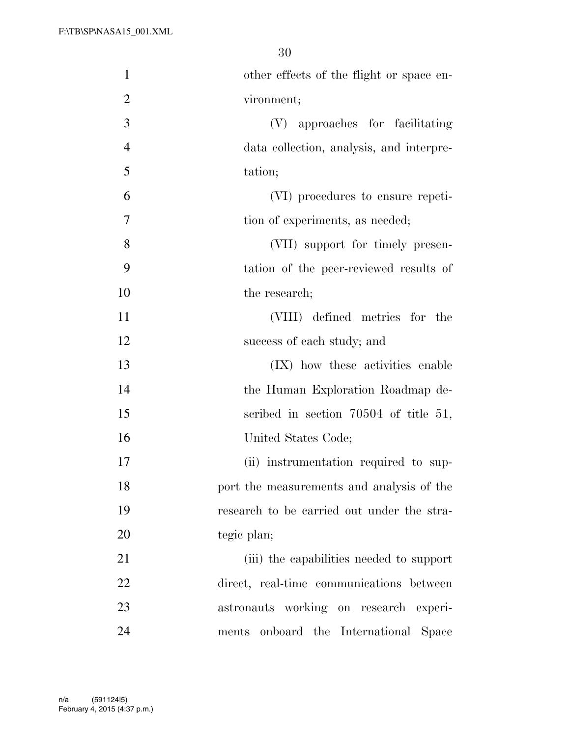| $\mathbf{1}$   | other effects of the flight or space en-   |
|----------------|--------------------------------------------|
| $\overline{2}$ | vironment;                                 |
| 3              | (V) approaches for facilitating            |
| $\overline{4}$ | data collection, analysis, and interpre-   |
| 5              | tation;                                    |
| 6              | (VI) procedures to ensure repeti-          |
| 7              | tion of experiments, as needed;            |
| 8              | (VII) support for timely presen-           |
| 9              | tation of the peer-reviewed results of     |
| 10             | the research;                              |
| 11             | (VIII) defined metrics for the             |
| 12             | success of each study; and                 |
| 13             | (IX) how these activities enable           |
| 14             | the Human Exploration Roadmap de-          |
| 15             | scribed in section $70504$ of title 51,    |
| 16             | United States Code;                        |
| 17             | (ii) instrumentation required to sup-      |
| 18             | port the measurements and analysis of the  |
| 19             | research to be carried out under the stra- |
| 20             | tegic plan;                                |
| 21             | (iii) the capabilities needed to support   |
| 22             | direct, real-time communications between   |
| 23             | astronauts working on research experi-     |
| 24             | ments onboard the International Space      |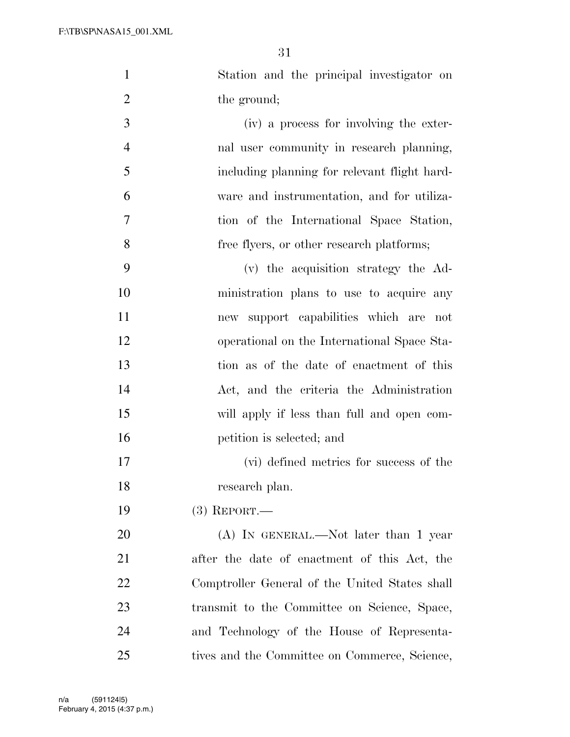- Station and the principal investigator on 2 the ground; (iv) a process for involving the exter- nal user community in research planning, including planning for relevant flight hard- ware and instrumentation, and for utiliza- tion of the International Space Station, 8 free flyers, or other research platforms;
- (v) the acquisition strategy the Ad- ministration plans to use to acquire any new support capabilities which are not operational on the International Space Sta- tion as of the date of enactment of this Act, and the criteria the Administration will apply if less than full and open com-petition is selected; and
- (vi) defined metrics for success of the research plan.
- (3) REPORT.—

20 (A) IN GENERAL.—Not later than 1 year after the date of enactment of this Act, the Comptroller General of the United States shall transmit to the Committee on Science, Space, and Technology of the House of Representa-25 tives and the Committee on Commerce, Science,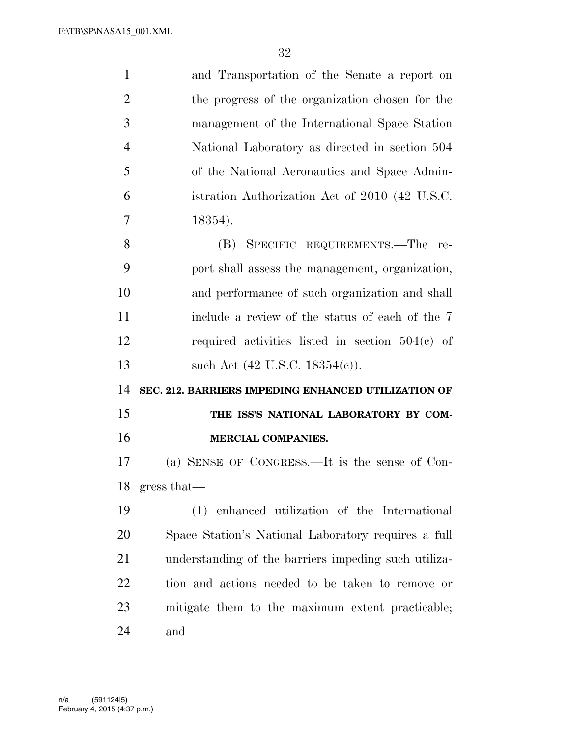| $\mathbf{1}$   | and Transportation of the Senate a report on         |
|----------------|------------------------------------------------------|
| $\overline{2}$ | the progress of the organization chosen for the      |
| 3              | management of the International Space Station        |
| $\overline{4}$ | National Laboratory as directed in section 504       |
| 5              | of the National Aeronautics and Space Admin-         |
| 6              | istration Authorization Act of 2010 (42 U.S.C.       |
| 7              | 18354).                                              |
| 8              | (B) SPECIFIC REQUIREMENTS.—The re-                   |
| 9              | port shall assess the management, organization,      |
| 10             | and performance of such organization and shall       |
| 11             | include a review of the status of each of the 7      |
| 12             | required activities listed in section $504(c)$ of    |
| 13             | such Act $(42 \text{ U.S.C. } 18354(c))$ .           |
| 14             | SEC. 212. BARRIERS IMPEDING ENHANCED UTILIZATION OF  |
| 15             | THE ISS'S NATIONAL LABORATORY BY COM-                |
| 16             | <b>MERCIAL COMPANIES.</b>                            |
| 17             | (a) SENSE OF CONGRESS.—It is the sense of Con-       |
| 18             | gress that—                                          |
| 19             | (1) enhanced utilization of the International        |
| 20             | Space Station's National Laboratory requires a full  |
| 21             | understanding of the barriers impeding such utiliza- |
| 22             | tion and actions needed to be taken to remove or     |
| 23             | mitigate them to the maximum extent practicable;     |
| 24             | and                                                  |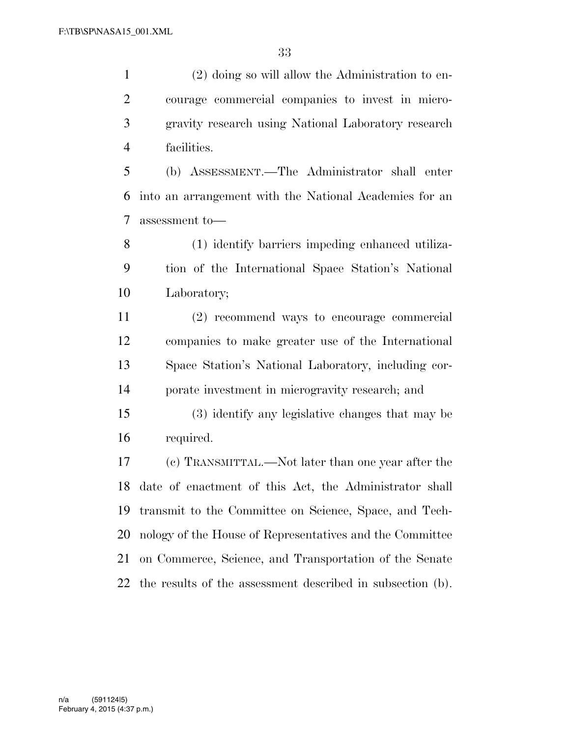(2) doing so will allow the Administration to en- courage commercial companies to invest in micro- gravity research using National Laboratory research facilities.

 (b) ASSESSMENT.—The Administrator shall enter into an arrangement with the National Academies for an assessment to—

 (1) identify barriers impeding enhanced utiliza- tion of the International Space Station's National Laboratory;

 (2) recommend ways to encourage commercial companies to make greater use of the International Space Station's National Laboratory, including cor-porate investment in microgravity research; and

 (3) identify any legislative changes that may be required.

 (c) TRANSMITTAL.—Not later than one year after the date of enactment of this Act, the Administrator shall transmit to the Committee on Science, Space, and Tech- nology of the House of Representatives and the Committee on Commerce, Science, and Transportation of the Senate the results of the assessment described in subsection (b).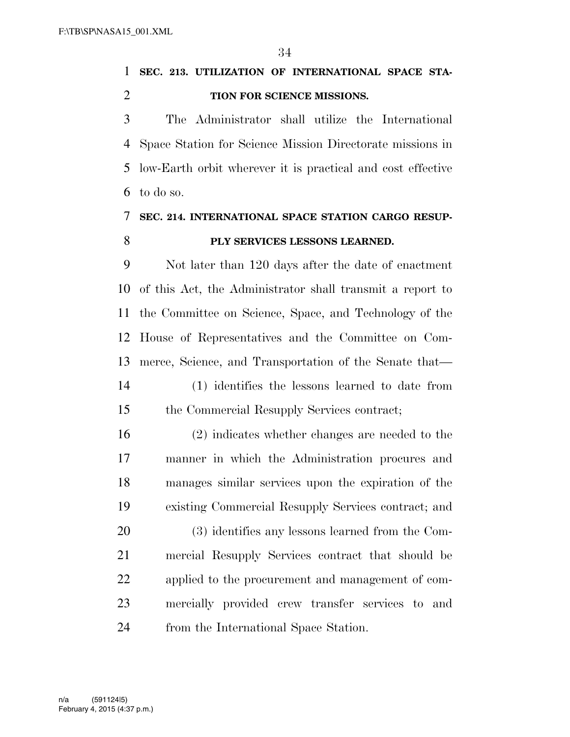**SEC. 213. UTILIZATION OF INTERNATIONAL SPACE STA-TION FOR SCIENCE MISSIONS.** 

 The Administrator shall utilize the International Space Station for Science Mission Directorate missions in low-Earth orbit wherever it is practical and cost effective to do so.

## **SEC. 214. INTERNATIONAL SPACE STATION CARGO RESUP-PLY SERVICES LESSONS LEARNED.**

 Not later than 120 days after the date of enactment of this Act, the Administrator shall transmit a report to the Committee on Science, Space, and Technology of the House of Representatives and the Committee on Com- merce, Science, and Transportation of the Senate that— (1) identifies the lessons learned to date from the Commercial Resupply Services contract;

 (2) indicates whether changes are needed to the manner in which the Administration procures and manages similar services upon the expiration of the existing Commercial Resupply Services contract; and (3) identifies any lessons learned from the Com- mercial Resupply Services contract that should be applied to the procurement and management of com- mercially provided crew transfer services to and from the International Space Station.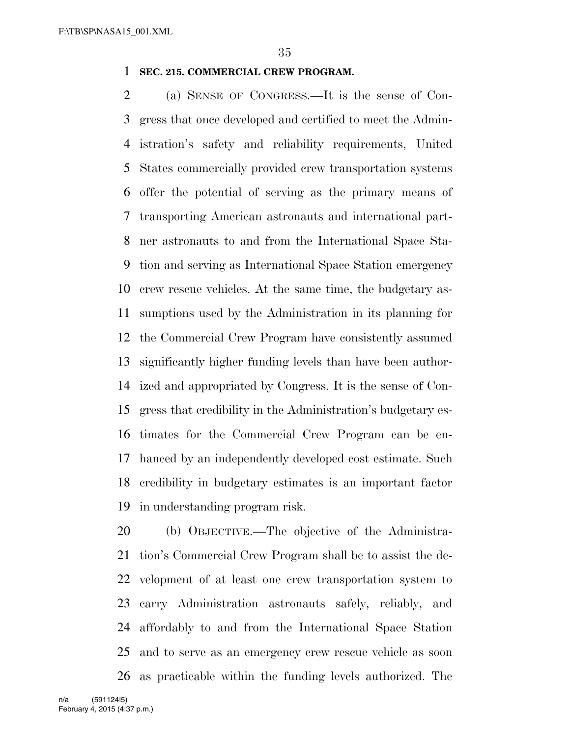## **SEC. 215. COMMERCIAL CREW PROGRAM.**

 (a) SENSE OF CONGRESS.—It is the sense of Con- gress that once developed and certified to meet the Admin- istration's safety and reliability requirements, United States commercially provided crew transportation systems offer the potential of serving as the primary means of transporting American astronauts and international part- ner astronauts to and from the International Space Sta- tion and serving as International Space Station emergency crew rescue vehicles. At the same time, the budgetary as- sumptions used by the Administration in its planning for the Commercial Crew Program have consistently assumed significantly higher funding levels than have been author- ized and appropriated by Congress. It is the sense of Con- gress that credibility in the Administration's budgetary es- timates for the Commercial Crew Program can be en- hanced by an independently developed cost estimate. Such credibility in budgetary estimates is an important factor in understanding program risk.

 (b) OBJECTIVE.—The objective of the Administra- tion's Commercial Crew Program shall be to assist the de- velopment of at least one crew transportation system to carry Administration astronauts safely, reliably, and affordably to and from the International Space Station and to serve as an emergency crew rescue vehicle as soon as practicable within the funding levels authorized. The

February 4, 2015 (4:37 p.m.) n/a (591124|5)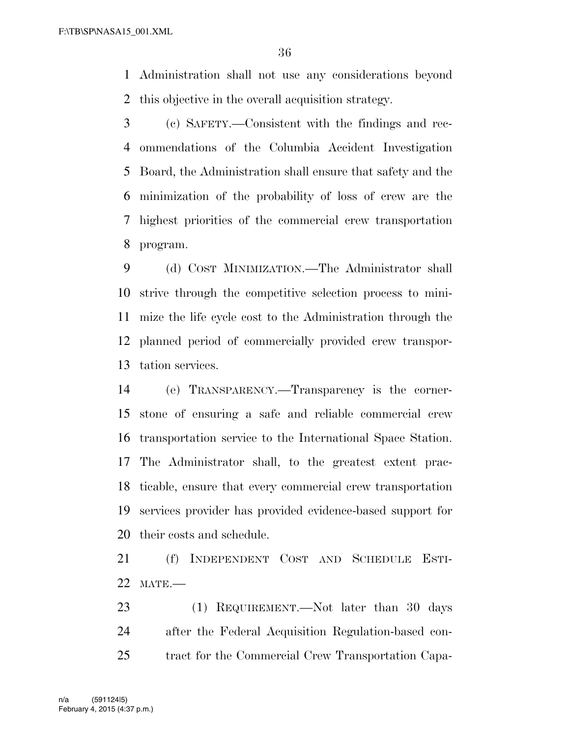Administration shall not use any considerations beyond this objective in the overall acquisition strategy.

 (c) SAFETY.—Consistent with the findings and rec- ommendations of the Columbia Accident Investigation Board, the Administration shall ensure that safety and the minimization of the probability of loss of crew are the highest priorities of the commercial crew transportation program.

 (d) COST MINIMIZATION.—The Administrator shall strive through the competitive selection process to mini- mize the life cycle cost to the Administration through the planned period of commercially provided crew transpor-tation services.

 (e) TRANSPARENCY.—Transparency is the corner- stone of ensuring a safe and reliable commercial crew transportation service to the International Space Station. The Administrator shall, to the greatest extent prac- ticable, ensure that every commercial crew transportation services provider has provided evidence-based support for their costs and schedule.

 (f) INDEPENDENT COST AND SCHEDULE ESTI-MATE.—

23 (1) REQUIREMENT.—Not later than 30 days after the Federal Acquisition Regulation-based con-tract for the Commercial Crew Transportation Capa-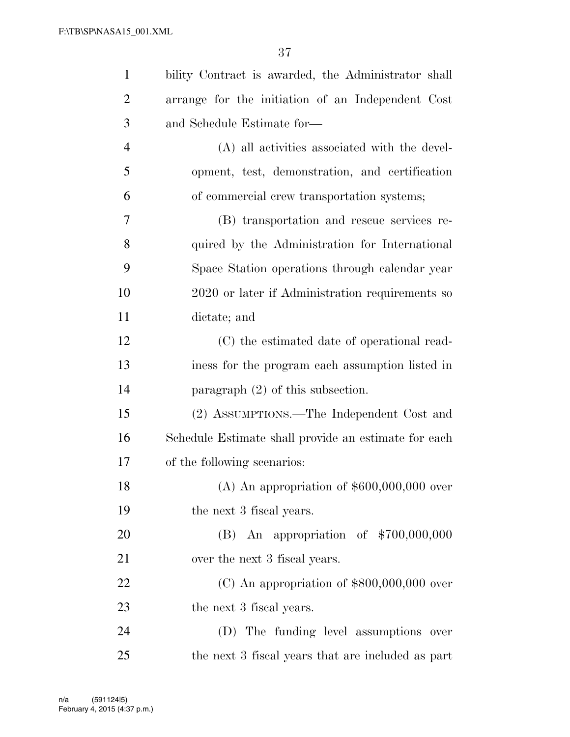| $\mathbf{1}$   | bility Contract is awarded, the Administrator shall  |
|----------------|------------------------------------------------------|
| $\overline{2}$ | arrange for the initiation of an Independent Cost    |
| 3              | and Schedule Estimate for-                           |
| $\overline{4}$ | (A) all activities associated with the devel-        |
| 5              | opment, test, demonstration, and certification       |
| 6              | of commercial crew transportation systems;           |
| 7              | (B) transportation and rescue services re-           |
| 8              | quired by the Administration for International       |
| 9              | Space Station operations through calendar year       |
| 10             | 2020 or later if Administration requirements so      |
| 11             | dictate; and                                         |
| 12             | (C) the estimated date of operational read-          |
| 13             | iness for the program each assumption listed in      |
| 14             | paragraph $(2)$ of this subsection.                  |
| 15             | (2) ASSUMPTIONS.—The Independent Cost and            |
| 16             | Schedule Estimate shall provide an estimate for each |
| 17             | of the following scenarios:                          |
| 18             | (A) An appropriation of $$600,000,000$ over          |
| 19             | the next 3 fiscal years.                             |
| 20             | (B) An appropriation of $$700,000,000$               |
| 21             | over the next 3 fiscal years.                        |
| 22             | $(C)$ An appropriation of \$800,000,000 over         |
| 23             | the next 3 fiscal years.                             |
| 24             | (D) The funding level assumptions over               |
| 25             | the next 3 fiscal years that are included as part    |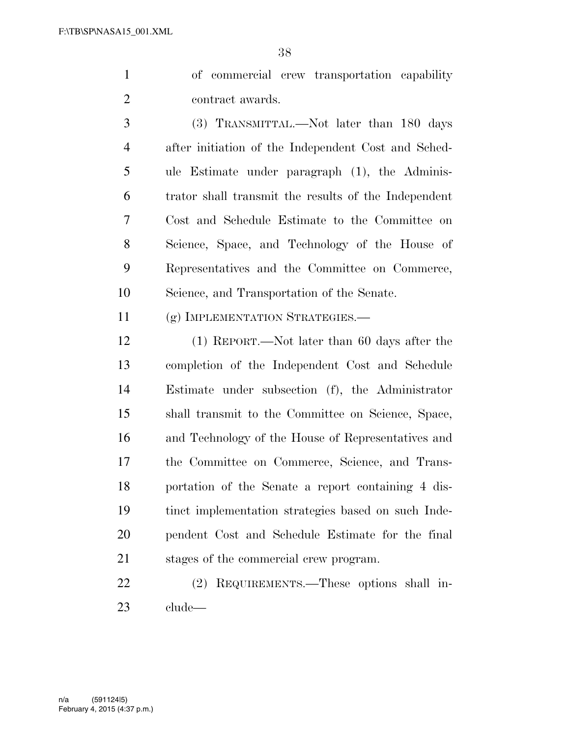of commercial crew transportation capability 2 contract awards.

 (3) TRANSMITTAL.—Not later than 180 days after initiation of the Independent Cost and Sched- ule Estimate under paragraph (1), the Adminis- trator shall transmit the results of the Independent Cost and Schedule Estimate to the Committee on Science, Space, and Technology of the House of Representatives and the Committee on Commerce, Science, and Transportation of the Senate.

(g) IMPLEMENTATION STRATEGIES.—

 (1) REPORT.—Not later than 60 days after the completion of the Independent Cost and Schedule Estimate under subsection (f), the Administrator shall transmit to the Committee on Science, Space, and Technology of the House of Representatives and the Committee on Commerce, Science, and Trans- portation of the Senate a report containing 4 dis- tinct implementation strategies based on such Inde- pendent Cost and Schedule Estimate for the final stages of the commercial crew program.

 (2) REQUIREMENTS.—These options shall in-clude—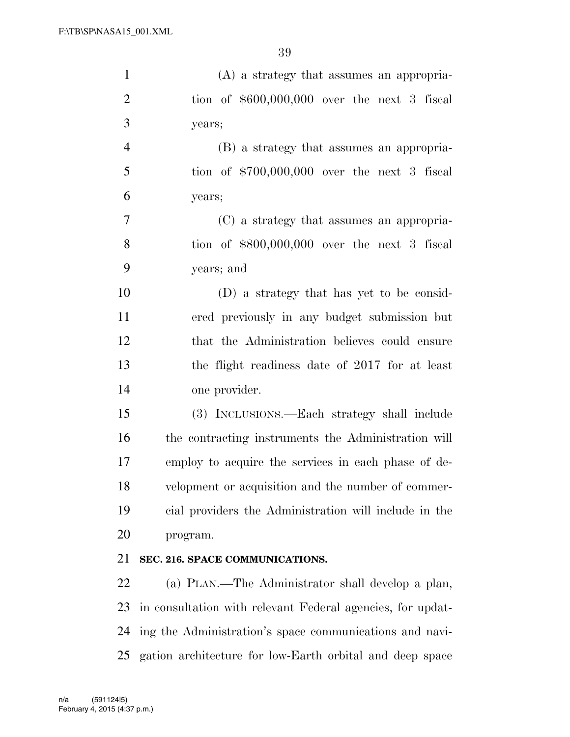| $\mathbf{1}$   | (A) a strategy that assumes an appropria-                  |
|----------------|------------------------------------------------------------|
| $\overline{2}$ | tion of $$600,000,000$ over the next 3 fiscal              |
| 3              | years;                                                     |
| $\overline{4}$ | (B) a strategy that assumes an appropria-                  |
| 5              | tion of $$700,000,000$ over the next 3 fiscal              |
| 6              | years;                                                     |
| $\overline{7}$ | (C) a strategy that assumes an appropria-                  |
| 8              | tion of $$800,000,000$ over the next 3 fiscal              |
| 9              | years; and                                                 |
| 10             | (D) a strategy that has yet to be consid-                  |
| 11             | ered previously in any budget submission but               |
| 12             | that the Administration believes could ensure              |
| 13             | the flight readiness date of 2017 for at least             |
| 14             | one provider.                                              |
| 15             | (3) INCLUSIONS.—Each strategy shall include                |
| 16             | the contracting instruments the Administration will        |
| 17             | employ to acquire the services in each phase of de-        |
| 18             | velopment or acquisition and the number of commer-         |
| 19             | cial providers the Administration will include in the      |
| 20             | program.                                                   |
| 21             | SEC. 216. SPACE COMMUNICATIONS.                            |
| 22             | (a) PLAN.—The Administrator shall develop a plan,          |
| 23             | in consultation with relevant Federal agencies, for updat- |
| 24             | ing the Administration's space communications and navi-    |
| 25             | gation architecture for low-Earth orbital and deep space   |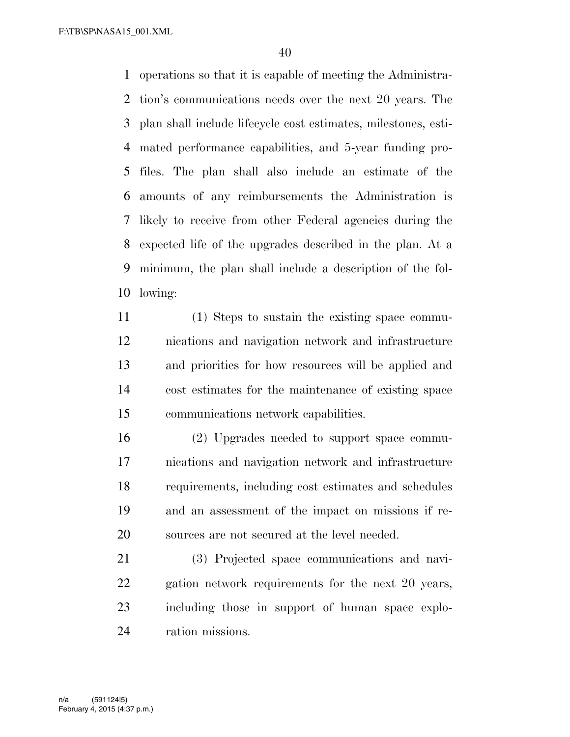F:\TB\SP\NASA15\_001.XML

 operations so that it is capable of meeting the Administra- tion's communications needs over the next 20 years. The plan shall include lifecycle cost estimates, milestones, esti- mated performance capabilities, and 5-year funding pro- files. The plan shall also include an estimate of the amounts of any reimbursements the Administration is likely to receive from other Federal agencies during the expected life of the upgrades described in the plan. At a minimum, the plan shall include a description of the fol-lowing:

 (1) Steps to sustain the existing space commu- nications and navigation network and infrastructure and priorities for how resources will be applied and cost estimates for the maintenance of existing space communications network capabilities.

 (2) Upgrades needed to support space commu- nications and navigation network and infrastructure requirements, including cost estimates and schedules and an assessment of the impact on missions if re-sources are not secured at the level needed.

 (3) Projected space communications and navi- gation network requirements for the next 20 years, including those in support of human space explo-ration missions.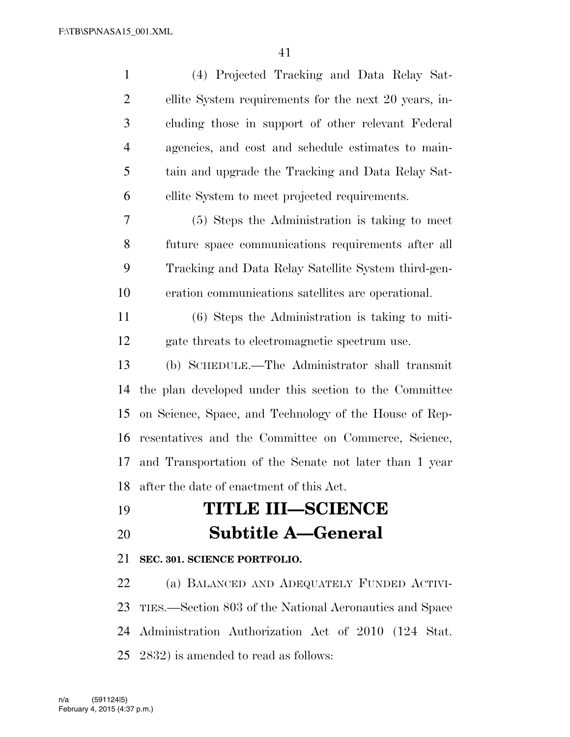| $\mathbf{1}$   | (4) Projected Tracking and Data Relay Sat-              |
|----------------|---------------------------------------------------------|
| $\overline{2}$ | ellite System requirements for the next 20 years, in-   |
| 3              | cluding those in support of other relevant Federal      |
| $\overline{4}$ | agencies, and cost and schedule estimates to main-      |
| 5              | tain and upgrade the Tracking and Data Relay Sat-       |
| 6              | ellite System to meet projected requirements.           |
| 7              | (5) Steps the Administration is taking to meet          |
| 8              | future space communications requirements after all      |
| 9              | Tracking and Data Relay Satellite System third-gen-     |
| 10             | eration communications satellites are operational.      |
| 11             | $(6)$ Steps the Administration is taking to miti-       |
| 12             | gate threats to electromagnetic spectrum use.           |
| 13             | (b) SCHEDULE.—The Administrator shall transmit          |
| 14             | the plan developed under this section to the Committee  |
| 15             | on Science, Space, and Technology of the House of Rep-  |
| 16             | resentatives and the Committee on Commerce, Science,    |
| 17             | and Transportation of the Senate not later than 1 year  |
| 18             | after the date of enactment of this Act.                |
| 19             | <b>TITLE III-SCIENCE</b>                                |
| 20             | <b>Subtitle A–General</b>                               |
| 21             | SEC. 301. SCIENCE PORTFOLIO.                            |
| 22             | (a) BALANCED AND ADEQUATELY FUNDED ACTIVI-              |
| 23             | TIES.—Section 803 of the National Aeronautics and Space |
| 24             | Administration Authorization Act of 2010 (124 Stat.     |

2832) is amended to read as follows: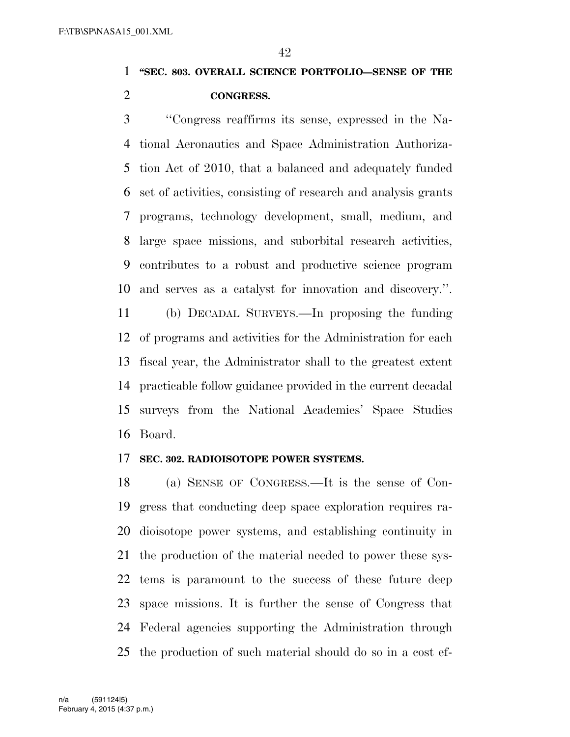## **''SEC. 803. OVERALL SCIENCE PORTFOLIO—SENSE OF THE CONGRESS.**

 ''Congress reaffirms its sense, expressed in the Na- tional Aeronautics and Space Administration Authoriza- tion Act of 2010, that a balanced and adequately funded set of activities, consisting of research and analysis grants programs, technology development, small, medium, and large space missions, and suborbital research activities, contributes to a robust and productive science program and serves as a catalyst for innovation and discovery.''.

 (b) DECADAL SURVEYS.—In proposing the funding of programs and activities for the Administration for each fiscal year, the Administrator shall to the greatest extent practicable follow guidance provided in the current decadal surveys from the National Academies' Space Studies Board.

#### **SEC. 302. RADIOISOTOPE POWER SYSTEMS.**

 (a) SENSE OF CONGRESS.—It is the sense of Con- gress that conducting deep space exploration requires ra- dioisotope power systems, and establishing continuity in the production of the material needed to power these sys- tems is paramount to the success of these future deep space missions. It is further the sense of Congress that Federal agencies supporting the Administration through the production of such material should do so in a cost ef-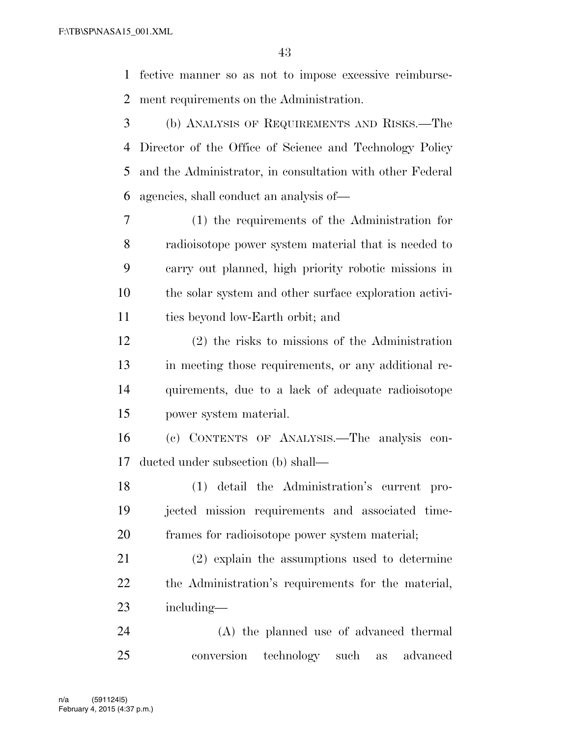fective manner so as not to impose excessive reimburse-ment requirements on the Administration.

 (b) ANALYSIS OF REQUIREMENTS AND RISKS.—The Director of the Office of Science and Technology Policy and the Administrator, in consultation with other Federal agencies, shall conduct an analysis of—

 (1) the requirements of the Administration for radioisotope power system material that is needed to carry out planned, high priority robotic missions in the solar system and other surface exploration activi-ties beyond low-Earth orbit; and

 (2) the risks to missions of the Administration in meeting those requirements, or any additional re- quirements, due to a lack of adequate radioisotope power system material.

 (c) CONTENTS OF ANALYSIS.—The analysis con-ducted under subsection (b) shall—

 (1) detail the Administration's current pro- jected mission requirements and associated time-frames for radioisotope power system material;

 (2) explain the assumptions used to determine the Administration's requirements for the material, including—

 (A) the planned use of advanced thermal conversion technology such as advanced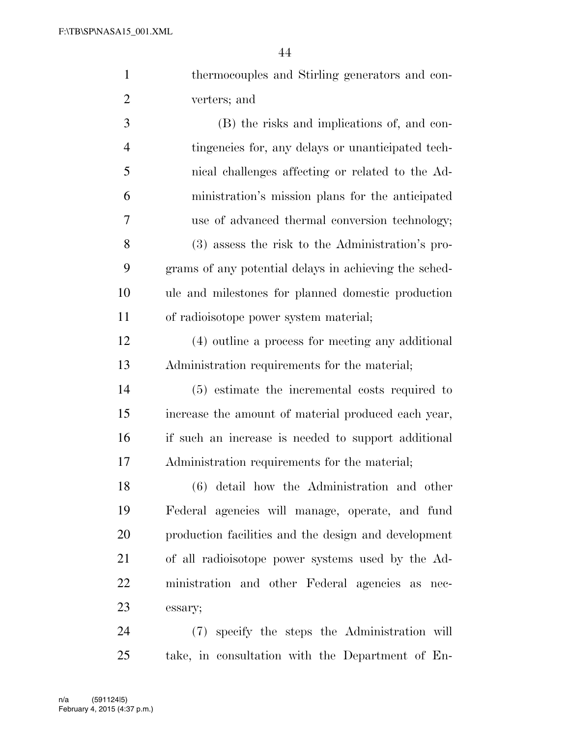|                | 44                                                    |
|----------------|-------------------------------------------------------|
| $\mathbf{1}$   | thermocouples and Stirling generators and con-        |
| $\overline{2}$ | verters; and                                          |
| 3              | (B) the risks and implications of, and con-           |
| $\overline{4}$ | tingencies for, any delays or unanticipated tech-     |
| 5              | nical challenges affecting or related to the Ad-      |
| 6              | ministration's mission plans for the anticipated      |
| $\tau$         | use of advanced thermal conversion technology;        |
| 8              | (3) assess the risk to the Administration's pro-      |
| 9              | grams of any potential delays in achieving the sched- |
| 10             | ule and milestones for planned domestic production    |
| 11             | of radioisotope power system material;                |
| 12             | (4) outline a process for meeting any additional      |
| 13             | Administration requirements for the material;         |
| 14             | (5) estimate the incremental costs required to        |
| 15             | increase the amount of material produced each year,   |
| 16             | if such an increase is needed to support additional   |
|                |                                                       |

Administration requirements for the material;

 (6) detail how the Administration and other Federal agencies will manage, operate, and fund production facilities and the design and development of all radioisotope power systems used by the Ad- ministration and other Federal agencies as nec-essary;

 (7) specify the steps the Administration will take, in consultation with the Department of En-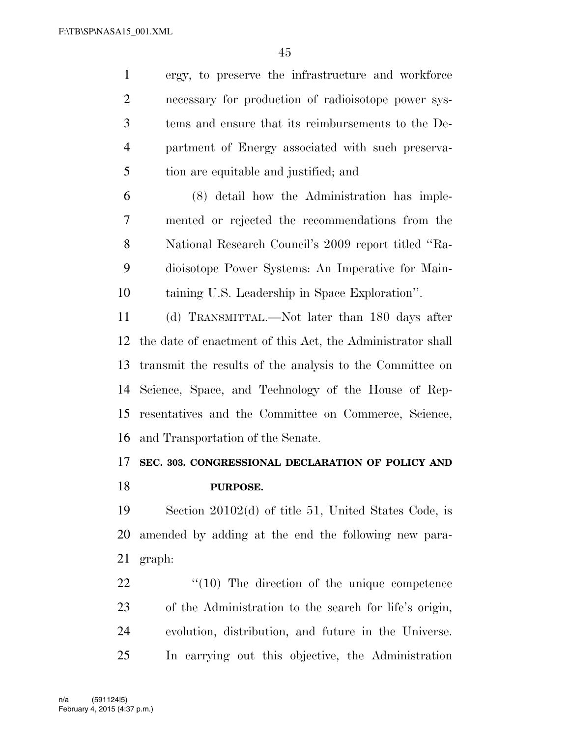ergy, to preserve the infrastructure and workforce necessary for production of radioisotope power sys- tems and ensure that its reimbursements to the De- partment of Energy associated with such preserva-tion are equitable and justified; and

 (8) detail how the Administration has imple- mented or rejected the recommendations from the National Research Council's 2009 report titled ''Ra- dioisotope Power Systems: An Imperative for Main-taining U.S. Leadership in Space Exploration''.

 (d) TRANSMITTAL.—Not later than 180 days after the date of enactment of this Act, the Administrator shall transmit the results of the analysis to the Committee on Science, Space, and Technology of the House of Rep- resentatives and the Committee on Commerce, Science, and Transportation of the Senate.

# **SEC. 303. CONGRESSIONAL DECLARATION OF POLICY AND PURPOSE.**

 Section 20102(d) of title 51, United States Code, is amended by adding at the end the following new para-graph:

 $\frac{4}{10}$  The direction of the unique competence of the Administration to the search for life's origin, evolution, distribution, and future in the Universe. In carrying out this objective, the Administration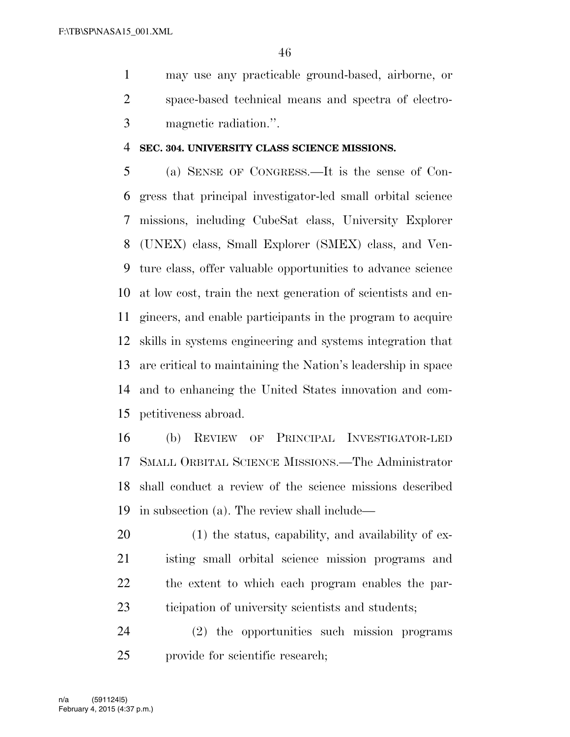may use any practicable ground-based, airborne, or space-based technical means and spectra of electro-magnetic radiation.''.

#### **SEC. 304. UNIVERSITY CLASS SCIENCE MISSIONS.**

 (a) SENSE OF CONGRESS.—It is the sense of Con- gress that principal investigator-led small orbital science missions, including CubeSat class, University Explorer (UNEX) class, Small Explorer (SMEX) class, and Ven- ture class, offer valuable opportunities to advance science at low cost, train the next generation of scientists and en- gineers, and enable participants in the program to acquire skills in systems engineering and systems integration that are critical to maintaining the Nation's leadership in space and to enhancing the United States innovation and com-petitiveness abroad.

 (b) REVIEW OF PRINCIPAL INVESTIGATOR-LED SMALL ORBITAL SCIENCE MISSIONS.—The Administrator shall conduct a review of the science missions described in subsection (a). The review shall include—

20 (1) the status, capability, and availability of ex- isting small orbital science mission programs and the extent to which each program enables the par-ticipation of university scientists and students;

 (2) the opportunities such mission programs provide for scientific research;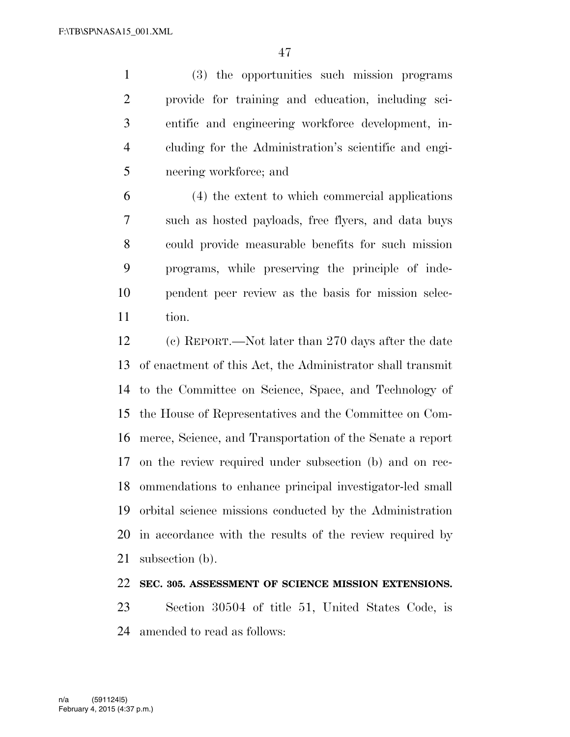(3) the opportunities such mission programs provide for training and education, including sci- entific and engineering workforce development, in- cluding for the Administration's scientific and engi-neering workforce; and

 (4) the extent to which commercial applications such as hosted payloads, free flyers, and data buys could provide measurable benefits for such mission programs, while preserving the principle of inde- pendent peer review as the basis for mission selec-tion.

 (c) REPORT.—Not later than 270 days after the date of enactment of this Act, the Administrator shall transmit to the Committee on Science, Space, and Technology of the House of Representatives and the Committee on Com- merce, Science, and Transportation of the Senate a report on the review required under subsection (b) and on rec- ommendations to enhance principal investigator-led small orbital science missions conducted by the Administration in accordance with the results of the review required by subsection (b).

## **SEC. 305. ASSESSMENT OF SCIENCE MISSION EXTENSIONS.**

 Section 30504 of title 51, United States Code, is amended to read as follows: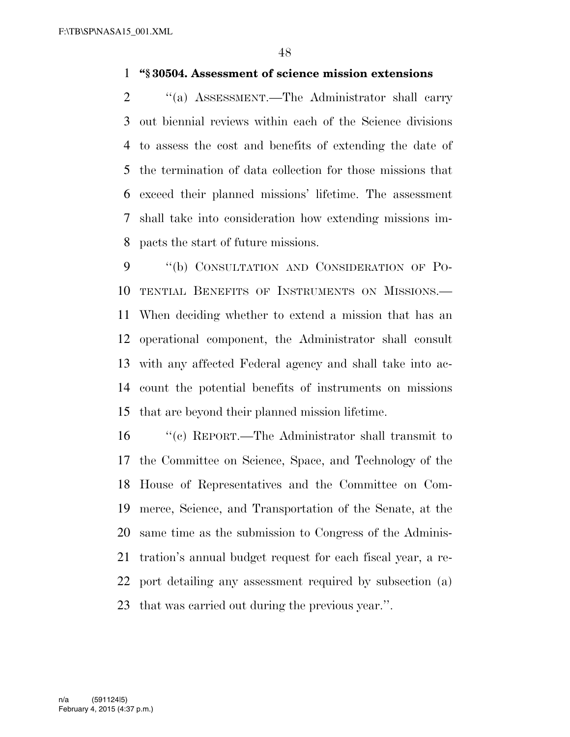### **''§ 30504. Assessment of science mission extensions**

 ''(a) ASSESSMENT.—The Administrator shall carry out biennial reviews within each of the Science divisions to assess the cost and benefits of extending the date of the termination of data collection for those missions that exceed their planned missions' lifetime. The assessment shall take into consideration how extending missions im-pacts the start of future missions.

9 "(b) CONSULTATION AND CONSIDERATION OF PO- TENTIAL BENEFITS OF INSTRUMENTS ON MISSIONS.— When deciding whether to extend a mission that has an operational component, the Administrator shall consult with any affected Federal agency and shall take into ac- count the potential benefits of instruments on missions that are beyond their planned mission lifetime.

 ''(c) REPORT.—The Administrator shall transmit to the Committee on Science, Space, and Technology of the House of Representatives and the Committee on Com- merce, Science, and Transportation of the Senate, at the same time as the submission to Congress of the Adminis- tration's annual budget request for each fiscal year, a re- port detailing any assessment required by subsection (a) that was carried out during the previous year.''.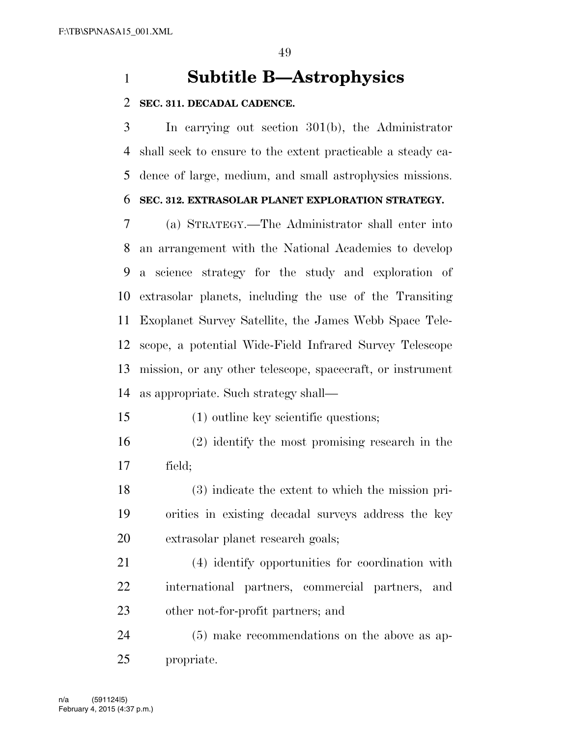# **Subtitle B—Astrophysics**

#### **SEC. 311. DECADAL CADENCE.**

 In carrying out section 301(b), the Administrator shall seek to ensure to the extent practicable a steady ca-dence of large, medium, and small astrophysics missions.

## **SEC. 312. EXTRASOLAR PLANET EXPLORATION STRATEGY.**

 (a) STRATEGY.—The Administrator shall enter into an arrangement with the National Academies to develop a science strategy for the study and exploration of extrasolar planets, including the use of the Transiting Exoplanet Survey Satellite, the James Webb Space Tele- scope, a potential Wide-Field Infrared Survey Telescope mission, or any other telescope, spacecraft, or instrument as appropriate. Such strategy shall—

- (1) outline key scientific questions;
- (2) identify the most promising research in the field;
- (3) indicate the extent to which the mission pri- orities in existing decadal surveys address the key extrasolar planet research goals;
- (4) identify opportunities for coordination with international partners, commercial partners, and other not-for-profit partners; and
- (5) make recommendations on the above as ap-propriate.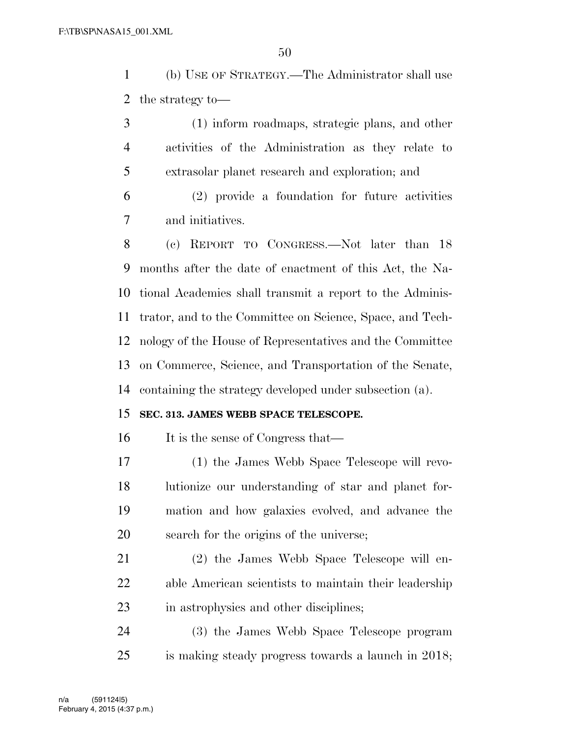(b) USE OF STRATEGY.—The Administrator shall use the strategy to—

 (1) inform roadmaps, strategic plans, and other activities of the Administration as they relate to extrasolar planet research and exploration; and

 (2) provide a foundation for future activities and initiatives.

 (c) REPORT TO CONGRESS.—Not later than 18 months after the date of enactment of this Act, the Na- tional Academies shall transmit a report to the Adminis- trator, and to the Committee on Science, Space, and Tech- nology of the House of Representatives and the Committee on Commerce, Science, and Transportation of the Senate, containing the strategy developed under subsection (a).

### **SEC. 313. JAMES WEBB SPACE TELESCOPE.**

16 It is the sense of Congress that—

 (1) the James Webb Space Telescope will revo- lutionize our understanding of star and planet for- mation and how galaxies evolved, and advance the search for the origins of the universe;

 (2) the James Webb Space Telescope will en- able American scientists to maintain their leadership in astrophysics and other disciplines;

 (3) the James Webb Space Telescope program is making steady progress towards a launch in 2018;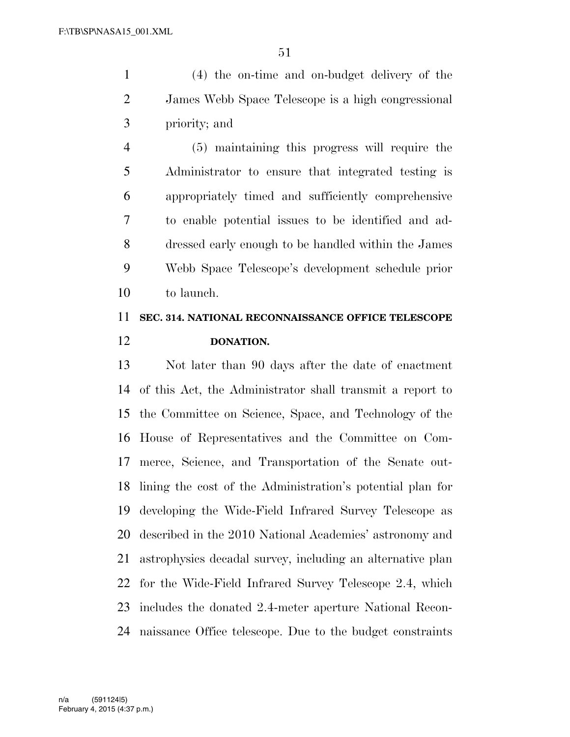(4) the on-time and on-budget delivery of the James Webb Space Telescope is a high congressional priority; and

 (5) maintaining this progress will require the Administrator to ensure that integrated testing is appropriately timed and sufficiently comprehensive to enable potential issues to be identified and ad- dressed early enough to be handled within the James Webb Space Telescope's development schedule prior to launch.

# **SEC. 314. NATIONAL RECONNAISSANCE OFFICE TELESCOPE DONATION.**

 Not later than 90 days after the date of enactment of this Act, the Administrator shall transmit a report to the Committee on Science, Space, and Technology of the House of Representatives and the Committee on Com- merce, Science, and Transportation of the Senate out- lining the cost of the Administration's potential plan for developing the Wide-Field Infrared Survey Telescope as described in the 2010 National Academies' astronomy and astrophysics decadal survey, including an alternative plan for the Wide-Field Infrared Survey Telescope 2.4, which includes the donated 2.4-meter aperture National Recon-naissance Office telescope. Due to the budget constraints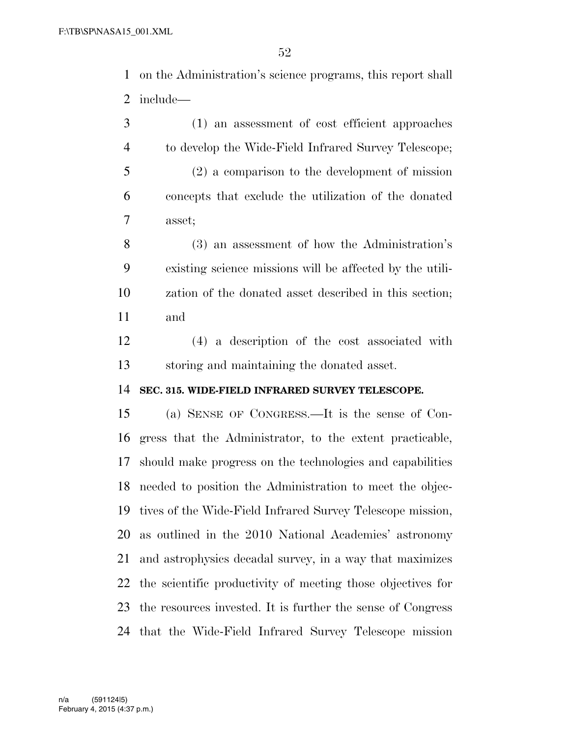on the Administration's science programs, this report shall include—

 (1) an assessment of cost efficient approaches to develop the Wide-Field Infrared Survey Telescope; (2) a comparison to the development of mission concepts that exclude the utilization of the donated asset;

 (3) an assessment of how the Administration's existing science missions will be affected by the utili- zation of the donated asset described in this section; and

 (4) a description of the cost associated with storing and maintaining the donated asset.

#### **SEC. 315. WIDE-FIELD INFRARED SURVEY TELESCOPE.**

 (a) SENSE OF CONGRESS.—It is the sense of Con- gress that the Administrator, to the extent practicable, should make progress on the technologies and capabilities needed to position the Administration to meet the objec- tives of the Wide-Field Infrared Survey Telescope mission, as outlined in the 2010 National Academies' astronomy and astrophysics decadal survey, in a way that maximizes the scientific productivity of meeting those objectives for the resources invested. It is further the sense of Congress that the Wide-Field Infrared Survey Telescope mission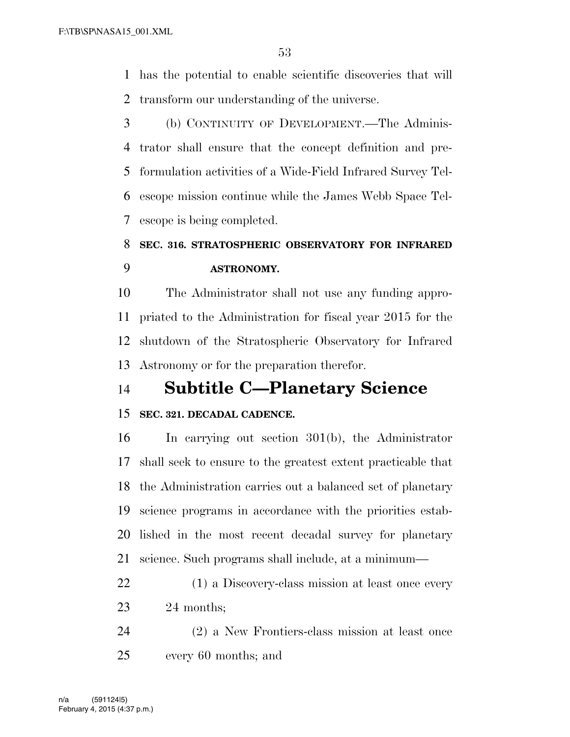has the potential to enable scientific discoveries that will transform our understanding of the universe.

 (b) CONTINUITY OF DEVELOPMENT.—The Adminis- trator shall ensure that the concept definition and pre- formulation activities of a Wide-Field Infrared Survey Tel- escope mission continue while the James Webb Space Tel-escope is being completed.

# **SEC. 316. STRATOSPHERIC OBSERVATORY FOR INFRARED ASTRONOMY.**

 The Administrator shall not use any funding appro- priated to the Administration for fiscal year 2015 for the shutdown of the Stratospheric Observatory for Infrared Astronomy or for the preparation therefor.

# **Subtitle C—Planetary Science**

### **SEC. 321. DECADAL CADENCE.**

 In carrying out section 301(b), the Administrator shall seek to ensure to the greatest extent practicable that the Administration carries out a balanced set of planetary science programs in accordance with the priorities estab- lished in the most recent decadal survey for planetary science. Such programs shall include, at a minimum—

- (1) a Discovery-class mission at least once every 24 months;
- (2) a New Frontiers-class mission at least once every 60 months; and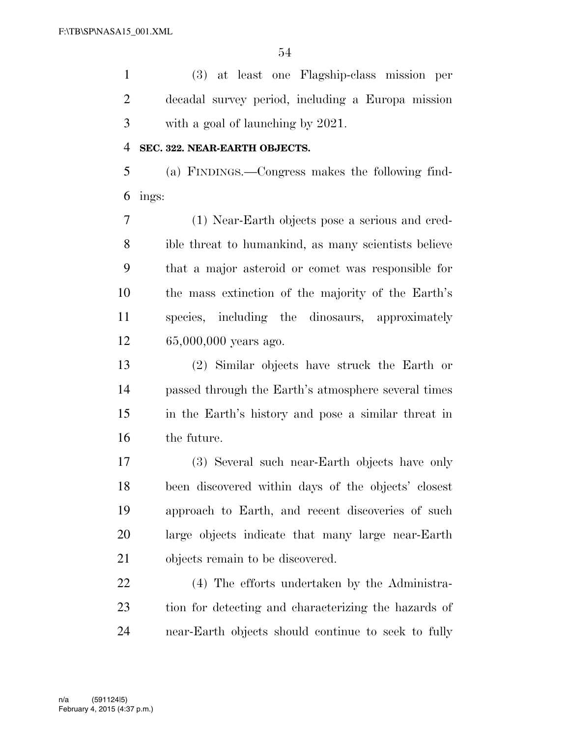(3) at least one Flagship-class mission per decadal survey period, including a Europa mission with a goal of launching by 2021.

#### **SEC. 322. NEAR-EARTH OBJECTS.**

 (a) FINDINGS.—Congress makes the following find-ings:

 (1) Near-Earth objects pose a serious and cred- ible threat to humankind, as many scientists believe that a major asteroid or comet was responsible for the mass extinction of the majority of the Earth's species, including the dinosaurs, approximately 65,000,000 years ago.

 (2) Similar objects have struck the Earth or passed through the Earth's atmosphere several times in the Earth's history and pose a similar threat in the future.

 (3) Several such near-Earth objects have only been discovered within days of the objects' closest approach to Earth, and recent discoveries of such large objects indicate that many large near-Earth objects remain to be discovered.

 (4) The efforts undertaken by the Administra- tion for detecting and characterizing the hazards of near-Earth objects should continue to seek to fully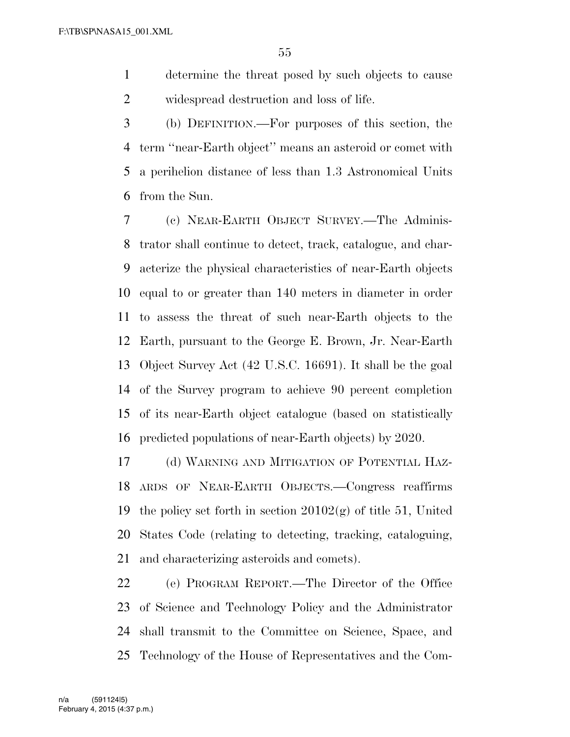determine the threat posed by such objects to cause widespread destruction and loss of life.

 (b) DEFINITION.—For purposes of this section, the term ''near-Earth object'' means an asteroid or comet with a perihelion distance of less than 1.3 Astronomical Units from the Sun.

 (c) NEAR-EARTH OBJECT SURVEY.—The Adminis- trator shall continue to detect, track, catalogue, and char- acterize the physical characteristics of near-Earth objects equal to or greater than 140 meters in diameter in order to assess the threat of such near-Earth objects to the Earth, pursuant to the George E. Brown, Jr. Near-Earth Object Survey Act (42 U.S.C. 16691). It shall be the goal of the Survey program to achieve 90 percent completion of its near-Earth object catalogue (based on statistically predicted populations of near-Earth objects) by 2020.

 (d) WARNING AND MITIGATION OF POTENTIAL HAZ- ARDS OF NEAR-EARTH OBJECTS.—Congress reaffirms 19 the policy set forth in section  $20102(g)$  of title 51, United States Code (relating to detecting, tracking, cataloguing, and characterizing asteroids and comets).

 (e) PROGRAM REPORT.—The Director of the Office of Science and Technology Policy and the Administrator shall transmit to the Committee on Science, Space, and Technology of the House of Representatives and the Com-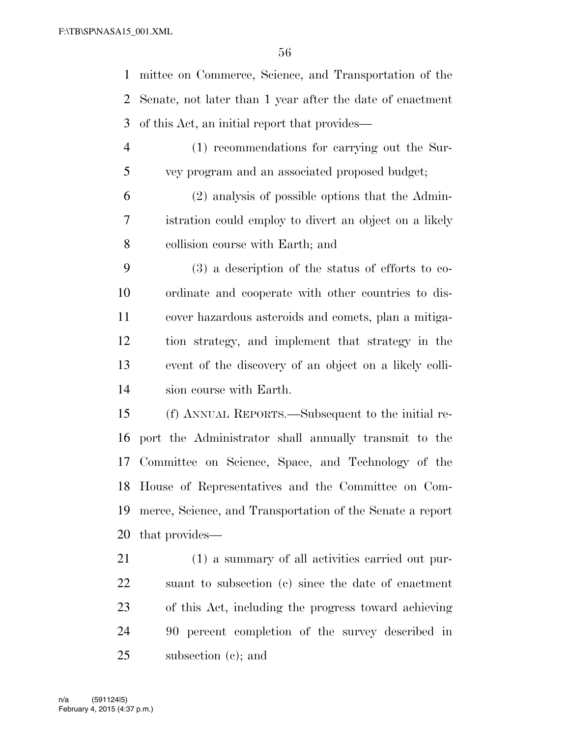mittee on Commerce, Science, and Transportation of the Senate, not later than 1 year after the date of enactment of this Act, an initial report that provides—

- (1) recommendations for carrying out the Sur-vey program and an associated proposed budget;
- (2) analysis of possible options that the Admin- istration could employ to divert an object on a likely collision course with Earth; and
- (3) a description of the status of efforts to co- ordinate and cooperate with other countries to dis- cover hazardous asteroids and comets, plan a mitiga- tion strategy, and implement that strategy in the event of the discovery of an object on a likely colli-sion course with Earth.
- (f) ANNUAL REPORTS.—Subsequent to the initial re- port the Administrator shall annually transmit to the Committee on Science, Space, and Technology of the House of Representatives and the Committee on Com- merce, Science, and Transportation of the Senate a report that provides—
- (1) a summary of all activities carried out pur- suant to subsection (c) since the date of enactment of this Act, including the progress toward achieving 90 percent completion of the survey described in subsection (c); and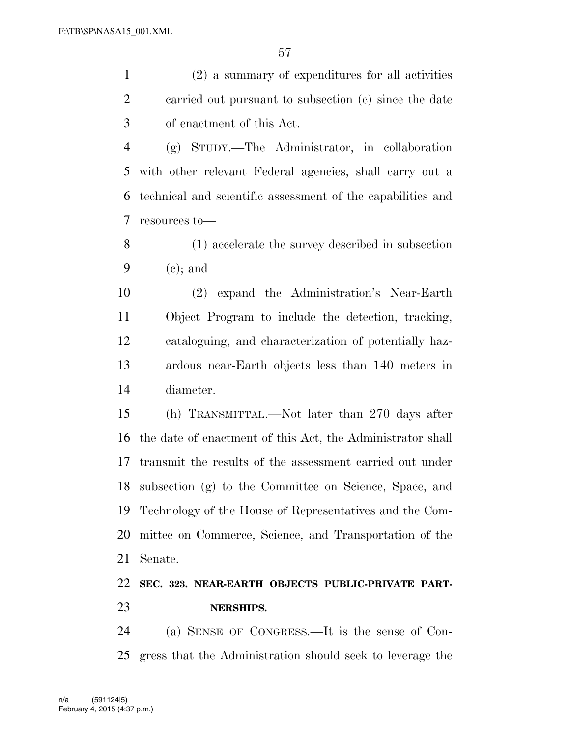(2) a summary of expenditures for all activities carried out pursuant to subsection (c) since the date of enactment of this Act.

 (g) STUDY.—The Administrator, in collaboration with other relevant Federal agencies, shall carry out a technical and scientific assessment of the capabilities and resources to—

 (1) accelerate the survey described in subsection (c); and

 (2) expand the Administration's Near-Earth Object Program to include the detection, tracking, cataloguing, and characterization of potentially haz- ardous near-Earth objects less than 140 meters in diameter.

 (h) TRANSMITTAL.—Not later than 270 days after the date of enactment of this Act, the Administrator shall transmit the results of the assessment carried out under subsection (g) to the Committee on Science, Space, and Technology of the House of Representatives and the Com- mittee on Commerce, Science, and Transportation of the Senate.

## **SEC. 323. NEAR-EARTH OBJECTS PUBLIC-PRIVATE PART-NERSHIPS.**

 (a) SENSE OF CONGRESS.—It is the sense of Con-gress that the Administration should seek to leverage the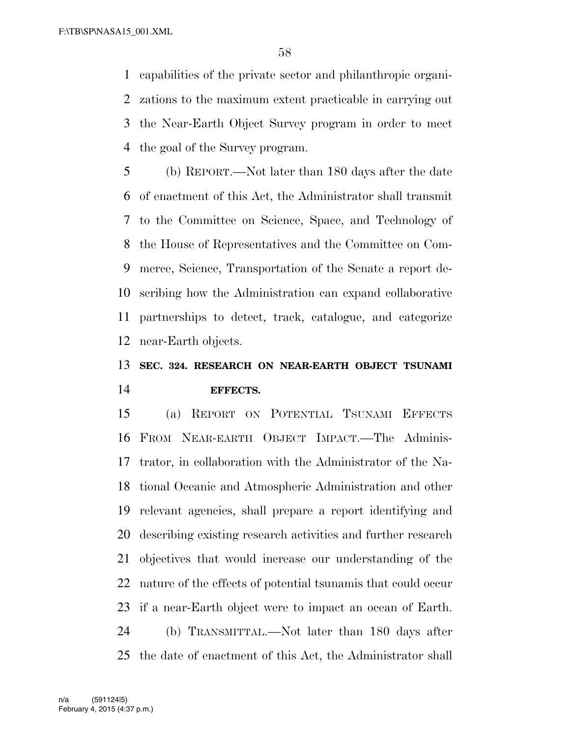capabilities of the private sector and philanthropic organi- zations to the maximum extent practicable in carrying out the Near-Earth Object Survey program in order to meet the goal of the Survey program.

 (b) REPORT.—Not later than 180 days after the date of enactment of this Act, the Administrator shall transmit to the Committee on Science, Space, and Technology of the House of Representatives and the Committee on Com- merce, Science, Transportation of the Senate a report de- scribing how the Administration can expand collaborative partnerships to detect, track, catalogue, and categorize near-Earth objects.

# **SEC. 324. RESEARCH ON NEAR-EARTH OBJECT TSUNAMI EFFECTS.**

 (a) REPORT ON POTENTIAL TSUNAMI EFFECTS FROM NEAR-EARTH OBJECT IMPACT.—The Adminis- trator, in collaboration with the Administrator of the Na- tional Oceanic and Atmospheric Administration and other relevant agencies, shall prepare a report identifying and describing existing research activities and further research objectives that would increase our understanding of the nature of the effects of potential tsunamis that could occur if a near-Earth object were to impact an ocean of Earth. (b) TRANSMITTAL.—Not later than 180 days after the date of enactment of this Act, the Administrator shall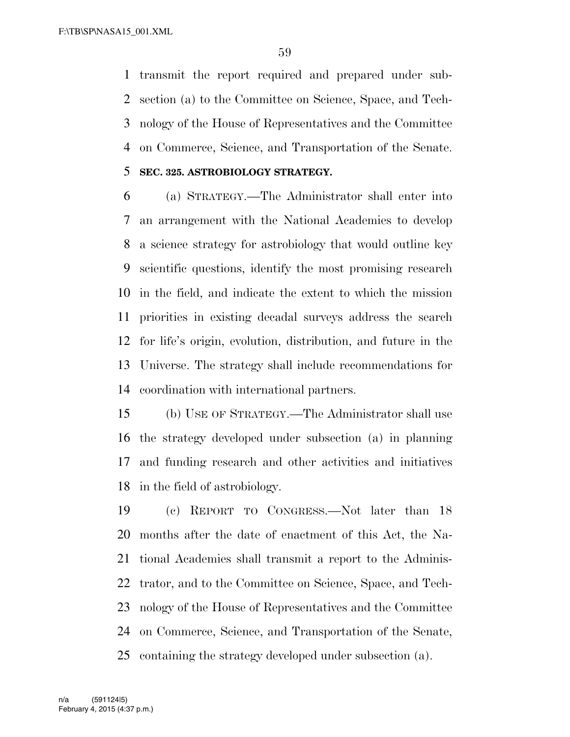transmit the report required and prepared under sub- section (a) to the Committee on Science, Space, and Tech- nology of the House of Representatives and the Committee on Commerce, Science, and Transportation of the Senate.

### **SEC. 325. ASTROBIOLOGY STRATEGY.**

 (a) STRATEGY.—The Administrator shall enter into an arrangement with the National Academies to develop a science strategy for astrobiology that would outline key scientific questions, identify the most promising research in the field, and indicate the extent to which the mission priorities in existing decadal surveys address the search for life's origin, evolution, distribution, and future in the Universe. The strategy shall include recommendations for coordination with international partners.

 (b) USE OF STRATEGY.—The Administrator shall use the strategy developed under subsection (a) in planning and funding research and other activities and initiatives in the field of astrobiology.

 (c) REPORT TO CONGRESS.—Not later than 18 months after the date of enactment of this Act, the Na- tional Academies shall transmit a report to the Adminis- trator, and to the Committee on Science, Space, and Tech- nology of the House of Representatives and the Committee on Commerce, Science, and Transportation of the Senate, containing the strategy developed under subsection (a).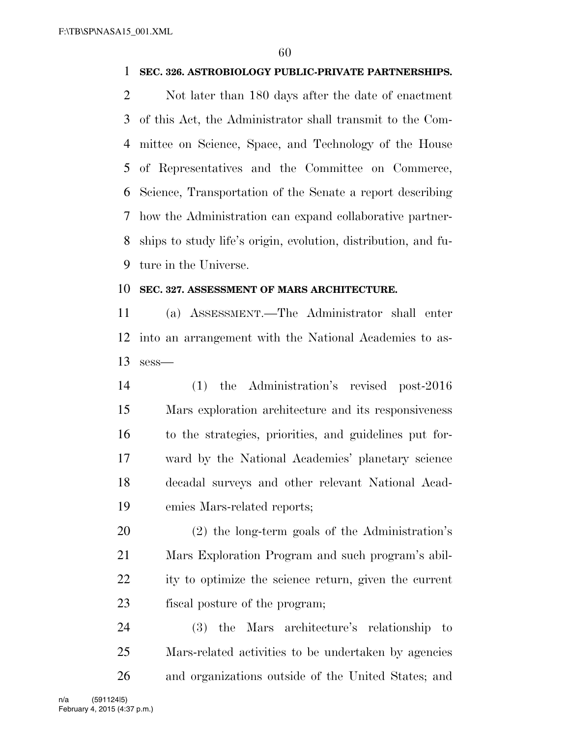#### **SEC. 326. ASTROBIOLOGY PUBLIC-PRIVATE PARTNERSHIPS.**

 Not later than 180 days after the date of enactment of this Act, the Administrator shall transmit to the Com- mittee on Science, Space, and Technology of the House of Representatives and the Committee on Commerce, Science, Transportation of the Senate a report describing how the Administration can expand collaborative partner- ships to study life's origin, evolution, distribution, and fu-ture in the Universe.

#### **SEC. 327. ASSESSMENT OF MARS ARCHITECTURE.**

 (a) ASSESSMENT.—The Administrator shall enter into an arrangement with the National Academies to as-sess—

 (1) the Administration's revised post-2016 Mars exploration architecture and its responsiveness to the strategies, priorities, and guidelines put for- ward by the National Academies' planetary science decadal surveys and other relevant National Acad-emies Mars-related reports;

 (2) the long-term goals of the Administration's Mars Exploration Program and such program's abil- ity to optimize the science return, given the current fiscal posture of the program;

 (3) the Mars architecture's relationship to Mars-related activities to be undertaken by agencies and organizations outside of the United States; and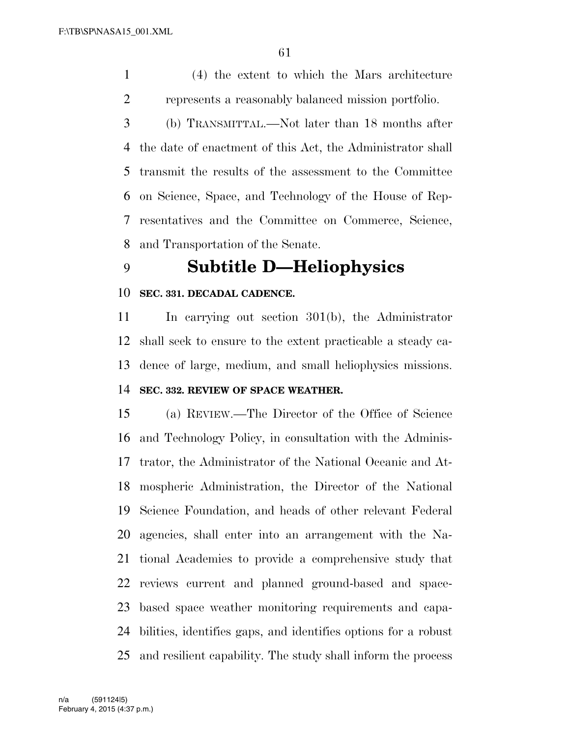(4) the extent to which the Mars architecture represents a reasonably balanced mission portfolio.

 (b) TRANSMITTAL.—Not later than 18 months after the date of enactment of this Act, the Administrator shall transmit the results of the assessment to the Committee on Science, Space, and Technology of the House of Rep- resentatives and the Committee on Commerce, Science, and Transportation of the Senate.

# **Subtitle D—Heliophysics**

#### **SEC. 331. DECADAL CADENCE.**

 In carrying out section 301(b), the Administrator shall seek to ensure to the extent practicable a steady ca-dence of large, medium, and small heliophysics missions.

## **SEC. 332. REVIEW OF SPACE WEATHER.**

 (a) REVIEW.—The Director of the Office of Science and Technology Policy, in consultation with the Adminis- trator, the Administrator of the National Oceanic and At- mospheric Administration, the Director of the National Science Foundation, and heads of other relevant Federal agencies, shall enter into an arrangement with the Na- tional Academies to provide a comprehensive study that reviews current and planned ground-based and space- based space weather monitoring requirements and capa- bilities, identifies gaps, and identifies options for a robust and resilient capability. The study shall inform the process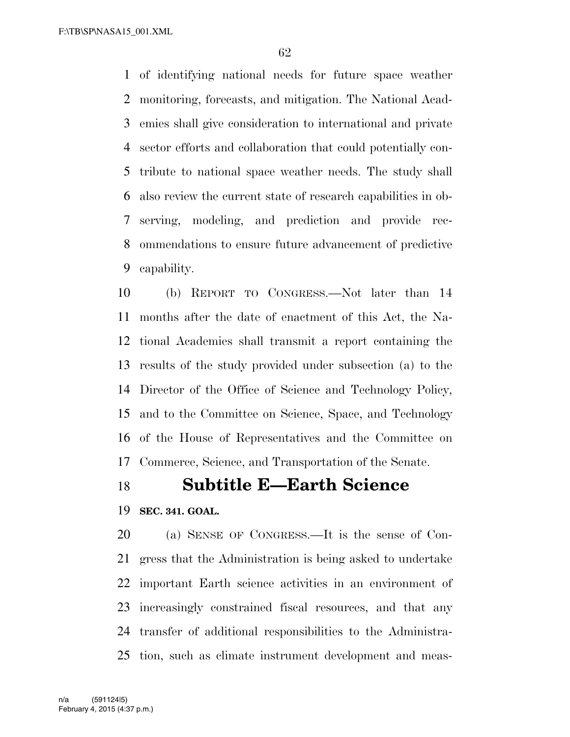F:\TB\SP\NASA15\_001.XML

 of identifying national needs for future space weather monitoring, forecasts, and mitigation. The National Acad- emies shall give consideration to international and private sector efforts and collaboration that could potentially con- tribute to national space weather needs. The study shall also review the current state of research capabilities in ob- serving, modeling, and prediction and provide rec- ommendations to ensure future advancement of predictive capability.

 (b) REPORT TO CONGRESS.—Not later than 14 months after the date of enactment of this Act, the Na- tional Academies shall transmit a report containing the results of the study provided under subsection (a) to the Director of the Office of Science and Technology Policy, and to the Committee on Science, Space, and Technology of the House of Representatives and the Committee on Commerce, Science, and Transportation of the Senate.

## **Subtitle E—Earth Science**

#### **SEC. 341. GOAL.**

 (a) SENSE OF CONGRESS.—It is the sense of Con- gress that the Administration is being asked to undertake important Earth science activities in an environment of increasingly constrained fiscal resources, and that any transfer of additional responsibilities to the Administra-tion, such as climate instrument development and meas-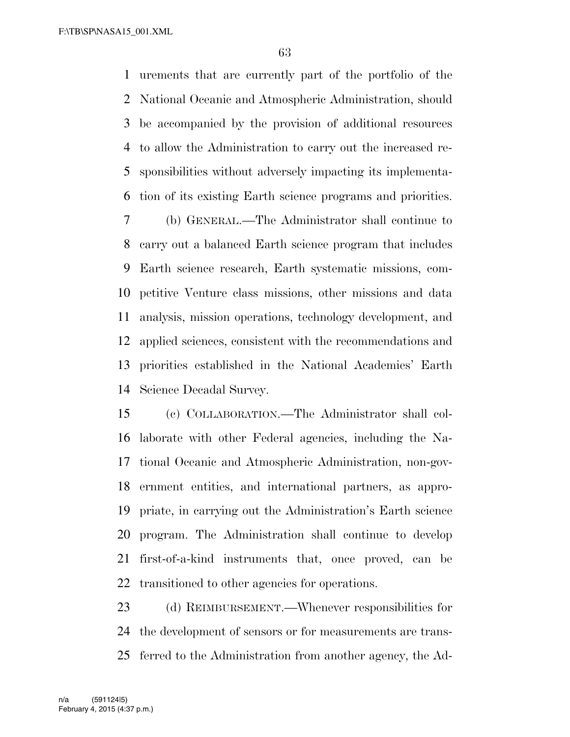F:\TB\SP\NASA15\_001.XML

 urements that are currently part of the portfolio of the National Oceanic and Atmospheric Administration, should be accompanied by the provision of additional resources to allow the Administration to carry out the increased re- sponsibilities without adversely impacting its implementa-tion of its existing Earth science programs and priorities.

 (b) GENERAL.—The Administrator shall continue to carry out a balanced Earth science program that includes Earth science research, Earth systematic missions, com- petitive Venture class missions, other missions and data analysis, mission operations, technology development, and applied sciences, consistent with the recommendations and priorities established in the National Academies' Earth Science Decadal Survey.

 (c) COLLABORATION.—The Administrator shall col- laborate with other Federal agencies, including the Na- tional Oceanic and Atmospheric Administration, non-gov- ernment entities, and international partners, as appro- priate, in carrying out the Administration's Earth science program. The Administration shall continue to develop first-of-a-kind instruments that, once proved, can be transitioned to other agencies for operations.

 (d) REIMBURSEMENT.—Whenever responsibilities for the development of sensors or for measurements are trans-ferred to the Administration from another agency, the Ad-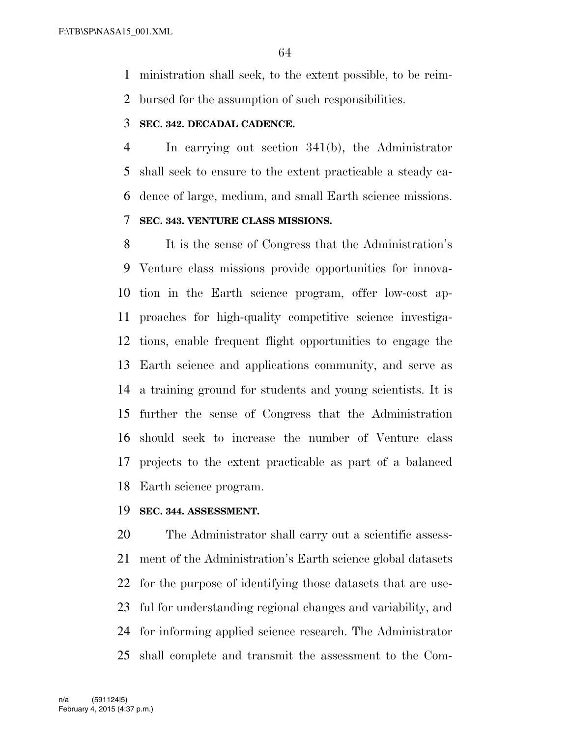ministration shall seek, to the extent possible, to be reim-bursed for the assumption of such responsibilities.

#### **SEC. 342. DECADAL CADENCE.**

 In carrying out section 341(b), the Administrator shall seek to ensure to the extent practicable a steady ca- dence of large, medium, and small Earth science missions. **SEC. 343. VENTURE CLASS MISSIONS.** 

 It is the sense of Congress that the Administration's Venture class missions provide opportunities for innova- tion in the Earth science program, offer low-cost ap- proaches for high-quality competitive science investiga- tions, enable frequent flight opportunities to engage the Earth science and applications community, and serve as a training ground for students and young scientists. It is further the sense of Congress that the Administration should seek to increase the number of Venture class projects to the extent practicable as part of a balanced Earth science program.

#### **SEC. 344. ASSESSMENT.**

 The Administrator shall carry out a scientific assess- ment of the Administration's Earth science global datasets for the purpose of identifying those datasets that are use- ful for understanding regional changes and variability, and for informing applied science research. The Administrator shall complete and transmit the assessment to the Com-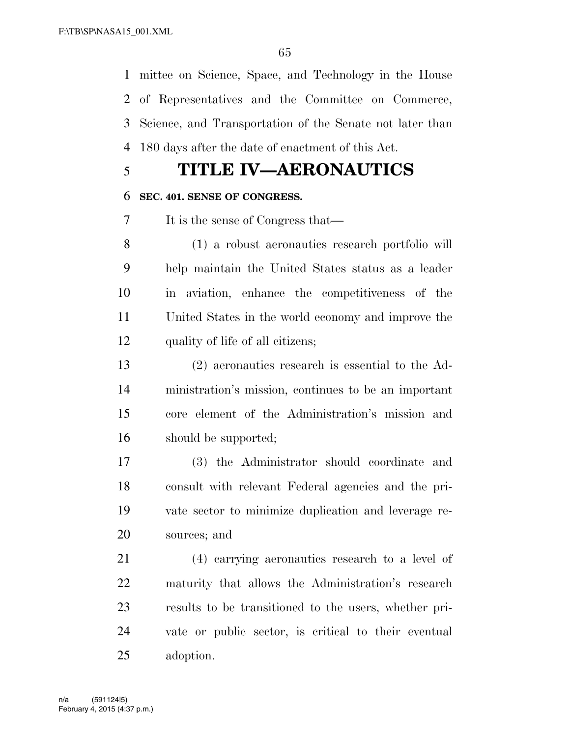mittee on Science, Space, and Technology in the House of Representatives and the Committee on Commerce, Science, and Transportation of the Senate not later than 180 days after the date of enactment of this Act.

# **TITLE IV—AERONAUTICS**

### **SEC. 401. SENSE OF CONGRESS.**

It is the sense of Congress that—

 (1) a robust aeronautics research portfolio will help maintain the United States status as a leader in aviation, enhance the competitiveness of the United States in the world economy and improve the quality of life of all citizens;

 (2) aeronautics research is essential to the Ad- ministration's mission, continues to be an important core element of the Administration's mission and should be supported;

 (3) the Administrator should coordinate and consult with relevant Federal agencies and the pri- vate sector to minimize duplication and leverage re-sources; and

 (4) carrying aeronautics research to a level of maturity that allows the Administration's research results to be transitioned to the users, whether pri- vate or public sector, is critical to their eventual adoption.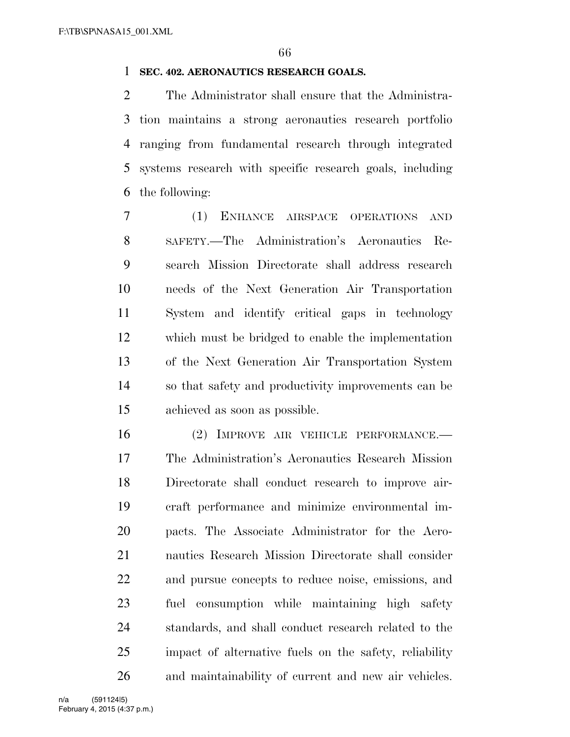#### **SEC. 402. AERONAUTICS RESEARCH GOALS.**

 The Administrator shall ensure that the Administra- tion maintains a strong aeronautics research portfolio ranging from fundamental research through integrated systems research with specific research goals, including the following:

 (1) ENHANCE AIRSPACE OPERATIONS AND SAFETY.—The Administration's Aeronautics Re- search Mission Directorate shall address research needs of the Next Generation Air Transportation System and identify critical gaps in technology which must be bridged to enable the implementation of the Next Generation Air Transportation System so that safety and productivity improvements can be achieved as soon as possible.

 (2) IMPROVE AIR VEHICLE PERFORMANCE.— The Administration's Aeronautics Research Mission Directorate shall conduct research to improve air- craft performance and minimize environmental im- pacts. The Associate Administrator for the Aero- nautics Research Mission Directorate shall consider and pursue concepts to reduce noise, emissions, and fuel consumption while maintaining high safety standards, and shall conduct research related to the impact of alternative fuels on the safety, reliability and maintainability of current and new air vehicles.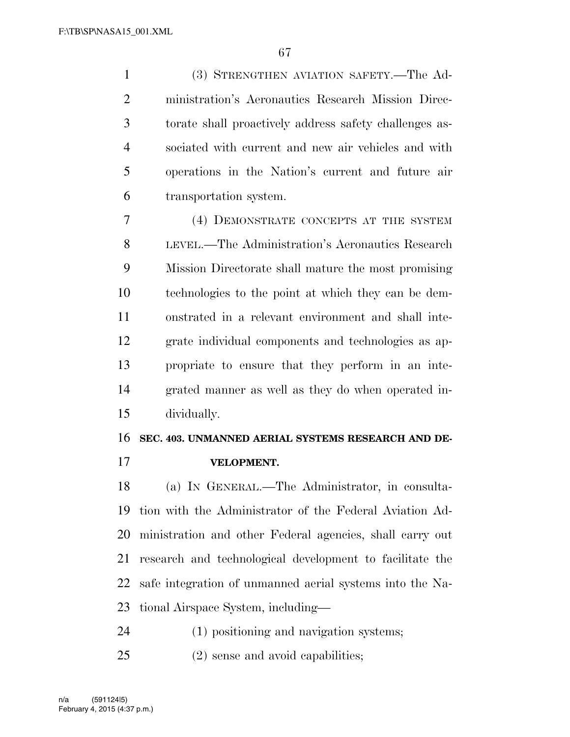(3) STRENGTHEN AVIATION SAFETY.—The Ad- ministration's Aeronautics Research Mission Direc- torate shall proactively address safety challenges as- sociated with current and new air vehicles and with operations in the Nation's current and future air transportation system.

 (4) DEMONSTRATE CONCEPTS AT THE SYSTEM LEVEL.—The Administration's Aeronautics Research Mission Directorate shall mature the most promising technologies to the point at which they can be dem- onstrated in a relevant environment and shall inte- grate individual components and technologies as ap- propriate to ensure that they perform in an inte- grated manner as well as they do when operated in-dividually.

#### **SEC. 403. UNMANNED AERIAL SYSTEMS RESEARCH AND DE-**

**VELOPMENT.** 

 (a) IN GENERAL.—The Administrator, in consulta- tion with the Administrator of the Federal Aviation Ad- ministration and other Federal agencies, shall carry out research and technological development to facilitate the safe integration of unmanned aerial systems into the Na-tional Airspace System, including—

(1) positioning and navigation systems;

(2) sense and avoid capabilities;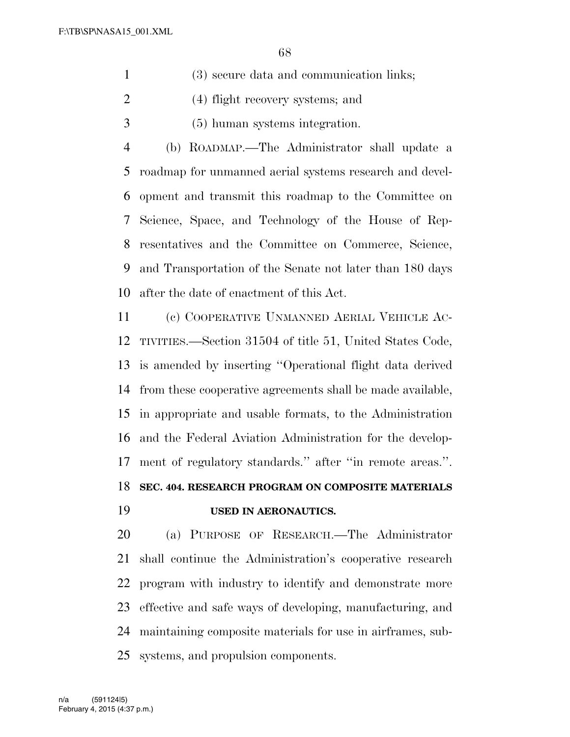- (3) secure data and communication links;
- (4) flight recovery systems; and
- (5) human systems integration.

 (b) ROADMAP.—The Administrator shall update a roadmap for unmanned aerial systems research and devel- opment and transmit this roadmap to the Committee on Science, Space, and Technology of the House of Rep- resentatives and the Committee on Commerce, Science, and Transportation of the Senate not later than 180 days after the date of enactment of this Act.

 (c) COOPERATIVE UNMANNED AERIAL VEHICLE AC- TIVITIES.—Section 31504 of title 51, United States Code, is amended by inserting ''Operational flight data derived from these cooperative agreements shall be made available, in appropriate and usable formats, to the Administration and the Federal Aviation Administration for the develop- ment of regulatory standards.'' after ''in remote areas.''. **SEC. 404. RESEARCH PROGRAM ON COMPOSITE MATERIALS USED IN AERONAUTICS.** 

 (a) PURPOSE OF RESEARCH.—The Administrator shall continue the Administration's cooperative research program with industry to identify and demonstrate more effective and safe ways of developing, manufacturing, and maintaining composite materials for use in airframes, sub-systems, and propulsion components.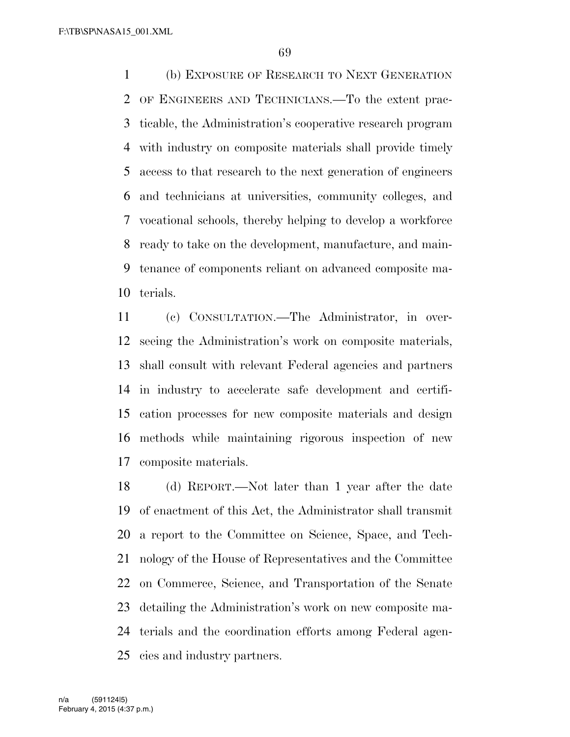(b) EXPOSURE OF RESEARCH TO NEXT GENERATION OF ENGINEERS AND TECHNICIANS.—To the extent prac- ticable, the Administration's cooperative research program with industry on composite materials shall provide timely access to that research to the next generation of engineers and technicians at universities, community colleges, and vocational schools, thereby helping to develop a workforce ready to take on the development, manufacture, and main- tenance of components reliant on advanced composite ma-terials.

 (c) CONSULTATION.—The Administrator, in over- seeing the Administration's work on composite materials, shall consult with relevant Federal agencies and partners in industry to accelerate safe development and certifi- cation processes for new composite materials and design methods while maintaining rigorous inspection of new composite materials.

 (d) REPORT.—Not later than 1 year after the date of enactment of this Act, the Administrator shall transmit a report to the Committee on Science, Space, and Tech- nology of the House of Representatives and the Committee on Commerce, Science, and Transportation of the Senate detailing the Administration's work on new composite ma- terials and the coordination efforts among Federal agen-cies and industry partners.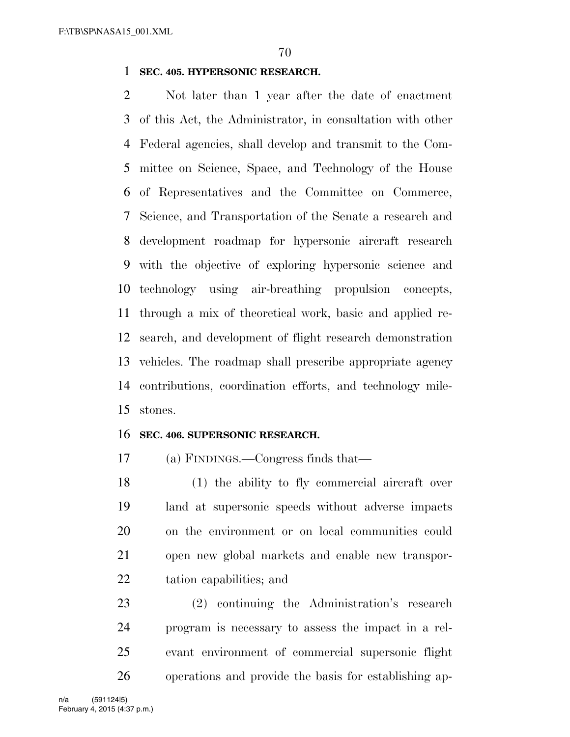#### **SEC. 405. HYPERSONIC RESEARCH.**

 Not later than 1 year after the date of enactment of this Act, the Administrator, in consultation with other Federal agencies, shall develop and transmit to the Com- mittee on Science, Space, and Technology of the House of Representatives and the Committee on Commerce, Science, and Transportation of the Senate a research and development roadmap for hypersonic aircraft research with the objective of exploring hypersonic science and technology using air-breathing propulsion concepts, through a mix of theoretical work, basic and applied re- search, and development of flight research demonstration vehicles. The roadmap shall prescribe appropriate agency contributions, coordination efforts, and technology mile-stones.

#### **SEC. 406. SUPERSONIC RESEARCH.**

(a) FINDINGS.—Congress finds that—

 (1) the ability to fly commercial aircraft over land at supersonic speeds without adverse impacts on the environment or on local communities could open new global markets and enable new transpor-tation capabilities; and

 (2) continuing the Administration's research program is necessary to assess the impact in a rel- evant environment of commercial supersonic flight operations and provide the basis for establishing ap-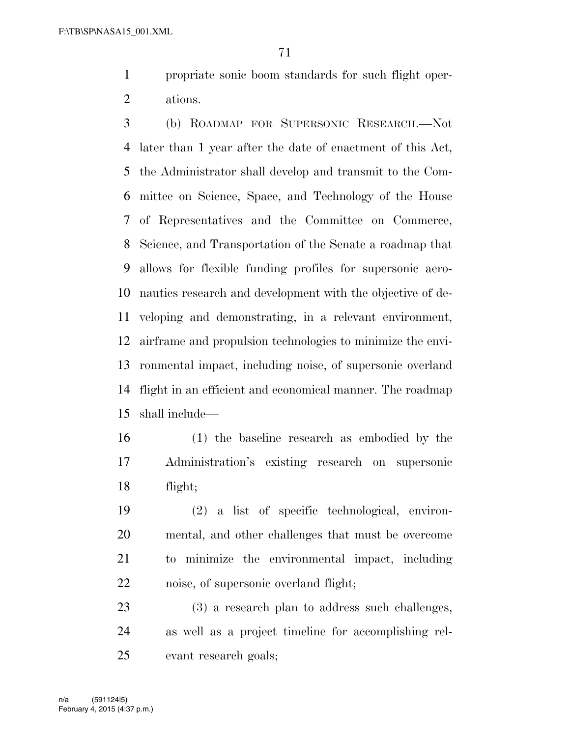propriate sonic boom standards for such flight oper-ations.

 (b) ROADMAP FOR SUPERSONIC RESEARCH.—Not later than 1 year after the date of enactment of this Act, the Administrator shall develop and transmit to the Com- mittee on Science, Space, and Technology of the House of Representatives and the Committee on Commerce, Science, and Transportation of the Senate a roadmap that allows for flexible funding profiles for supersonic aero- nautics research and development with the objective of de- veloping and demonstrating, in a relevant environment, airframe and propulsion technologies to minimize the envi- ronmental impact, including noise, of supersonic overland flight in an efficient and economical manner. The roadmap shall include—

 (1) the baseline research as embodied by the Administration's existing research on supersonic flight;

 (2) a list of specific technological, environ- mental, and other challenges that must be overcome to minimize the environmental impact, including noise, of supersonic overland flight;

 (3) a research plan to address such challenges, as well as a project timeline for accomplishing rel-evant research goals;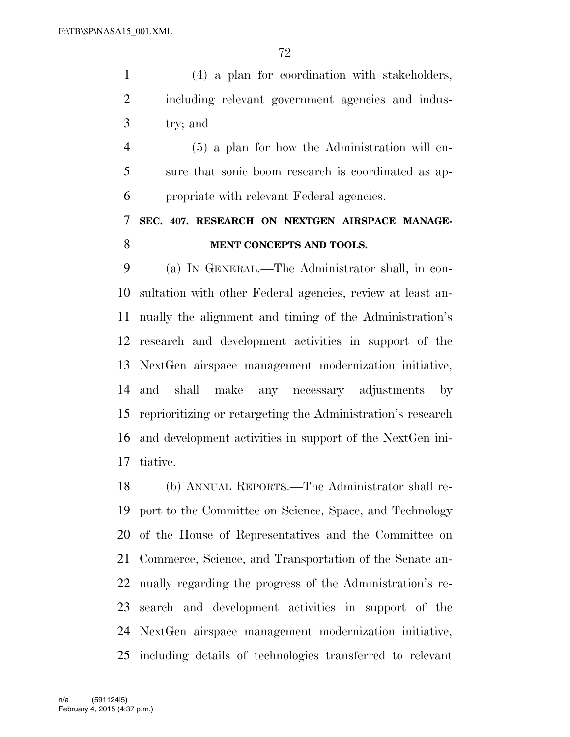(4) a plan for coordination with stakeholders, including relevant government agencies and indus-try; and

 (5) a plan for how the Administration will en- sure that sonic boom research is coordinated as ap-propriate with relevant Federal agencies.

# **SEC. 407. RESEARCH ON NEXTGEN AIRSPACE MANAGE-MENT CONCEPTS AND TOOLS.**

 (a) IN GENERAL.—The Administrator shall, in con- sultation with other Federal agencies, review at least an- nually the alignment and timing of the Administration's research and development activities in support of the NextGen airspace management modernization initiative, and shall make any necessary adjustments by reprioritizing or retargeting the Administration's research and development activities in support of the NextGen ini-tiative.

 (b) ANNUAL REPORTS.—The Administrator shall re- port to the Committee on Science, Space, and Technology of the House of Representatives and the Committee on Commerce, Science, and Transportation of the Senate an- nually regarding the progress of the Administration's re- search and development activities in support of the NextGen airspace management modernization initiative, including details of technologies transferred to relevant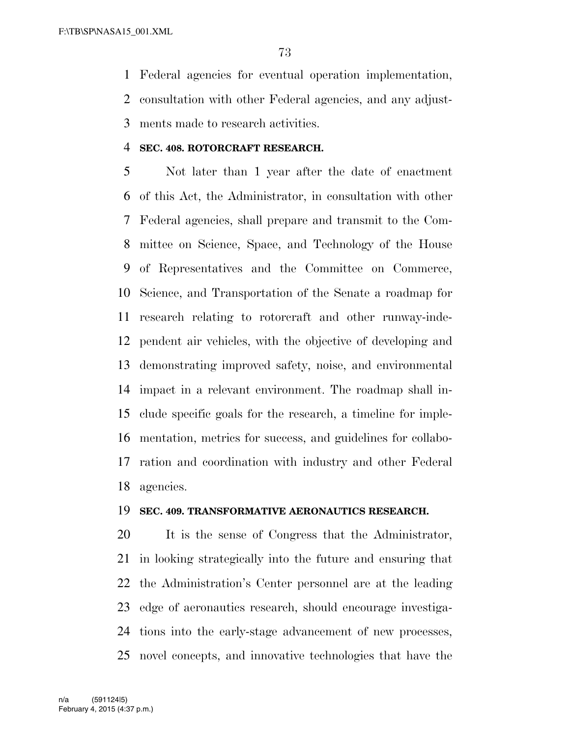Federal agencies for eventual operation implementation, consultation with other Federal agencies, and any adjust-

ments made to research activities.

## **SEC. 408. ROTORCRAFT RESEARCH.**

 Not later than 1 year after the date of enactment of this Act, the Administrator, in consultation with other Federal agencies, shall prepare and transmit to the Com- mittee on Science, Space, and Technology of the House of Representatives and the Committee on Commerce, Science, and Transportation of the Senate a roadmap for research relating to rotorcraft and other runway-inde- pendent air vehicles, with the objective of developing and demonstrating improved safety, noise, and environmental impact in a relevant environment. The roadmap shall in- clude specific goals for the research, a timeline for imple- mentation, metrics for success, and guidelines for collabo- ration and coordination with industry and other Federal agencies.

#### **SEC. 409. TRANSFORMATIVE AERONAUTICS RESEARCH.**

 It is the sense of Congress that the Administrator, in looking strategically into the future and ensuring that the Administration's Center personnel are at the leading edge of aeronautics research, should encourage investiga- tions into the early-stage advancement of new processes, novel concepts, and innovative technologies that have the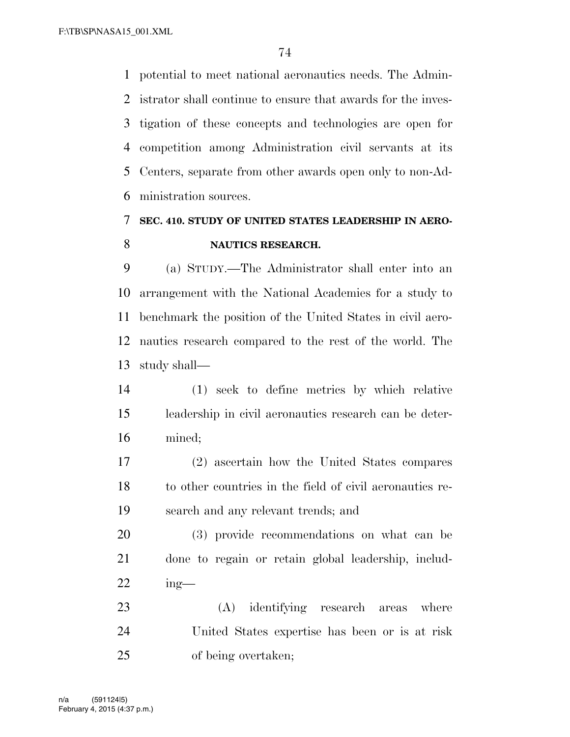potential to meet national aeronautics needs. The Admin- istrator shall continue to ensure that awards for the inves- tigation of these concepts and technologies are open for competition among Administration civil servants at its Centers, separate from other awards open only to non-Ad-ministration sources.

# **SEC. 410. STUDY OF UNITED STATES LEADERSHIP IN AERO-NAUTICS RESEARCH.**

 (a) STUDY.—The Administrator shall enter into an arrangement with the National Academies for a study to benchmark the position of the United States in civil aero- nautics research compared to the rest of the world. The study shall—

 (1) seek to define metrics by which relative leadership in civil aeronautics research can be deter-mined;

 (2) ascertain how the United States compares to other countries in the field of civil aeronautics re-search and any relevant trends; and

 (3) provide recommendations on what can be done to regain or retain global leadership, includ-ing—

 (A) identifying research areas where United States expertise has been or is at risk of being overtaken;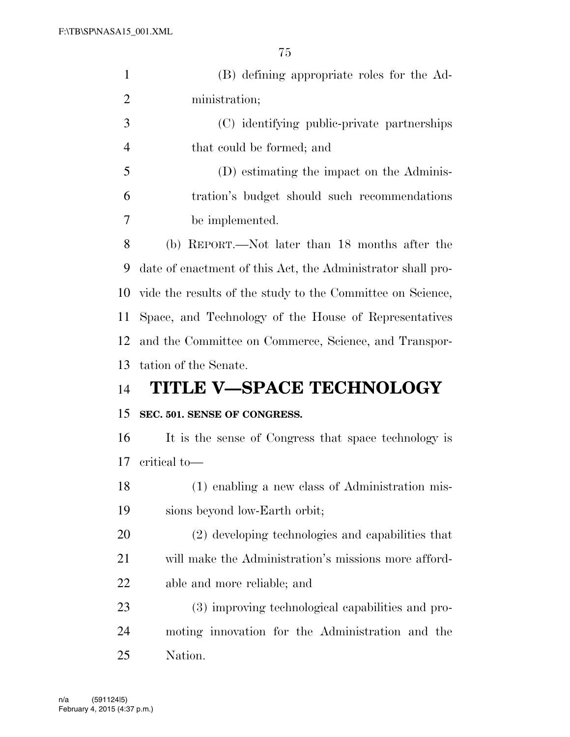| $\mathbf{1}$   | (B) defining appropriate roles for the Ad-                  |
|----------------|-------------------------------------------------------------|
| $\overline{2}$ | ministration;                                               |
| 3              | (C) identifying public-private partnerships                 |
| $\overline{4}$ | that could be formed; and                                   |
| 5              | (D) estimating the impact on the Adminis-                   |
| 6              | tration's budget should such recommendations                |
| 7              | be implemented.                                             |
| 8              | (b) REPORT.—Not later than 18 months after the              |
| 9              |                                                             |
|                | date of enactment of this Act, the Administrator shall pro- |
| 10             | vide the results of the study to the Committee on Science,  |
| 11             | Space, and Technology of the House of Representatives       |
| 12             | and the Committee on Commerce, Science, and Transpor-       |
|                |                                                             |
| 13             | tation of the Senate.                                       |
| 14             | <b>TITLE V-SPACE TECHNOLOGY</b>                             |
| 15             | SEC. 501. SENSE OF CONGRESS.                                |
| 16             | It is the sense of Congress that space technology is        |
| 17             | critical to-                                                |
| 18             | (1) enabling a new class of Administration mis-             |
| 19             | sions beyond low-Earth orbit;                               |
| 20             | (2) developing technologies and capabilities that           |
| 21             | will make the Administration's missions more afford-        |
| 22             | able and more reliable; and                                 |
| 23             | (3) improving technological capabilities and pro-           |
| 24             | moting innovation for the Administration and the            |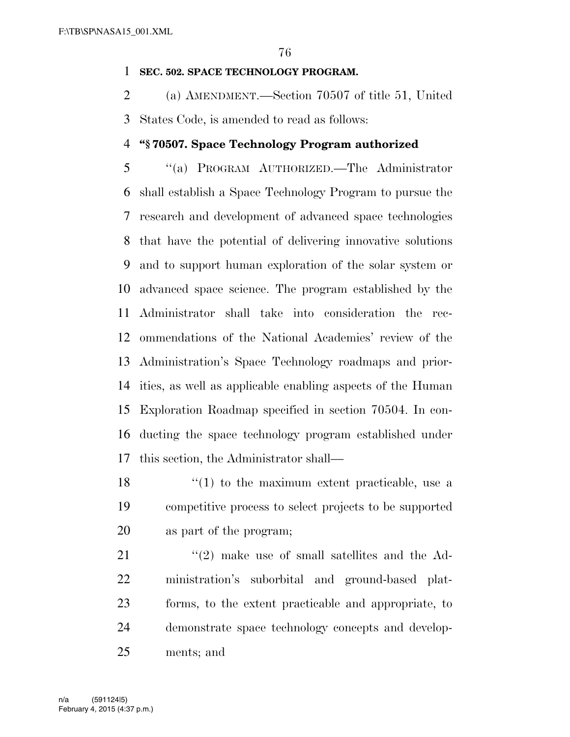#### **SEC. 502. SPACE TECHNOLOGY PROGRAM.**

 (a) AMENDMENT.—Section 70507 of title 51, United States Code, is amended to read as follows:

## **''§ 70507. Space Technology Program authorized**

 ''(a) PROGRAM AUTHORIZED.—The Administrator shall establish a Space Technology Program to pursue the research and development of advanced space technologies that have the potential of delivering innovative solutions and to support human exploration of the solar system or advanced space science. The program established by the Administrator shall take into consideration the rec- ommendations of the National Academies' review of the Administration's Space Technology roadmaps and prior- ities, as well as applicable enabling aspects of the Human Exploration Roadmap specified in section 70504. In con- ducting the space technology program established under this section, the Administrator shall—

 $\frac{18}{18}$  ''(1) to the maximum extent practicable, use a competitive process to select projects to be supported as part of the program;

21 ''(2) make use of small satellites and the Ad- ministration's suborbital and ground-based plat- forms, to the extent practicable and appropriate, to demonstrate space technology concepts and develop-ments; and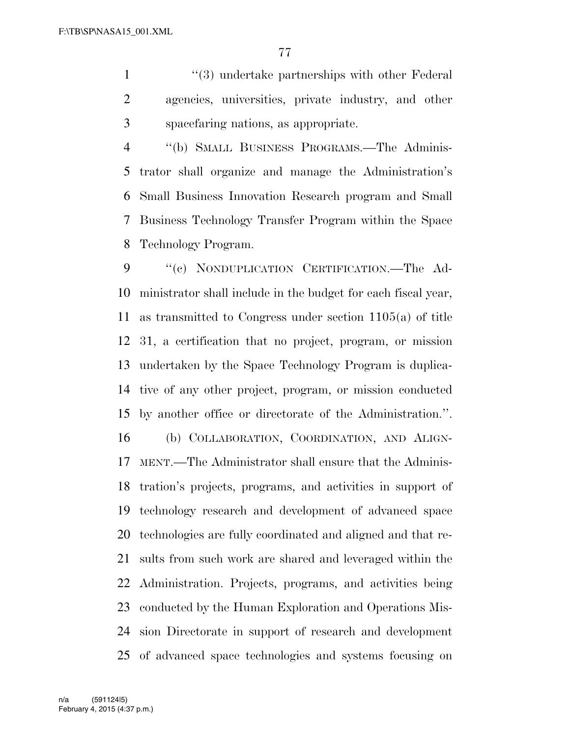1 ''(3) undertake partnerships with other Federal agencies, universities, private industry, and other spacefaring nations, as appropriate.

 ''(b) SMALL BUSINESS PROGRAMS.—The Adminis- trator shall organize and manage the Administration's Small Business Innovation Research program and Small Business Technology Transfer Program within the Space Technology Program.

 ''(c) NONDUPLICATION CERTIFICATION.—The Ad- ministrator shall include in the budget for each fiscal year, as transmitted to Congress under section 1105(a) of title 31, a certification that no project, program, or mission undertaken by the Space Technology Program is duplica- tive of any other project, program, or mission conducted by another office or directorate of the Administration.''. (b) COLLABORATION, COORDINATION, AND ALIGN- MENT.—The Administrator shall ensure that the Adminis- tration's projects, programs, and activities in support of technology research and development of advanced space technologies are fully coordinated and aligned and that re- sults from such work are shared and leveraged within the Administration. Projects, programs, and activities being conducted by the Human Exploration and Operations Mis- sion Directorate in support of research and development of advanced space technologies and systems focusing on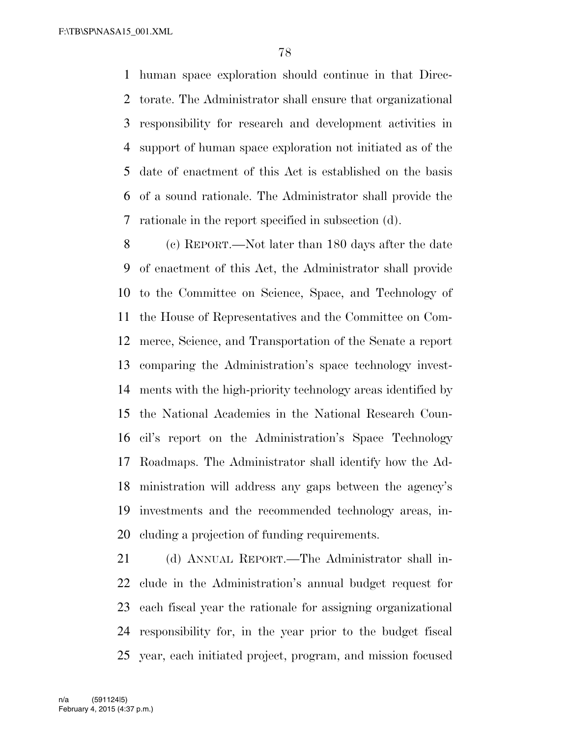human space exploration should continue in that Direc- torate. The Administrator shall ensure that organizational responsibility for research and development activities in support of human space exploration not initiated as of the date of enactment of this Act is established on the basis of a sound rationale. The Administrator shall provide the rationale in the report specified in subsection (d).

 (c) REPORT.—Not later than 180 days after the date of enactment of this Act, the Administrator shall provide to the Committee on Science, Space, and Technology of the House of Representatives and the Committee on Com- merce, Science, and Transportation of the Senate a report comparing the Administration's space technology invest- ments with the high-priority technology areas identified by the National Academies in the National Research Coun- cil's report on the Administration's Space Technology Roadmaps. The Administrator shall identify how the Ad- ministration will address any gaps between the agency's investments and the recommended technology areas, in-cluding a projection of funding requirements.

 (d) ANNUAL REPORT.—The Administrator shall in- clude in the Administration's annual budget request for each fiscal year the rationale for assigning organizational responsibility for, in the year prior to the budget fiscal year, each initiated project, program, and mission focused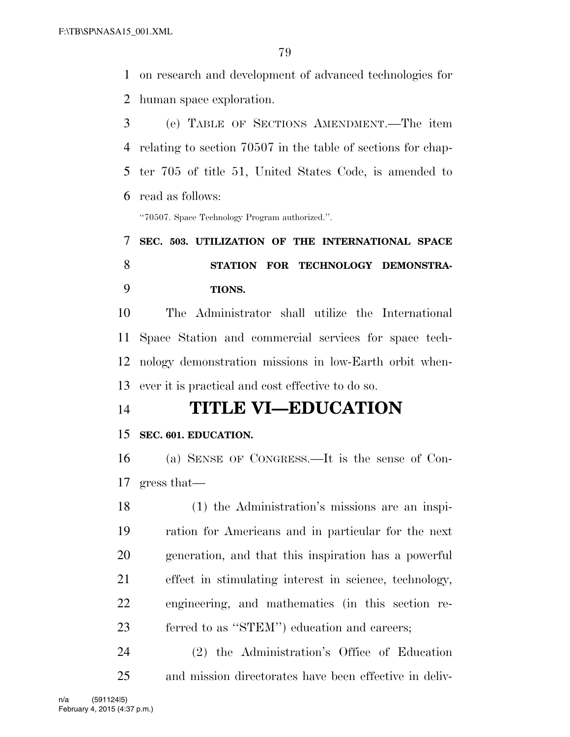on research and development of advanced technologies for human space exploration.

 (e) TABLE OF SECTIONS AMENDMENT.—The item relating to section 70507 in the table of sections for chap- ter 705 of title 51, United States Code, is amended to read as follows:

''70507. Space Technology Program authorized.''.

# **SEC. 503. UTILIZATION OF THE INTERNATIONAL SPACE STATION FOR TECHNOLOGY DEMONSTRA-TIONS.**

 The Administrator shall utilize the International Space Station and commercial services for space tech- nology demonstration missions in low-Earth orbit when-ever it is practical and cost effective to do so.

# **TITLE VI—EDUCATION**

# **SEC. 601. EDUCATION.**

 (a) SENSE OF CONGRESS.—It is the sense of Con-gress that—

 (1) the Administration's missions are an inspi- ration for Americans and in particular for the next generation, and that this inspiration has a powerful effect in stimulating interest in science, technology, engineering, and mathematics (in this section re-ferred to as ''STEM'') education and careers;

 (2) the Administration's Office of Education and mission directorates have been effective in deliv-

February 4, 2015 (4:37 p.m.) n/a (591124|5)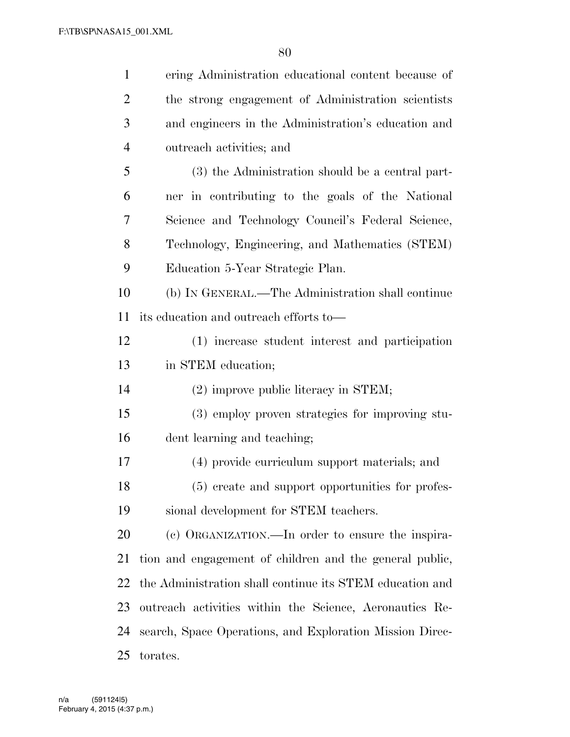| $\mathbf{1}$   | ering Administration educational content because of      |
|----------------|----------------------------------------------------------|
| $\overline{2}$ | the strong engagement of Administration scientists       |
| 3              | and engineers in the Administration's education and      |
| $\overline{4}$ | outreach activities; and                                 |
| 5              | (3) the Administration should be a central part-         |
| 6              | ner in contributing to the goals of the National         |
| 7              | Science and Technology Council's Federal Science,        |
| 8              | Technology, Engineering, and Mathematics (STEM)          |
| 9              | Education 5-Year Strategic Plan.                         |
| 10             | (b) IN GENERAL.—The Administration shall continue        |
| 11             | its education and outreach efforts to—                   |
| 12             | (1) increase student interest and participation          |
| 13             | in STEM education;                                       |
| 14             | (2) improve public literacy in STEM;                     |
| 15             | (3) employ proven strategies for improving stu-          |
| 16             | dent learning and teaching;                              |
| 17             | (4) provide curriculum support materials; and            |
| 18             | (5) create and support opportunities for profes-         |
| 19             | sional development for STEM teachers.                    |
| 20             | (c) ORGANIZATION.—In order to ensure the inspira-        |
| 21             | tion and engagement of children and the general public,  |
| 22             | the Administration shall continue its STEM education and |
| 23             | outreach activities within the Science, Aeronautics Re-  |
| 24             | search, Space Operations, and Exploration Mission Direc- |
| 25             | torates.                                                 |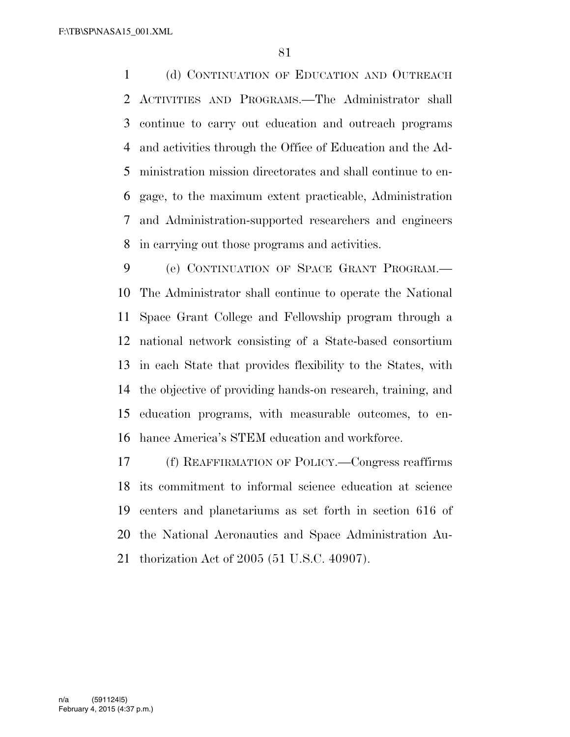(d) CONTINUATION OF EDUCATION AND OUTREACH ACTIVITIES AND PROGRAMS.—The Administrator shall continue to carry out education and outreach programs and activities through the Office of Education and the Ad- ministration mission directorates and shall continue to en- gage, to the maximum extent practicable, Administration and Administration-supported researchers and engineers in carrying out those programs and activities.

 (e) CONTINUATION OF SPACE GRANT PROGRAM.— The Administrator shall continue to operate the National Space Grant College and Fellowship program through a national network consisting of a State-based consortium in each State that provides flexibility to the States, with the objective of providing hands-on research, training, and education programs, with measurable outcomes, to en-hance America's STEM education and workforce.

 (f) REAFFIRMATION OF POLICY.—Congress reaffirms its commitment to informal science education at science centers and planetariums as set forth in section 616 of the National Aeronautics and Space Administration Au-thorization Act of 2005 (51 U.S.C. 40907).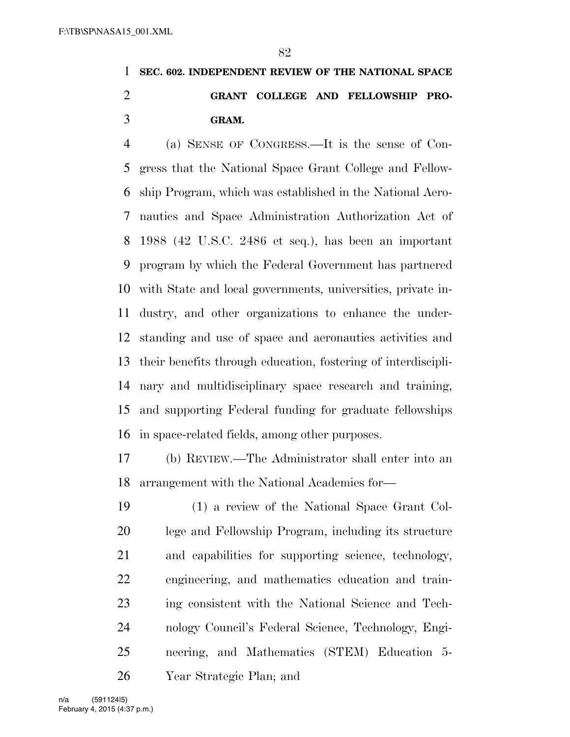# **SEC. 602. INDEPENDENT REVIEW OF THE NATIONAL SPACE GRANT COLLEGE AND FELLOWSHIP PRO-GRAM.**

 (a) SENSE OF CONGRESS.—It is the sense of Con- gress that the National Space Grant College and Fellow- ship Program, which was established in the National Aero- nautics and Space Administration Authorization Act of 1988 (42 U.S.C. 2486 et seq.), has been an important program by which the Federal Government has partnered with State and local governments, universities, private in- dustry, and other organizations to enhance the under- standing and use of space and aeronautics activities and their benefits through education, fostering of interdiscipli- nary and multidisciplinary space research and training, and supporting Federal funding for graduate fellowships in space-related fields, among other purposes.

 (b) REVIEW.—The Administrator shall enter into an arrangement with the National Academies for—

 (1) a review of the National Space Grant Col- lege and Fellowship Program, including its structure and capabilities for supporting science, technology, engineering, and mathematics education and train- ing consistent with the National Science and Tech- nology Council's Federal Science, Technology, Engi- neering, and Mathematics (STEM) Education 5- Year Strategic Plan; and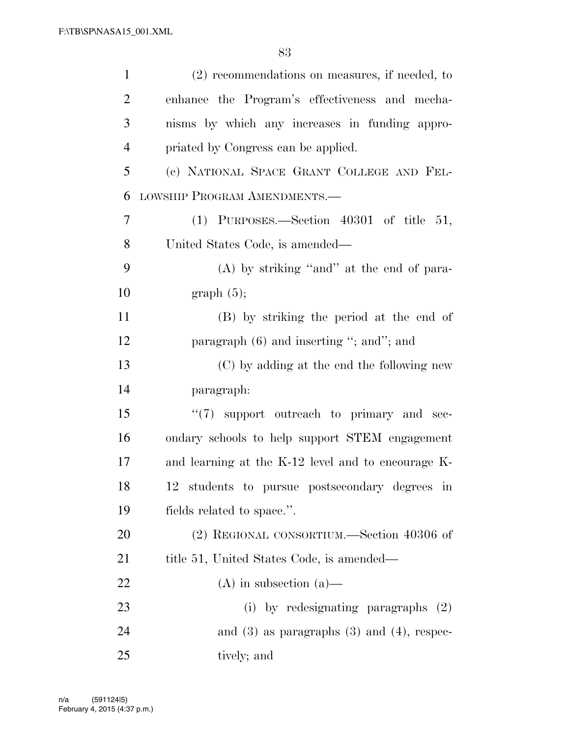| $\mathbf{1}$   | $(2)$ recommendations on measures, if needed, to   |
|----------------|----------------------------------------------------|
| $\overline{2}$ | enhance the Program's effectiveness and mecha-     |
| 3              | nisms by which any increases in funding appro-     |
| $\overline{4}$ | priated by Congress can be applied.                |
| 5              | (c) NATIONAL SPACE GRANT COLLEGE AND FEL-          |
| 6              | LOWSHIP PROGRAM AMENDMENTS.-                       |
| $\tau$         | $(1)$ PURPOSES.—Section 40301 of title 51,         |
| 8              | United States Code, is amended—                    |
| 9              | (A) by striking "and" at the end of para-          |
| 10             | graph(5);                                          |
| 11             | (B) by striking the period at the end of           |
| 12             | paragraph $(6)$ and inserting "; and"; and         |
| 13             | (C) by adding at the end the following new         |
| 14             | paragraph:                                         |
| 15             | $\lq(7)$ support outreach to primary and sec-      |
| 16             | ondary schools to help support STEM engagement     |
| 17             | and learning at the K-12 level and to encourage K- |
| 18             | 12 students to pursue postsecondary degrees in     |
| 19             | fields related to space.".                         |
| 20             | (2) REGIONAL CONSORTIUM.—Section 40306 of          |
| 21             | title 51, United States Code, is amended—          |
| 22             | $(A)$ in subsection $(a)$ —                        |
| 23             | (i) by redesignating paragraphs $(2)$              |
| 24             | and $(3)$ as paragraphs $(3)$ and $(4)$ , respec-  |
| 25             | tively; and                                        |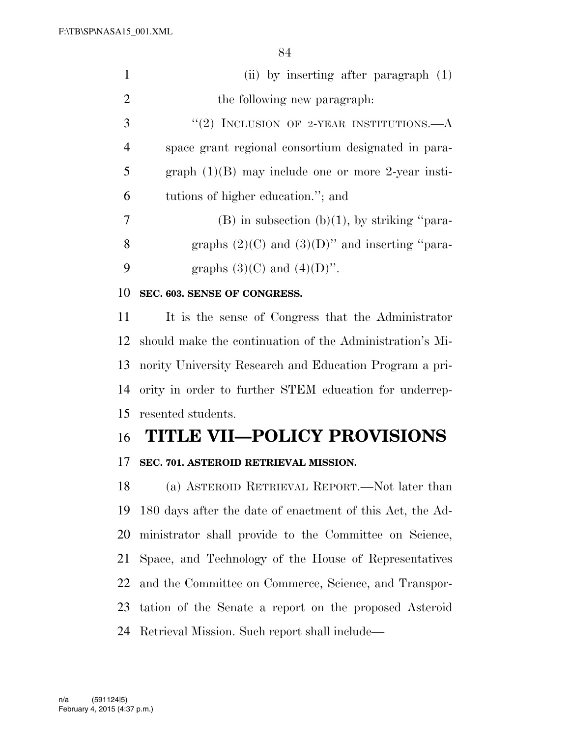| $\mathbf{1}$   | (ii) by inserting after paragraph $(1)$                  |
|----------------|----------------------------------------------------------|
| $\overline{2}$ | the following new paragraph.                             |
| 3              | "(2) INCLUSION OF 2-YEAR INSTITUTIONS.—A                 |
| $\overline{4}$ | space grant regional consortium designated in para-      |
| 5              | graph $(1)(B)$ may include one or more 2-year insti-     |
| 6              | tutions of higher education."; and                       |
| $\overline{7}$ | $(B)$ in subsection $(b)(1)$ , by striking "para-        |
| 8              | graphs $(2)(C)$ and $(3)(D)$ " and inserting "para-      |
| 9              | graphs $(3)(C)$ and $(4)(D)$ ".                          |
| 10             | SEC. 603. SENSE OF CONGRESS.                             |
| 11             | It is the sense of Congress that the Administrator       |
| 12             | should make the continuation of the Administration's Mi- |
| 13             | nority University Research and Education Program a pri-  |
| 14             | ority in order to further STEM education for underrep-   |
| 15             | resented students.                                       |
| 16             | <b>TITLE VII-POLICY PROVISIONS</b>                       |

## **SEC. 701. ASTEROID RETRIEVAL MISSION.**

 (a) ASTEROID RETRIEVAL REPORT.—Not later than 180 days after the date of enactment of this Act, the Ad- ministrator shall provide to the Committee on Science, Space, and Technology of the House of Representatives and the Committee on Commerce, Science, and Transpor- tation of the Senate a report on the proposed Asteroid Retrieval Mission. Such report shall include—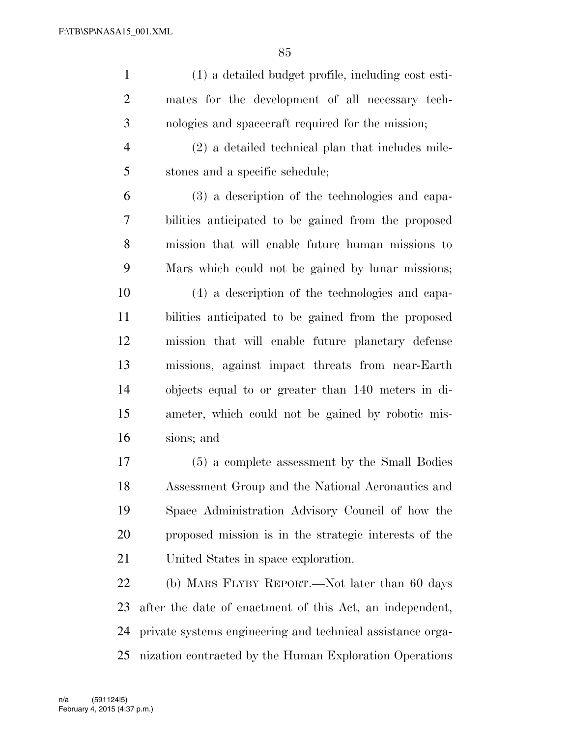| $\mathbf{1}$   | (1) a detailed budget profile, including cost esti-   |
|----------------|-------------------------------------------------------|
| $\overline{2}$ | mates for the development of all necessary tech-      |
| 3              | nologies and spacecraft required for the mission;     |
| $\overline{4}$ | $(2)$ a detailed technical plan that includes mile-   |
| 5              | stones and a specific schedule;                       |
| 6              | (3) a description of the technologies and capa-       |
| 7              | bilities anticipated to be gained from the proposed   |
| $8\,$          | mission that will enable future human missions to     |
| 9              | Mars which could not be gained by lunar missions;     |
| 10             | (4) a description of the technologies and capa-       |
| 11             | bilities anticipated to be gained from the proposed   |
| 12             | mission that will enable future planetary defense     |
| 13             | missions, against impact threats from near-Earth      |
| 14             | objects equal to or greater than 140 meters in di-    |
| 15             | ameter, which could not be gained by robotic mis-     |
| 16             | sions; and                                            |
| 17             | (5) a complete assessment by the Small Bodies         |
| 18             | Assessment Group and the National Aeronautics and     |
| 19             | Space Administration Advisory Council of how the      |
| 20             | proposed mission is in the strategic interests of the |
| 21             | United States in space exploration.                   |
| 22             | (b) MARS FLYBY REPORT.—Not later than 60 days         |

 after the date of enactment of this Act, an independent, private systems engineering and technical assistance orga-nization contracted by the Human Exploration Operations

February 4, 2015 (4:37 p.m.) n/a (591124|5)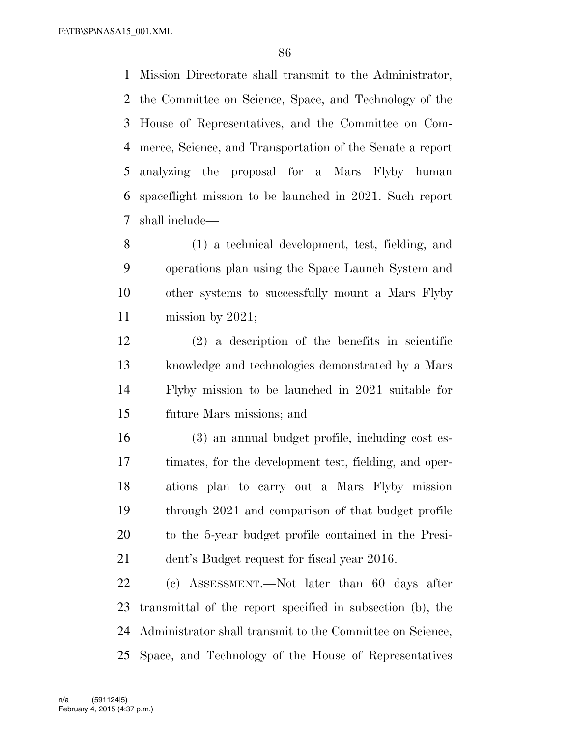Mission Directorate shall transmit to the Administrator, the Committee on Science, Space, and Technology of the House of Representatives, and the Committee on Com- merce, Science, and Transportation of the Senate a report analyzing the proposal for a Mars Flyby human spaceflight mission to be launched in 2021. Such report shall include—

 (1) a technical development, test, fielding, and operations plan using the Space Launch System and other systems to successfully mount a Mars Flyby mission by 2021;

 (2) a description of the benefits in scientific knowledge and technologies demonstrated by a Mars Flyby mission to be launched in 2021 suitable for future Mars missions; and

 (3) an annual budget profile, including cost es- timates, for the development test, fielding, and oper- ations plan to carry out a Mars Flyby mission through 2021 and comparison of that budget profile to the 5-year budget profile contained in the Presi-dent's Budget request for fiscal year 2016.

 (c) ASSESSMENT.—Not later than 60 days after transmittal of the report specified in subsection (b), the Administrator shall transmit to the Committee on Science, Space, and Technology of the House of Representatives

February 4, 2015 (4:37 p.m.) n/a (591124|5)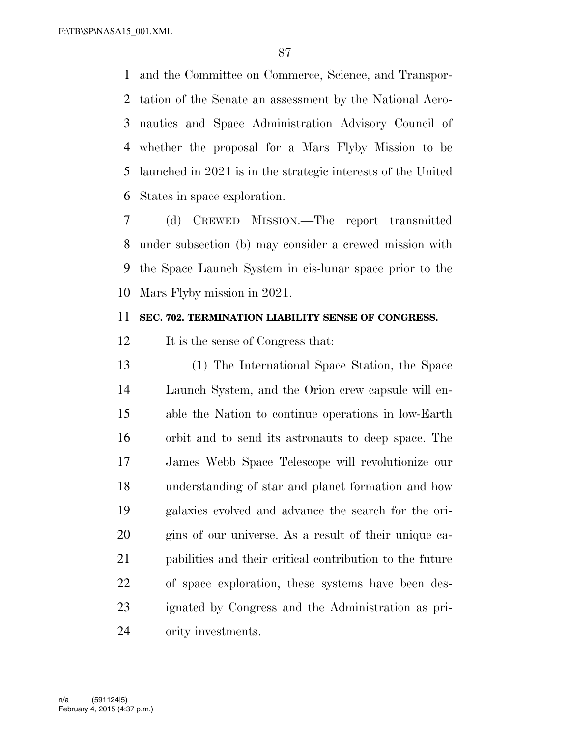and the Committee on Commerce, Science, and Transpor- tation of the Senate an assessment by the National Aero- nautics and Space Administration Advisory Council of whether the proposal for a Mars Flyby Mission to be launched in 2021 is in the strategic interests of the United States in space exploration.

 (d) CREWED MISSION.—The report transmitted under subsection (b) may consider a crewed mission with the Space Launch System in cis-lunar space prior to the Mars Flyby mission in 2021.

### **SEC. 702. TERMINATION LIABILITY SENSE OF CONGRESS.**

12 It is the sense of Congress that:

 (1) The International Space Station, the Space Launch System, and the Orion crew capsule will en- able the Nation to continue operations in low-Earth orbit and to send its astronauts to deep space. The James Webb Space Telescope will revolutionize our understanding of star and planet formation and how galaxies evolved and advance the search for the ori- gins of our universe. As a result of their unique ca- pabilities and their critical contribution to the future of space exploration, these systems have been des- ignated by Congress and the Administration as pri-ority investments.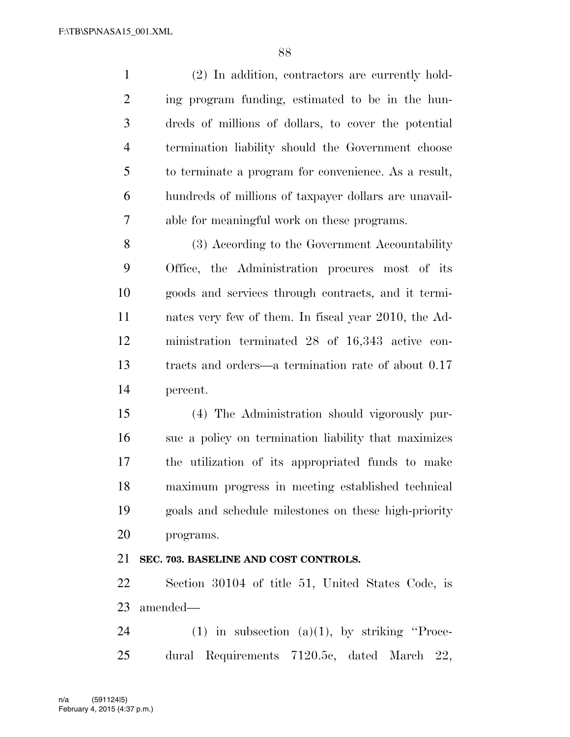(2) In addition, contractors are currently hold- ing program funding, estimated to be in the hun- dreds of millions of dollars, to cover the potential termination liability should the Government choose to terminate a program for convenience. As a result, hundreds of millions of taxpayer dollars are unavail-able for meaningful work on these programs.

 (3) According to the Government Accountability Office, the Administration procures most of its goods and services through contracts, and it termi- nates very few of them. In fiscal year 2010, the Ad- ministration terminated 28 of 16,343 active con- tracts and orders—a termination rate of about 0.17 percent.

 (4) The Administration should vigorously pur- sue a policy on termination liability that maximizes the utilization of its appropriated funds to make maximum progress in meeting established technical goals and schedule milestones on these high-priority programs.

## **SEC. 703. BASELINE AND COST CONTROLS.**

 Section 30104 of title 51, United States Code, is amended—

24 (1) in subsection (a)(1), by striking "Proce-dural Requirements 7120.5c, dated March 22,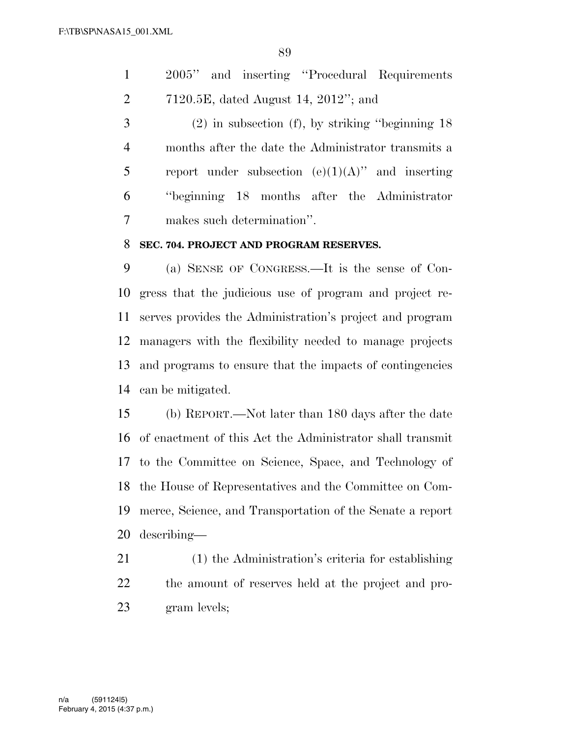2005'' and inserting ''Procedural Requirements 7120.5E, dated August 14, 2012''; and

 (2) in subsection (f), by striking ''beginning 18 months after the date the Administrator transmits a 5 report under subsection  $(e)(1)(A)$ " and inserting ''beginning 18 months after the Administrator makes such determination''.

#### **SEC. 704. PROJECT AND PROGRAM RESERVES.**

 (a) SENSE OF CONGRESS.—It is the sense of Con- gress that the judicious use of program and project re- serves provides the Administration's project and program managers with the flexibility needed to manage projects and programs to ensure that the impacts of contingencies can be mitigated.

 (b) REPORT.—Not later than 180 days after the date of enactment of this Act the Administrator shall transmit to the Committee on Science, Space, and Technology of the House of Representatives and the Committee on Com- merce, Science, and Transportation of the Senate a report describing—

 (1) the Administration's criteria for establishing the amount of reserves held at the project and pro-gram levels;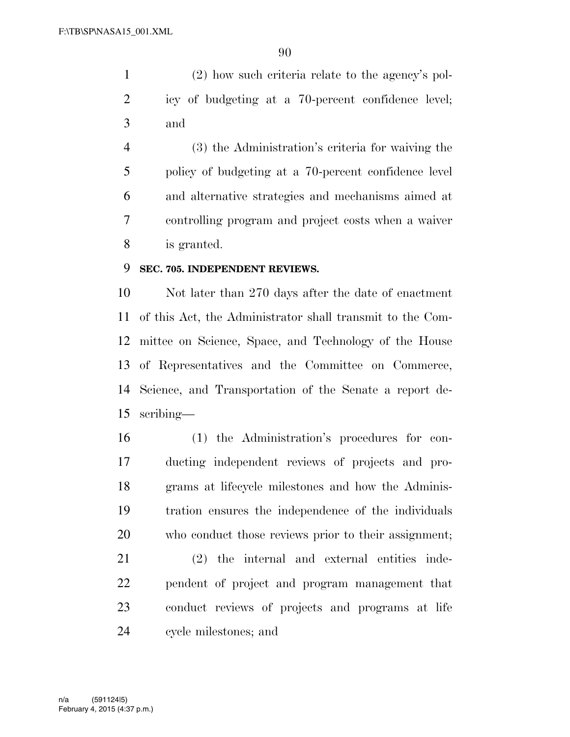(2) how such criteria relate to the agency's pol- icy of budgeting at a 70-percent confidence level; and

 (3) the Administration's criteria for waiving the policy of budgeting at a 70-percent confidence level and alternative strategies and mechanisms aimed at controlling program and project costs when a waiver is granted.

## **SEC. 705. INDEPENDENT REVIEWS.**

 Not later than 270 days after the date of enactment of this Act, the Administrator shall transmit to the Com- mittee on Science, Space, and Technology of the House of Representatives and the Committee on Commerce, Science, and Transportation of the Senate a report de-scribing—

 (1) the Administration's procedures for con- ducting independent reviews of projects and pro- grams at lifecycle milestones and how the Adminis- tration ensures the independence of the individuals who conduct those reviews prior to their assignment;

 (2) the internal and external entities inde- pendent of project and program management that conduct reviews of projects and programs at life cycle milestones; and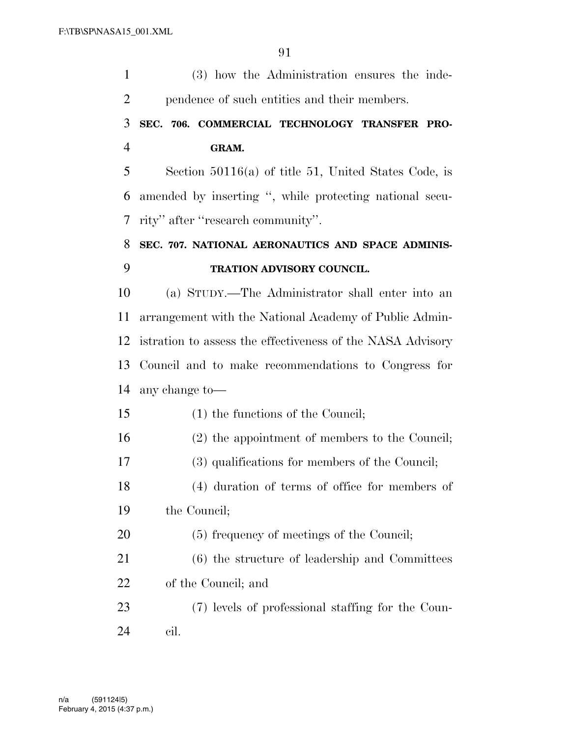| $\mathbf{1}$   | (3) how the Administration ensures the inde-               |
|----------------|------------------------------------------------------------|
| $\overline{2}$ | pendence of such entities and their members.               |
| 3              | SEC. 706. COMMERCIAL TECHNOLOGY TRANSFER PRO-              |
| $\overline{4}$ | GRAM.                                                      |
| 5              | Section $50116(a)$ of title 51, United States Code, is     |
| 6              | amended by inserting ", while protecting national secu-    |
| 7              | rity" after "research community".                          |
| 8              | SEC. 707. NATIONAL AERONAUTICS AND SPACE ADMINIS-          |
| 9              | TRATION ADVISORY COUNCIL.                                  |
| 10             | (a) STUDY.—The Administrator shall enter into an           |
| 11             | arrangement with the National Academy of Public Admin-     |
| 12             | istration to assess the effectiveness of the NASA Advisory |
| 13             | Council and to make recommendations to Congress for        |
| 14             | any change to-                                             |
| 15             | $(1)$ the functions of the Council;                        |
| 16             | (2) the appointment of members to the Council;             |
| 17             | (3) qualifications for members of the Council;             |
| 18             | (4) duration of terms of office for members of             |
| 19             | the Council;                                               |
| 20             | (5) frequency of meetings of the Council;                  |
| 21             | $(6)$ the structure of leadership and Committees           |
| 22             | of the Council; and                                        |
| 23             | (7) levels of professional staffing for the Coun-          |
| 24             | cil.                                                       |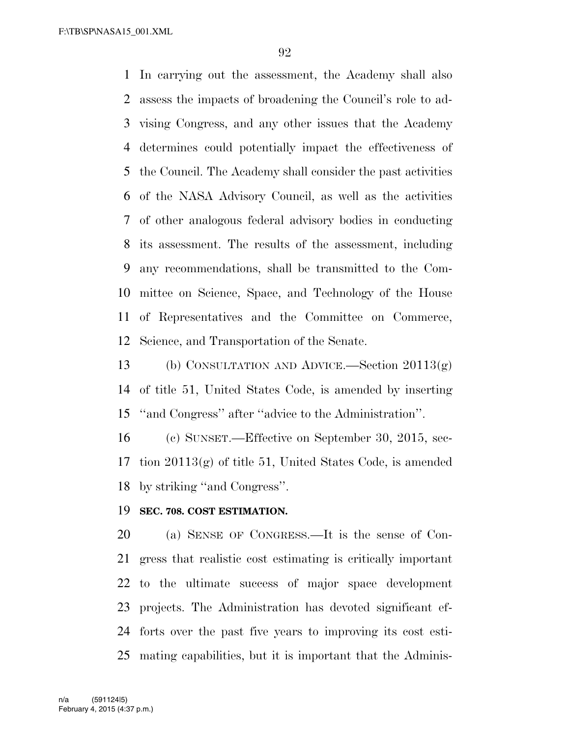In carrying out the assessment, the Academy shall also assess the impacts of broadening the Council's role to ad- vising Congress, and any other issues that the Academy determines could potentially impact the effectiveness of the Council. The Academy shall consider the past activities of the NASA Advisory Council, as well as the activities of other analogous federal advisory bodies in conducting its assessment. The results of the assessment, including any recommendations, shall be transmitted to the Com- mittee on Science, Space, and Technology of the House of Representatives and the Committee on Commerce, Science, and Transportation of the Senate.

 (b) CONSULTATION AND ADVICE.—Section 20113(g) of title 51, United States Code, is amended by inserting ''and Congress'' after ''advice to the Administration''.

 (c) SUNSET.—Effective on September 30, 2015, sec- tion 20113(g) of title 51, United States Code, is amended by striking ''and Congress''.

#### **SEC. 708. COST ESTIMATION.**

 (a) SENSE OF CONGRESS.—It is the sense of Con- gress that realistic cost estimating is critically important to the ultimate success of major space development projects. The Administration has devoted significant ef- forts over the past five years to improving its cost esti-mating capabilities, but it is important that the Adminis-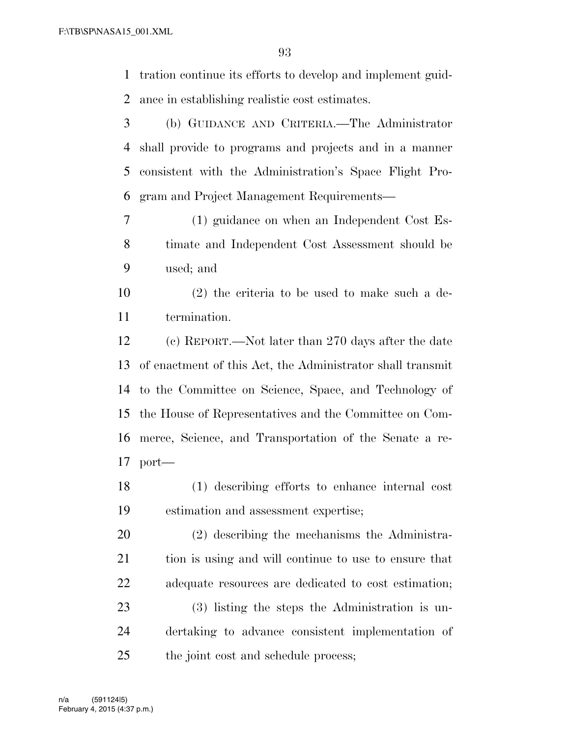tration continue its efforts to develop and implement guid-ance in establishing realistic cost estimates.

 (b) GUIDANCE AND CRITERIA.—The Administrator shall provide to programs and projects and in a manner consistent with the Administration's Space Flight Pro-gram and Project Management Requirements—

 (1) guidance on when an Independent Cost Es- timate and Independent Cost Assessment should be used; and

 (2) the criteria to be used to make such a de-termination.

 (c) REPORT.—Not later than 270 days after the date of enactment of this Act, the Administrator shall transmit to the Committee on Science, Space, and Technology of the House of Representatives and the Committee on Com- merce, Science, and Transportation of the Senate a re-port—

 (1) describing efforts to enhance internal cost estimation and assessment expertise;

 (2) describing the mechanisms the Administra- tion is using and will continue to use to ensure that adequate resources are dedicated to cost estimation;

 (3) listing the steps the Administration is un- dertaking to advance consistent implementation of the joint cost and schedule process;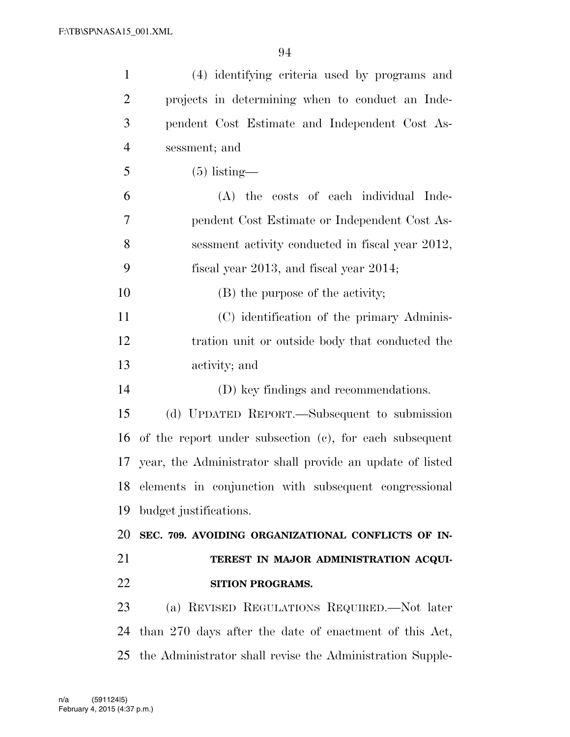| $\mathbf{1}$   | (4) identifying criteria used by programs and                |
|----------------|--------------------------------------------------------------|
| $\overline{2}$ | projects in determining when to conduct an Inde-             |
| 3              | pendent Cost Estimate and Independent Cost As-               |
| 4              | sessment; and                                                |
| 5              | $(5)$ listing—                                               |
| 6              | (A) the costs of each individual Inde-                       |
| 7              | pendent Cost Estimate or Independent Cost As-                |
| 8              | sessment activity conducted in fiscal year 2012,             |
| 9              | fiscal year 2013, and fiscal year $2014$ ;                   |
| 10             | (B) the purpose of the activity;                             |
| 11             | (C) identification of the primary Adminis-                   |
| 12             | tration unit or outside body that conducted the              |
| 13             | activity; and                                                |
| 14             | (D) key findings and recommendations.                        |
| 15             | (d) UPDATED REPORT.—Subsequent to submission                 |
| 16             | of the report under subsection (c), for each subsequent      |
|                | 17 year, the Administrator shall provide an update of listed |
|                | 18 elements in conjunction with subsequent congressional     |
| 19             | budget justifications.                                       |
| 20             | SEC. 709. AVOIDING ORGANIZATIONAL CONFLICTS OF IN-           |
| 21             | TEREST IN MAJOR ADMINISTRATION ACQUI-                        |
| 22             | SITION PROGRAMS.                                             |
| 23             | (a) REVISED REGULATIONS REQUIRED.—Not later                  |
| 24             | than 270 days after the date of enactment of this Act,       |
|                |                                                              |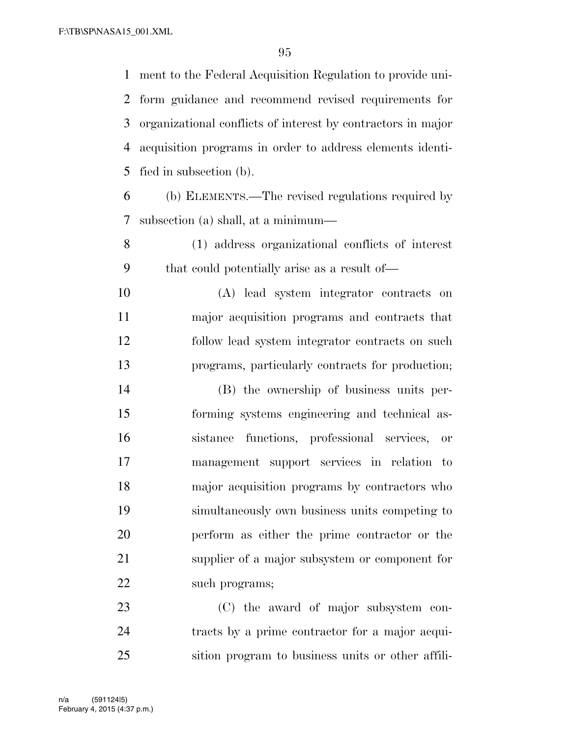ment to the Federal Acquisition Regulation to provide uni- form guidance and recommend revised requirements for organizational conflicts of interest by contractors in major acquisition programs in order to address elements identi-fied in subsection (b).

 (b) ELEMENTS.—The revised regulations required by subsection (a) shall, at a minimum—

 (1) address organizational conflicts of interest that could potentially arise as a result of—

 (A) lead system integrator contracts on major acquisition programs and contracts that follow lead system integrator contracts on such programs, particularly contracts for production;

 (B) the ownership of business units per- forming systems engineering and technical as- sistance functions, professional services, or management support services in relation to major acquisition programs by contractors who simultaneously own business units competing to perform as either the prime contractor or the supplier of a major subsystem or component for 22 such programs;

 (C) the award of major subsystem con- tracts by a prime contractor for a major acqui-sition program to business units or other affili-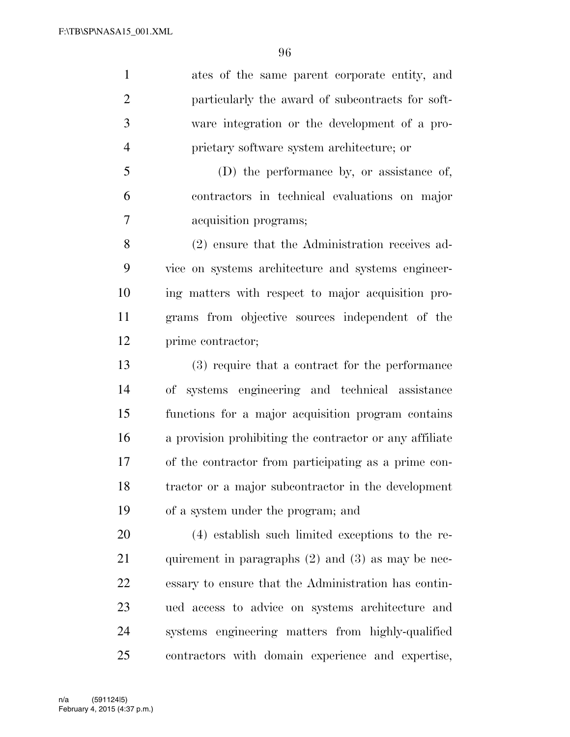ates of the same parent corporate entity, and particularly the award of subcontracts for soft- ware integration or the development of a pro-prietary software system architecture; or

 (D) the performance by, or assistance of, contractors in technical evaluations on major acquisition programs;

 (2) ensure that the Administration receives ad- vice on systems architecture and systems engineer- ing matters with respect to major acquisition pro- grams from objective sources independent of the prime contractor;

 (3) require that a contract for the performance of systems engineering and technical assistance functions for a major acquisition program contains a provision prohibiting the contractor or any affiliate of the contractor from participating as a prime con- tractor or a major subcontractor in the development of a system under the program; and

 (4) establish such limited exceptions to the re-21 quirement in paragraphs (2) and (3) as may be nec- essary to ensure that the Administration has contin- ued access to advice on systems architecture and systems engineering matters from highly-qualified contractors with domain experience and expertise,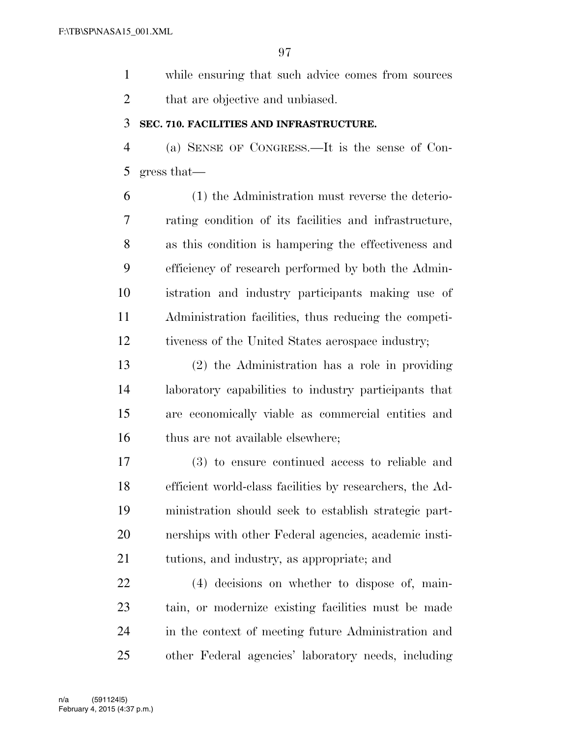while ensuring that such advice comes from sources that are objective and unbiased.

#### **SEC. 710. FACILITIES AND INFRASTRUCTURE.**

 (a) SENSE OF CONGRESS.—It is the sense of Con-gress that—

 (1) the Administration must reverse the deterio- rating condition of its facilities and infrastructure, as this condition is hampering the effectiveness and efficiency of research performed by both the Admin- istration and industry participants making use of Administration facilities, thus reducing the competi-tiveness of the United States aerospace industry;

 (2) the Administration has a role in providing laboratory capabilities to industry participants that are economically viable as commercial entities and 16 thus are not available elsewhere;

 (3) to ensure continued access to reliable and efficient world-class facilities by researchers, the Ad- ministration should seek to establish strategic part- nerships with other Federal agencies, academic insti-tutions, and industry, as appropriate; and

 (4) decisions on whether to dispose of, main- tain, or modernize existing facilities must be made in the context of meeting future Administration and other Federal agencies' laboratory needs, including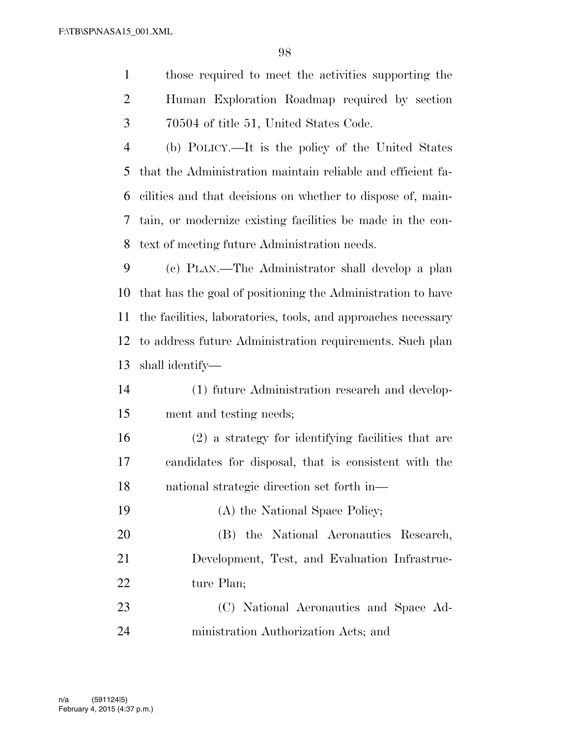those required to meet the activities supporting the

| $\overline{2}$ | Human Exploration Roadmap required by section                 |
|----------------|---------------------------------------------------------------|
| 3              | 70504 of title 51, United States Code.                        |
| $\overline{4}$ | (b) POLICY.—It is the policy of the United States             |
| 5              | that the Administration maintain reliable and efficient fa-   |
| 6              | cilities and that decisions on whether to dispose of, main-   |
| 7              | tain, or modernize existing facilities be made in the con-    |
| 8              | text of meeting future Administration needs.                  |
| 9              | (c) PLAN.—The Administrator shall develop a plan              |
| 10             | that has the goal of positioning the Administration to have   |
| 11             | the facilities, laboratories, tools, and approaches necessary |
| 12             | to address future Administration requirements. Such plan      |
| 13             | shall identify—                                               |
| 14             | (1) future Administration research and develop-               |
| 15             | ment and testing needs;                                       |
| 16             | (2) a strategy for identifying facilities that are            |
| 17             | candidates for disposal, that is consistent with the          |
| 18             | national strategic direction set forth in—                    |
| 19             | (A) the National Space Policy;                                |
| 20             | (B) the National Aeronautics Research,                        |
| 21             | Development, Test, and Evaluation Infrastruc-                 |
| 22             | ture Plan;                                                    |

 (C) National Aeronautics and Space Ad-ministration Authorization Acts; and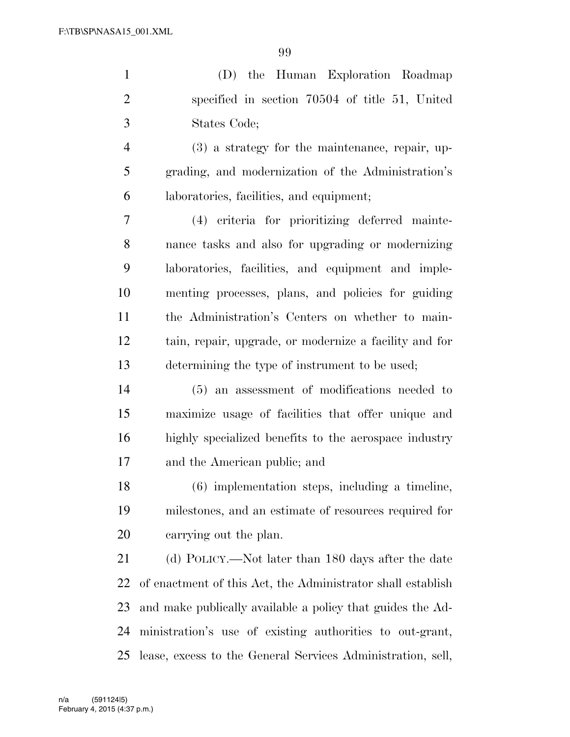(D) the Human Exploration Roadmap specified in section 70504 of title 51, United States Code;

 (3) a strategy for the maintenance, repair, up- grading, and modernization of the Administration's laboratories, facilities, and equipment;

 (4) criteria for prioritizing deferred mainte- nance tasks and also for upgrading or modernizing laboratories, facilities, and equipment and imple- menting processes, plans, and policies for guiding the Administration's Centers on whether to main- tain, repair, upgrade, or modernize a facility and for determining the type of instrument to be used;

 (5) an assessment of modifications needed to maximize usage of facilities that offer unique and highly specialized benefits to the aerospace industry and the American public; and

 (6) implementation steps, including a timeline, milestones, and an estimate of resources required for carrying out the plan.

 (d) POLICY.—Not later than 180 days after the date of enactment of this Act, the Administrator shall establish and make publically available a policy that guides the Ad- ministration's use of existing authorities to out-grant, lease, excess to the General Services Administration, sell,

February 4, 2015 (4:37 p.m.) n/a (591124|5)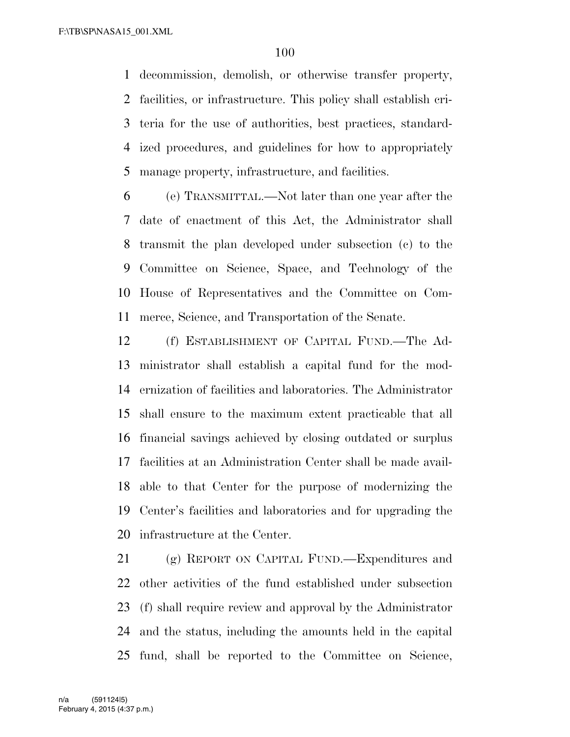decommission, demolish, or otherwise transfer property, facilities, or infrastructure. This policy shall establish cri- teria for the use of authorities, best practices, standard- ized procedures, and guidelines for how to appropriately manage property, infrastructure, and facilities.

 (e) TRANSMITTAL.—Not later than one year after the date of enactment of this Act, the Administrator shall transmit the plan developed under subsection (c) to the Committee on Science, Space, and Technology of the House of Representatives and the Committee on Com-merce, Science, and Transportation of the Senate.

 (f) ESTABLISHMENT OF CAPITAL FUND.—The Ad- ministrator shall establish a capital fund for the mod- ernization of facilities and laboratories. The Administrator shall ensure to the maximum extent practicable that all financial savings achieved by closing outdated or surplus facilities at an Administration Center shall be made avail- able to that Center for the purpose of modernizing the Center's facilities and laboratories and for upgrading the infrastructure at the Center.

 (g) REPORT ON CAPITAL FUND.—Expenditures and other activities of the fund established under subsection (f) shall require review and approval by the Administrator and the status, including the amounts held in the capital fund, shall be reported to the Committee on Science,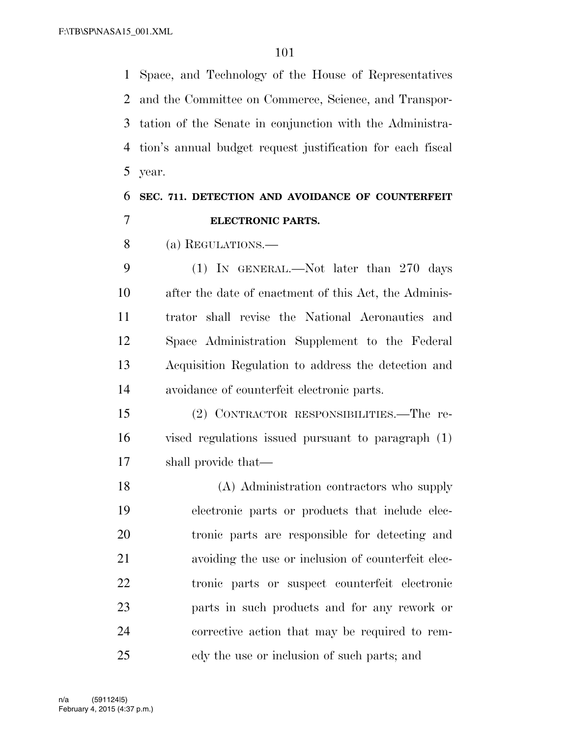Space, and Technology of the House of Representatives and the Committee on Commerce, Science, and Transpor- tation of the Senate in conjunction with the Administra- tion's annual budget request justification for each fiscal year.

# **SEC. 711. DETECTION AND AVOIDANCE OF COUNTERFEIT ELECTRONIC PARTS.**

(a) REGULATIONS.—

 (1) IN GENERAL.—Not later than 270 days after the date of enactment of this Act, the Adminis- trator shall revise the National Aeronautics and Space Administration Supplement to the Federal Acquisition Regulation to address the detection and avoidance of counterfeit electronic parts.

 (2) CONTRACTOR RESPONSIBILITIES.—The re- vised regulations issued pursuant to paragraph (1) shall provide that—

 (A) Administration contractors who supply electronic parts or products that include elec- tronic parts are responsible for detecting and avoiding the use or inclusion of counterfeit elec- tronic parts or suspect counterfeit electronic parts in such products and for any rework or corrective action that may be required to rem-edy the use or inclusion of such parts; and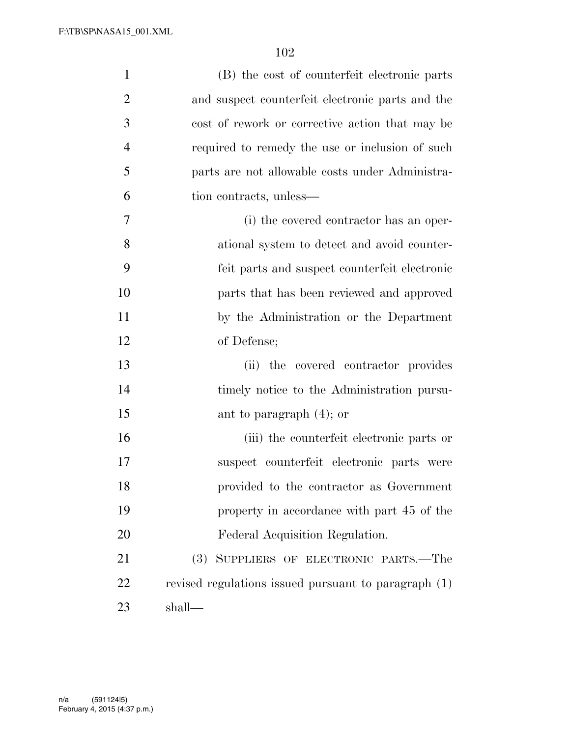| $\mathbf{1}$   | (B) the cost of counterfeit electronic parts         |
|----------------|------------------------------------------------------|
| $\overline{2}$ | and suspect counterfeit electronic parts and the     |
| 3              | cost of rework or corrective action that may be      |
| $\overline{4}$ | required to remedy the use or inclusion of such      |
| 5              | parts are not allowable costs under Administra-      |
| 6              | tion contracts, unless—                              |
| 7              | (i) the covered contractor has an oper-              |
| 8              | ational system to detect and avoid counter-          |
| 9              | feit parts and suspect counterfeit electronic        |
| 10             | parts that has been reviewed and approved            |
| 11             | by the Administration or the Department              |
| 12             | of Defense;                                          |
| 13             | (ii) the covered contractor provides                 |
| 14             | timely notice to the Administration pursu-           |
| 15             | ant to paragraph $(4)$ ; or                          |
| 16             | (iii) the counterfeit electronic parts or            |
| 17             | suspect counterfeit electronic parts were            |
| 18             | provided to the contractor as Government             |
| 19             | property in accordance with part 45 of the           |
| 20             | Federal Acquisition Regulation.                      |
| 21             | SUPPLIERS OF ELECTRONIC PARTS.—The<br>(3)            |
| 22             | revised regulations issued pursuant to paragraph (1) |
| 23             | shall-                                               |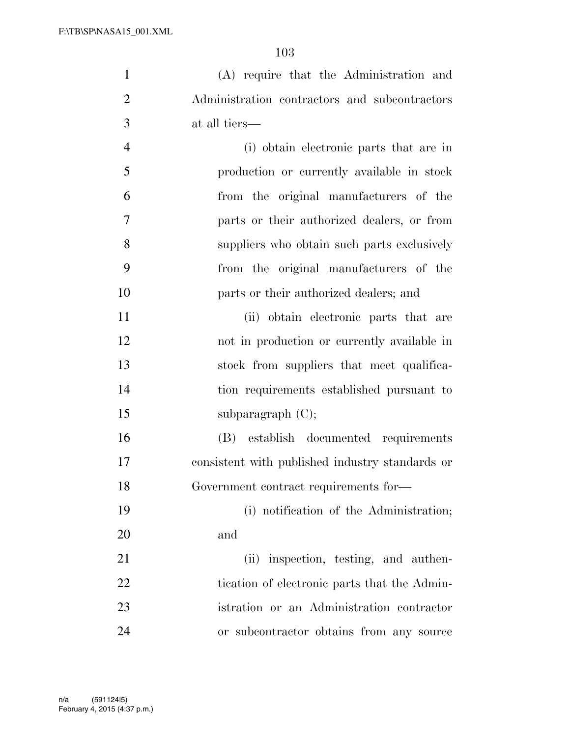(A) require that the Administration and Administration contractors and subcontractors at all tiers—

 (i) obtain electronic parts that are in production or currently available in stock from the original manufacturers of the parts or their authorized dealers, or from suppliers who obtain such parts exclusively from the original manufacturers of the parts or their authorized dealers; and

 (ii) obtain electronic parts that are not in production or currently available in stock from suppliers that meet qualifica- tion requirements established pursuant to 15 subparagraph (C);

 (B) establish documented requirements consistent with published industry standards or Government contract requirements for—

 (i) notification of the Administration; and

21 (ii) inspection, testing, and authen-22 tication of electronic parts that the Admin- istration or an Administration contractor or subcontractor obtains from any source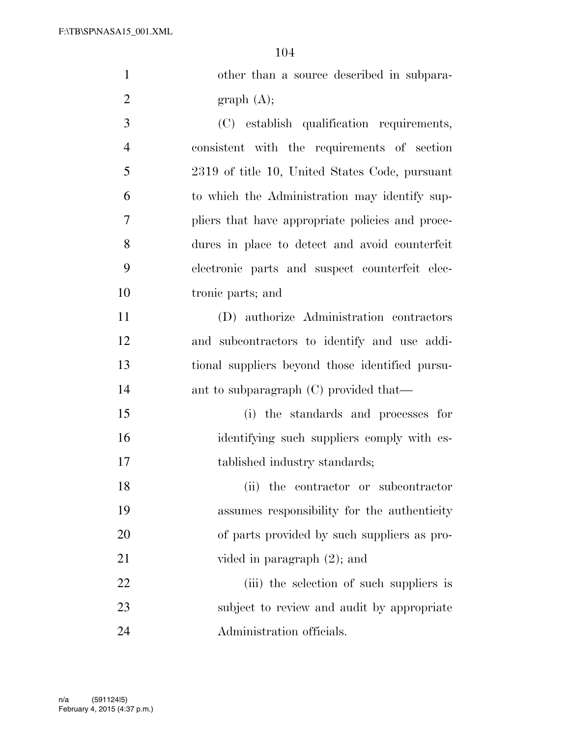| $\mathbf{1}$   | other than a source described in subpara-        |
|----------------|--------------------------------------------------|
| $\overline{2}$ | graph(A);                                        |
| 3              | (C) establish qualification requirements,        |
| $\overline{4}$ | consistent with the requirements of section      |
| 5              | 2319 of title 10, United States Code, pursuant   |
| 6              | to which the Administration may identify sup-    |
| $\overline{7}$ | pliers that have appropriate policies and proce- |
| 8              | dures in place to detect and avoid counterfeit   |
| 9              | electronic parts and suspect counterfeit elec-   |
| 10             | tronic parts; and                                |
| 11             | (D) authorize Administration contractors         |
| 12             | and subcontractors to identify and use addi-     |
| 13             | tional suppliers beyond those identified pursu-  |
| 14             | ant to subparagraph $(C)$ provided that—         |
| 15             | (i) the standards and processes for              |
| 16             | identifying such suppliers comply with es-       |
| 17             | tablished industry standards;                    |
| 18             | (ii) the contractor or subcontractor             |
| 19             | assumes responsibility for the authenticity      |
| 20             | of parts provided by such suppliers as pro-      |
| 21             | vided in paragraph $(2)$ ; and                   |
| 22             | (iii) the selection of such suppliers is         |
| 23             | subject to review and audit by appropriate       |
| 24             | Administration officials.                        |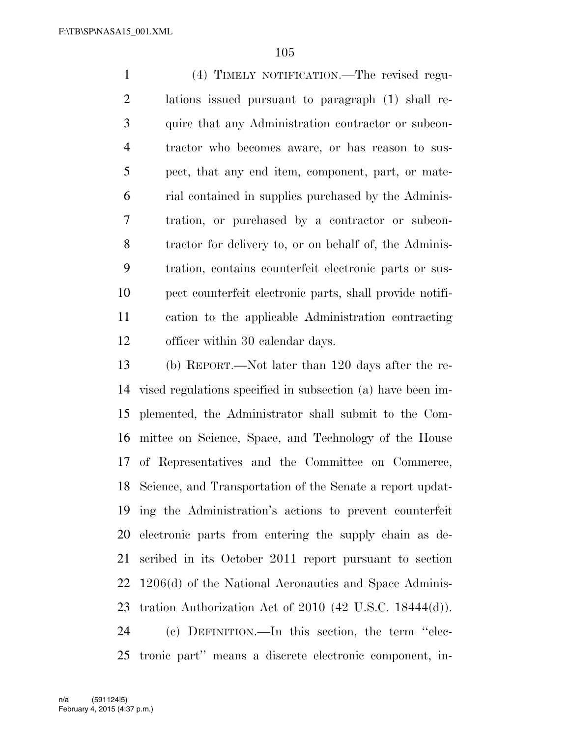(4) TIMELY NOTIFICATION.—The revised regu- lations issued pursuant to paragraph (1) shall re- quire that any Administration contractor or subcon- tractor who becomes aware, or has reason to sus- pect, that any end item, component, part, or mate- rial contained in supplies purchased by the Adminis- tration, or purchased by a contractor or subcon- tractor for delivery to, or on behalf of, the Adminis- tration, contains counterfeit electronic parts or sus- pect counterfeit electronic parts, shall provide notifi- cation to the applicable Administration contracting 12 officer within 30 calendar days.

 (b) REPORT.—Not later than 120 days after the re- vised regulations specified in subsection (a) have been im- plemented, the Administrator shall submit to the Com- mittee on Science, Space, and Technology of the House of Representatives and the Committee on Commerce, Science, and Transportation of the Senate a report updat- ing the Administration's actions to prevent counterfeit electronic parts from entering the supply chain as de- scribed in its October 2011 report pursuant to section 1206(d) of the National Aeronautics and Space Adminis- tration Authorization Act of 2010 (42 U.S.C. 18444(d)). (c) DEFINITION.—In this section, the term ''elec-

tronic part'' means a discrete electronic component, in-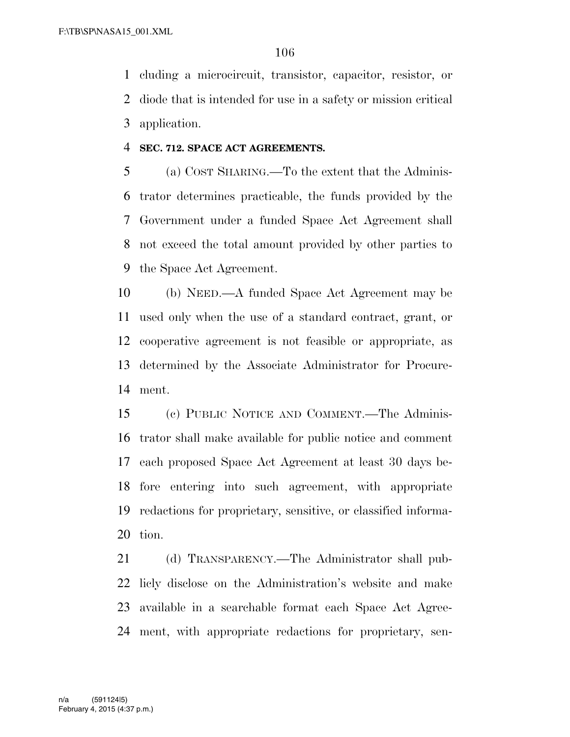cluding a microcircuit, transistor, capacitor, resistor, or diode that is intended for use in a safety or mission critical application.

#### **SEC. 712. SPACE ACT AGREEMENTS.**

 (a) COST SHARING.—To the extent that the Adminis- trator determines practicable, the funds provided by the Government under a funded Space Act Agreement shall not exceed the total amount provided by other parties to the Space Act Agreement.

 (b) NEED.—A funded Space Act Agreement may be used only when the use of a standard contract, grant, or cooperative agreement is not feasible or appropriate, as determined by the Associate Administrator for Procure-ment.

 (c) PUBLIC NOTICE AND COMMENT.—The Adminis- trator shall make available for public notice and comment each proposed Space Act Agreement at least 30 days be- fore entering into such agreement, with appropriate redactions for proprietary, sensitive, or classified informa-tion.

21 (d) TRANSPARENCY.—The Administrator shall pub- licly disclose on the Administration's website and make available in a searchable format each Space Act Agree-ment, with appropriate redactions for proprietary, sen-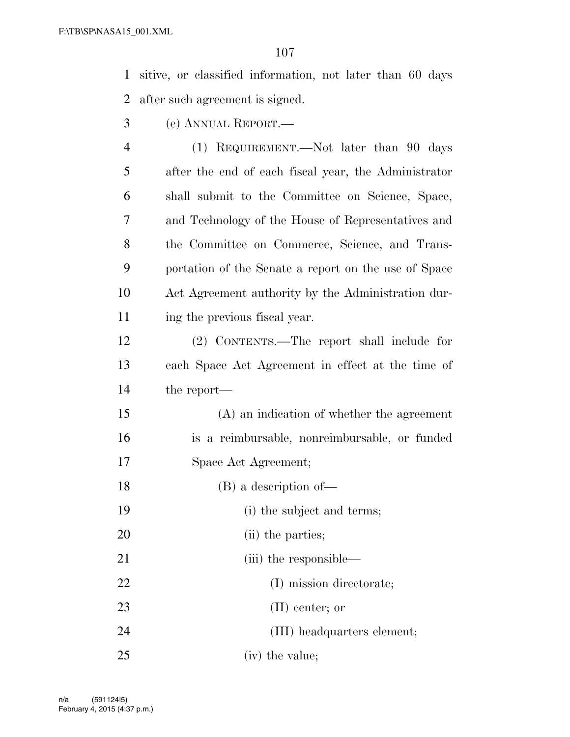sitive, or classified information, not later than 60 days after such agreement is signed.

(e) ANNUAL REPORT.—

 (1) REQUIREMENT.—Not later than 90 days after the end of each fiscal year, the Administrator shall submit to the Committee on Science, Space, and Technology of the House of Representatives and the Committee on Commerce, Science, and Trans- portation of the Senate a report on the use of Space Act Agreement authority by the Administration dur-ing the previous fiscal year.

 (2) CONTENTS.—The report shall include for each Space Act Agreement in effect at the time of the report—

 (A) an indication of whether the agreement is a reimbursable, nonreimbursable, or funded Space Act Agreement;

- (B) a description of—
- (i) the subject and terms;
- 20 (ii) the parties;
- 21 (iii) the responsible— 22 (I) mission directorate; (II) center; or (III) headquarters element; 25 (iv) the value;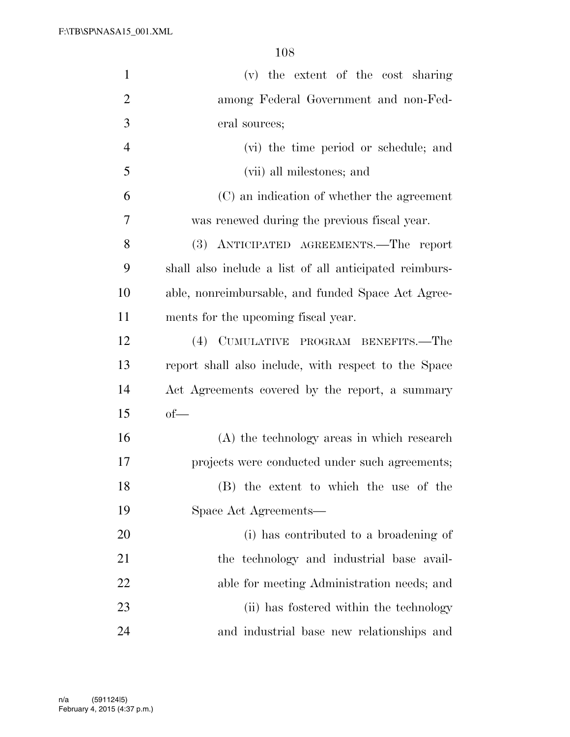| $\mathbf{1}$   | (v) the extent of the cost sharing                     |
|----------------|--------------------------------------------------------|
| $\overline{2}$ | among Federal Government and non-Fed-                  |
| 3              | eral sources;                                          |
| $\overline{4}$ | (vi) the time period or schedule; and                  |
| 5              | (vii) all milestones; and                              |
| 6              | (C) an indication of whether the agreement             |
| 7              | was renewed during the previous fiscal year.           |
| 8              | (3) ANTICIPATED AGREEMENTS.—The report                 |
| 9              | shall also include a list of all anticipated reimburs- |
| 10             | able, nonreimbursable, and funded Space Act Agree-     |
| 11             | ments for the upcoming fiscal year.                    |
| 12             | (4) CUMULATIVE PROGRAM BENEFITS.—The                   |
| 13             | report shall also include, with respect to the Space   |
| 14             | Act Agreements covered by the report, a summary        |
| 15             | $of$ —                                                 |
| 16             | (A) the technology areas in which research             |
| 17             | projects were conducted under such agreements;         |
| 18             | (B) the extent to which the use of the                 |
| 19             | Space Act Agreements—                                  |
| 20             | (i) has contributed to a broadening of                 |
| 21             | the technology and industrial base avail-              |
| 22             | able for meeting Administration needs; and             |
| 23             | (ii) has fostered within the technology                |
| 24             | and industrial base new relationships and              |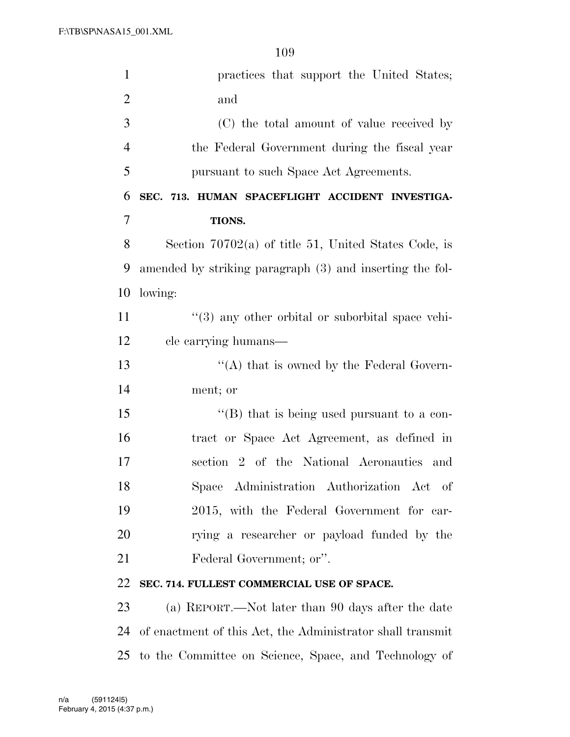| $\mathbf{1}$   | practices that support the United States;                  |
|----------------|------------------------------------------------------------|
| $\mathbf{2}$   | and                                                        |
| 3              | (C) the total amount of value received by                  |
| $\overline{4}$ | the Federal Government during the fiscal year              |
| 5              | pursuant to such Space Act Agreements.                     |
| 6              | SEC. 713. HUMAN SPACEFLIGHT ACCIDENT INVESTIGA-            |
| 7              | TIONS.                                                     |
| 8              | Section $70702(a)$ of title 51, United States Code, is     |
| 9              | amended by striking paragraph (3) and inserting the fol-   |
| 10             | lowing:                                                    |
| 11             | "(3) any other orbital or suborbital space vehi-           |
| 12             | cle carrying humans—                                       |
| 13             | "(A) that is owned by the Federal Govern-                  |
| 14             | ment; or                                                   |
| 15             | "(B) that is being used pursuant to a con-                 |
| 16             | tract or Space Act Agreement, as defined in                |
| 17             | section 2 of the National Aeronautics and                  |
| 18             | Space Administration Authorization Act of                  |
| 19             | 2015, with the Federal Government for car-                 |
| 20             | rying a researcher or payload funded by the                |
| 21             | Federal Government; or".                                   |
| 22             | SEC. 714. FULLEST COMMERCIAL USE OF SPACE.                 |
| 23             | (a) REPORT.—Not later than 90 days after the date          |
| 24             | of enactment of this Act, the Administrator shall transmit |
| 25             | to the Committee on Science, Space, and Technology of      |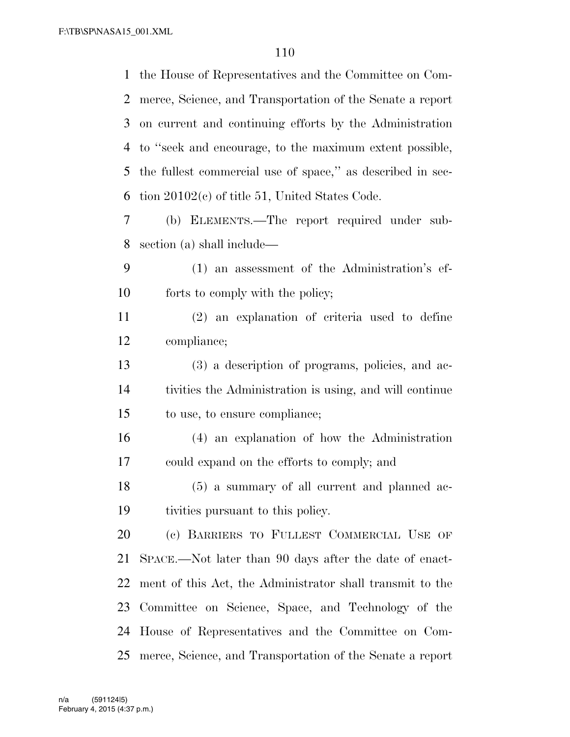the House of Representatives and the Committee on Com- merce, Science, and Transportation of the Senate a report on current and continuing efforts by the Administration to ''seek and encourage, to the maximum extent possible, the fullest commercial use of space,'' as described in sec- tion 20102(c) of title 51, United States Code. (b) ELEMENTS.—The report required under sub- section (a) shall include— (1) an assessment of the Administration's ef- forts to comply with the policy; (2) an explanation of criteria used to define compliance; (3) a description of programs, policies, and ac- tivities the Administration is using, and will continue to use, to ensure compliance; (4) an explanation of how the Administration could expand on the efforts to comply; and (5) a summary of all current and planned ac- tivities pursuant to this policy. (c) BARRIERS TO FULLEST COMMERCIAL USE OF SPACE.—Not later than 90 days after the date of enact- ment of this Act, the Administrator shall transmit to the Committee on Science, Space, and Technology of the House of Representatives and the Committee on Com-merce, Science, and Transportation of the Senate a report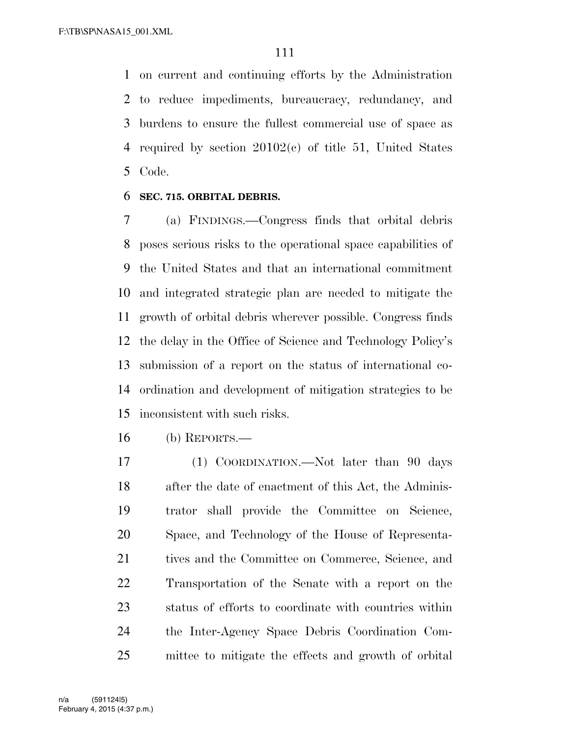on current and continuing efforts by the Administration to reduce impediments, bureaucracy, redundancy, and burdens to ensure the fullest commercial use of space as required by section 20102(c) of title 51, United States Code.

#### **SEC. 715. ORBITAL DEBRIS.**

 (a) FINDINGS.—Congress finds that orbital debris poses serious risks to the operational space capabilities of the United States and that an international commitment and integrated strategic plan are needed to mitigate the growth of orbital debris wherever possible. Congress finds the delay in the Office of Science and Technology Policy's submission of a report on the status of international co- ordination and development of mitigation strategies to be inconsistent with such risks.

(b) REPORTS.—

 (1) COORDINATION.—Not later than 90 days after the date of enactment of this Act, the Adminis- trator shall provide the Committee on Science, Space, and Technology of the House of Representa-21 tives and the Committee on Commerce, Science, and Transportation of the Senate with a report on the status of efforts to coordinate with countries within the Inter-Agency Space Debris Coordination Com-mittee to mitigate the effects and growth of orbital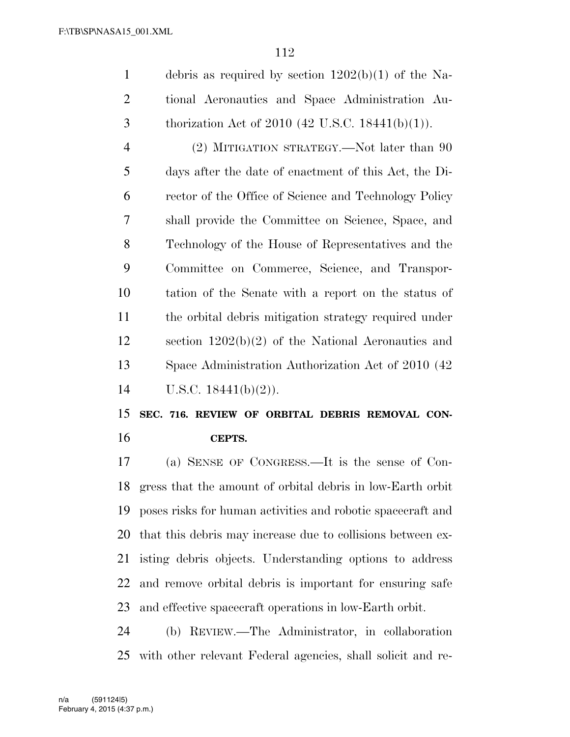debris as required by section 1202(b)(1) of the Na- tional Aeronautics and Space Administration Au-3 thorization Act of 2010 (42 U.S.C. 18441(b)(1)).

4 (2) MITIGATION STRATEGY.—Not later than 90 days after the date of enactment of this Act, the Di- rector of the Office of Science and Technology Policy shall provide the Committee on Science, Space, and Technology of the House of Representatives and the Committee on Commerce, Science, and Transpor- tation of the Senate with a report on the status of the orbital debris mitigation strategy required under section 1202(b)(2) of the National Aeronautics and Space Administration Authorization Act of 2010 (42 U.S.C. 18441(b)(2)).

### **SEC. 716. REVIEW OF ORBITAL DEBRIS REMOVAL CON-CEPTS.**

 (a) SENSE OF CONGRESS.—It is the sense of Con- gress that the amount of orbital debris in low-Earth orbit poses risks for human activities and robotic spacecraft and that this debris may increase due to collisions between ex- isting debris objects. Understanding options to address and remove orbital debris is important for ensuring safe and effective spacecraft operations in low-Earth orbit.

 (b) REVIEW.—The Administrator, in collaboration with other relevant Federal agencies, shall solicit and re-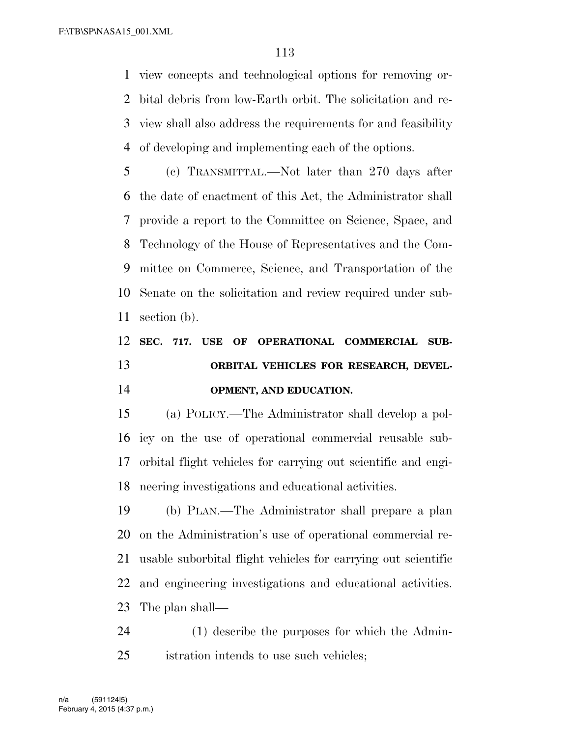view concepts and technological options for removing or- bital debris from low-Earth orbit. The solicitation and re- view shall also address the requirements for and feasibility of developing and implementing each of the options.

 (c) TRANSMITTAL.—Not later than 270 days after the date of enactment of this Act, the Administrator shall provide a report to the Committee on Science, Space, and Technology of the House of Representatives and the Com- mittee on Commerce, Science, and Transportation of the Senate on the solicitation and review required under sub-section (b).

## **SEC. 717. USE OF OPERATIONAL COMMERCIAL SUB- ORBITAL VEHICLES FOR RESEARCH, DEVEL-OPMENT, AND EDUCATION.**

 (a) POLICY.—The Administrator shall develop a pol- icy on the use of operational commercial reusable sub- orbital flight vehicles for carrying out scientific and engi-neering investigations and educational activities.

 (b) PLAN.—The Administrator shall prepare a plan on the Administration's use of operational commercial re- usable suborbital flight vehicles for carrying out scientific and engineering investigations and educational activities. The plan shall—

 (1) describe the purposes for which the Admin-istration intends to use such vehicles;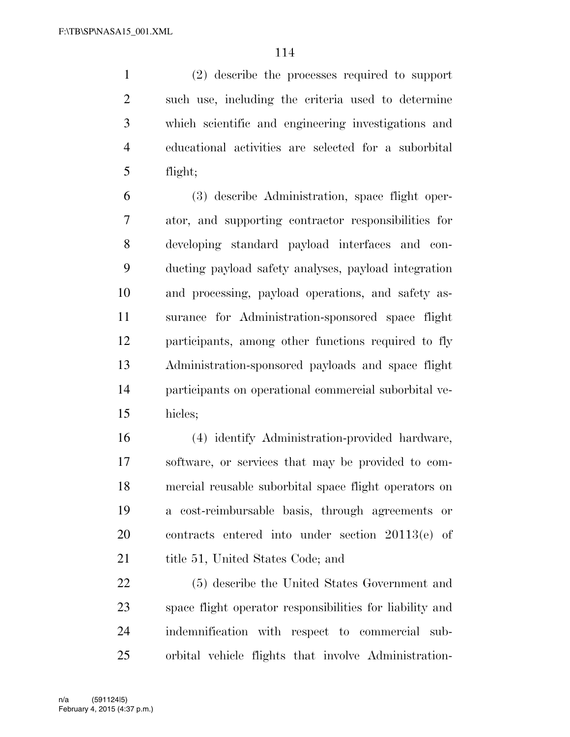(2) describe the processes required to support such use, including the criteria used to determine which scientific and engineering investigations and educational activities are selected for a suborbital flight;

 (3) describe Administration, space flight oper- ator, and supporting contractor responsibilities for developing standard payload interfaces and con- ducting payload safety analyses, payload integration and processing, payload operations, and safety as- surance for Administration-sponsored space flight participants, among other functions required to fly Administration-sponsored payloads and space flight participants on operational commercial suborbital ve-hicles;

 (4) identify Administration-provided hardware, software, or services that may be provided to com- mercial reusable suborbital space flight operators on a cost-reimbursable basis, through agreements or contracts entered into under section 20113(e) of 21 title 51, United States Code; and

 (5) describe the United States Government and space flight operator responsibilities for liability and indemnification with respect to commercial sub-orbital vehicle flights that involve Administration-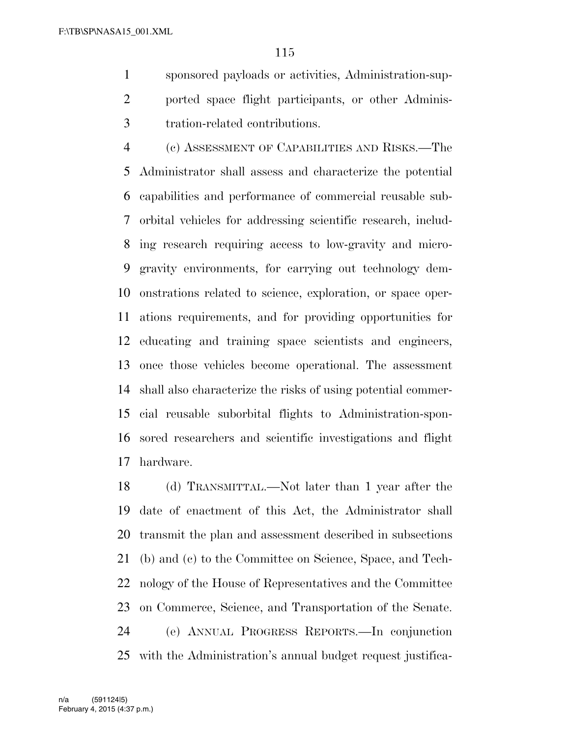sponsored payloads or activities, Administration-sup- ported space flight participants, or other Adminis-tration-related contributions.

 (c) ASSESSMENT OF CAPABILITIES AND RISKS.—The Administrator shall assess and characterize the potential capabilities and performance of commercial reusable sub- orbital vehicles for addressing scientific research, includ- ing research requiring access to low-gravity and micro- gravity environments, for carrying out technology dem- onstrations related to science, exploration, or space oper- ations requirements, and for providing opportunities for educating and training space scientists and engineers, once those vehicles become operational. The assessment shall also characterize the risks of using potential commer- cial reusable suborbital flights to Administration-spon- sored researchers and scientific investigations and flight hardware.

 (d) TRANSMITTAL.—Not later than 1 year after the date of enactment of this Act, the Administrator shall transmit the plan and assessment described in subsections (b) and (c) to the Committee on Science, Space, and Tech- nology of the House of Representatives and the Committee on Commerce, Science, and Transportation of the Senate. (e) ANNUAL PROGRESS REPORTS.—In conjunction with the Administration's annual budget request justifica-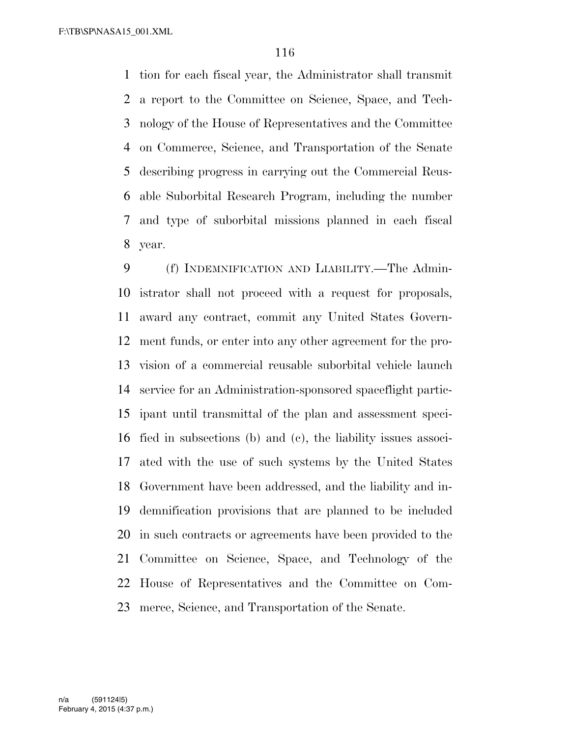tion for each fiscal year, the Administrator shall transmit a report to the Committee on Science, Space, and Tech- nology of the House of Representatives and the Committee on Commerce, Science, and Transportation of the Senate describing progress in carrying out the Commercial Reus- able Suborbital Research Program, including the number and type of suborbital missions planned in each fiscal year.

 (f) INDEMNIFICATION AND LIABILITY.—The Admin- istrator shall not proceed with a request for proposals, award any contract, commit any United States Govern- ment funds, or enter into any other agreement for the pro- vision of a commercial reusable suborbital vehicle launch service for an Administration-sponsored spaceflight partic- ipant until transmittal of the plan and assessment speci- fied in subsections (b) and (c), the liability issues associ- ated with the use of such systems by the United States Government have been addressed, and the liability and in- demnification provisions that are planned to be included in such contracts or agreements have been provided to the Committee on Science, Space, and Technology of the House of Representatives and the Committee on Com-merce, Science, and Transportation of the Senate.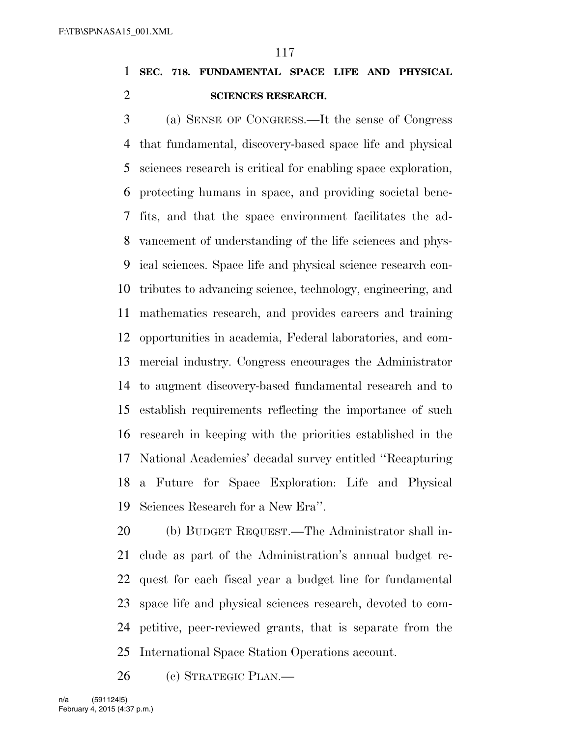## **SEC. 718. FUNDAMENTAL SPACE LIFE AND PHYSICAL SCIENCES RESEARCH.**

 (a) SENSE OF CONGRESS.—It the sense of Congress that fundamental, discovery-based space life and physical sciences research is critical for enabling space exploration, protecting humans in space, and providing societal bene- fits, and that the space environment facilitates the ad- vancement of understanding of the life sciences and phys- ical sciences. Space life and physical science research con- tributes to advancing science, technology, engineering, and mathematics research, and provides careers and training opportunities in academia, Federal laboratories, and com- mercial industry. Congress encourages the Administrator to augment discovery-based fundamental research and to establish requirements reflecting the importance of such research in keeping with the priorities established in the National Academies' decadal survey entitled ''Recapturing a Future for Space Exploration: Life and Physical Sciences Research for a New Era''.

 (b) BUDGET REQUEST.—The Administrator shall in- clude as part of the Administration's annual budget re- quest for each fiscal year a budget line for fundamental space life and physical sciences research, devoted to com- petitive, peer-reviewed grants, that is separate from the International Space Station Operations account.

26 (e) STRATEGIC PLAN.—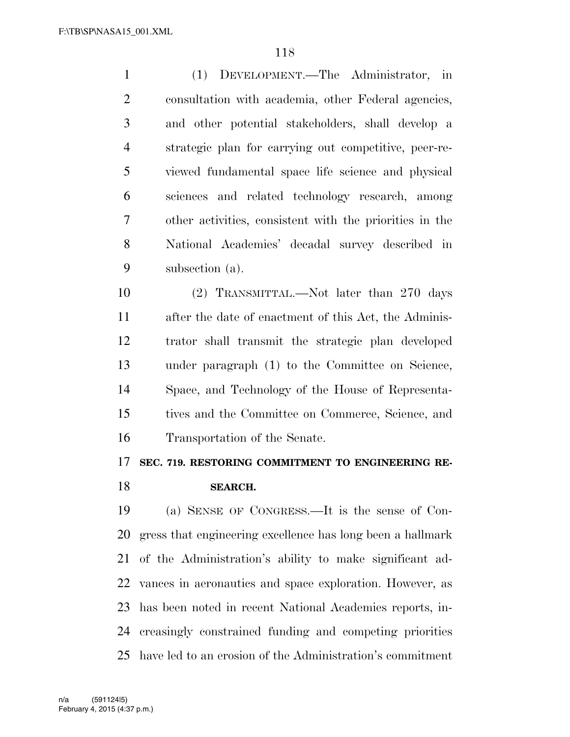(1) DEVELOPMENT.—The Administrator, in consultation with academia, other Federal agencies, and other potential stakeholders, shall develop a strategic plan for carrying out competitive, peer-re- viewed fundamental space life science and physical sciences and related technology research, among other activities, consistent with the priorities in the National Academies' decadal survey described in subsection (a).

 (2) TRANSMITTAL.—Not later than 270 days after the date of enactment of this Act, the Adminis- trator shall transmit the strategic plan developed under paragraph (1) to the Committee on Science, Space, and Technology of the House of Representa- tives and the Committee on Commerce, Science, and Transportation of the Senate.

#### **SEC. 719. RESTORING COMMITMENT TO ENGINEERING RE-**

#### **SEARCH.**

 (a) SENSE OF CONGRESS.—It is the sense of Con- gress that engineering excellence has long been a hallmark of the Administration's ability to make significant ad- vances in aeronautics and space exploration. However, as has been noted in recent National Academies reports, in- creasingly constrained funding and competing priorities have led to an erosion of the Administration's commitment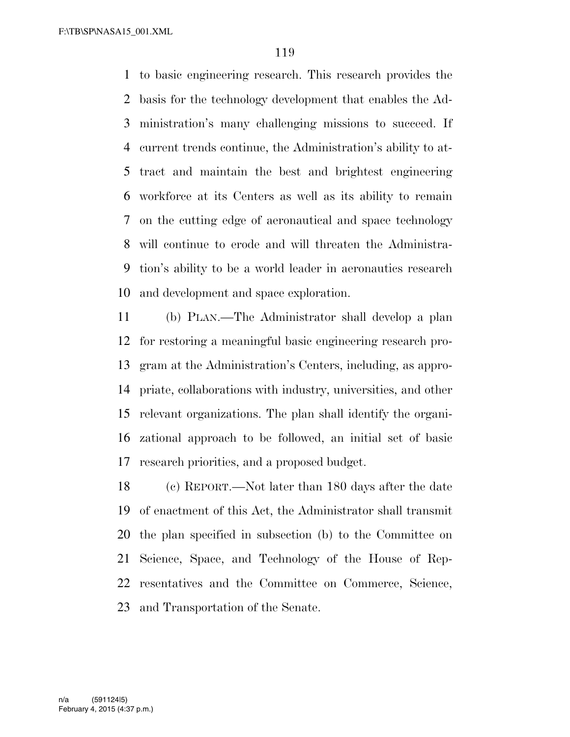to basic engineering research. This research provides the basis for the technology development that enables the Ad- ministration's many challenging missions to succeed. If current trends continue, the Administration's ability to at- tract and maintain the best and brightest engineering workforce at its Centers as well as its ability to remain on the cutting edge of aeronautical and space technology will continue to erode and will threaten the Administra- tion's ability to be a world leader in aeronautics research and development and space exploration.

 (b) PLAN.—The Administrator shall develop a plan for restoring a meaningful basic engineering research pro- gram at the Administration's Centers, including, as appro- priate, collaborations with industry, universities, and other relevant organizations. The plan shall identify the organi- zational approach to be followed, an initial set of basic research priorities, and a proposed budget.

 (c) REPORT.—Not later than 180 days after the date of enactment of this Act, the Administrator shall transmit the plan specified in subsection (b) to the Committee on Science, Space, and Technology of the House of Rep- resentatives and the Committee on Commerce, Science, and Transportation of the Senate.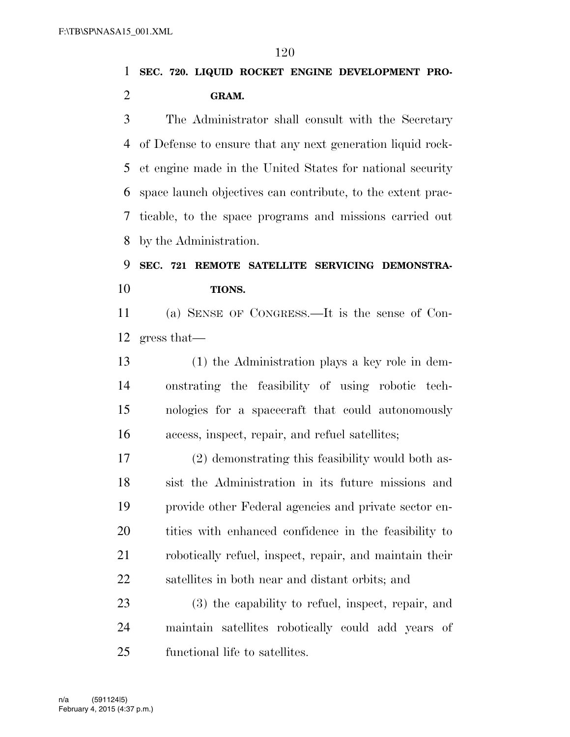**SEC. 720. LIQUID ROCKET ENGINE DEVELOPMENT PRO-GRAM.** 

 The Administrator shall consult with the Secretary of Defense to ensure that any next generation liquid rock- et engine made in the United States for national security space launch objectives can contribute, to the extent prac- ticable, to the space programs and missions carried out by the Administration.

 **SEC. 721 REMOTE SATELLITE SERVICING DEMONSTRA-TIONS.** 

 (a) SENSE OF CONGRESS.—It is the sense of Con-gress that—

 (1) the Administration plays a key role in dem- onstrating the feasibility of using robotic tech- nologies for a spacecraft that could autonomously access, inspect, repair, and refuel satellites;

 (2) demonstrating this feasibility would both as- sist the Administration in its future missions and provide other Federal agencies and private sector en- tities with enhanced confidence in the feasibility to robotically refuel, inspect, repair, and maintain their satellites in both near and distant orbits; and

 (3) the capability to refuel, inspect, repair, and maintain satellites robotically could add years of functional life to satellites.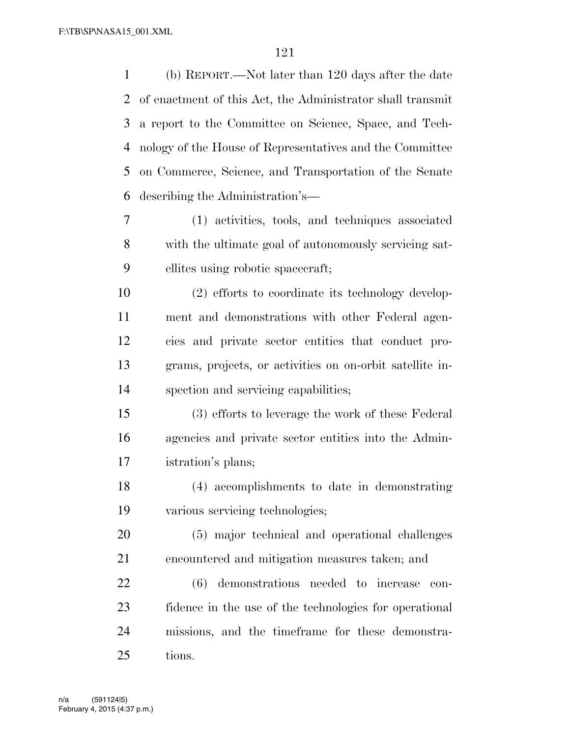(b) REPORT.—Not later than 120 days after the date of enactment of this Act, the Administrator shall transmit a report to the Committee on Science, Space, and Tech- nology of the House of Representatives and the Committee on Commerce, Science, and Transportation of the Senate describing the Administration's— (1) activities, tools, and techniques associated with the ultimate goal of autonomously servicing sat-ellites using robotic spacecraft;

 (2) efforts to coordinate its technology develop- ment and demonstrations with other Federal agen- cies and private sector entities that conduct pro- grams, projects, or activities on on-orbit satellite in-spection and servicing capabilities;

 (3) efforts to leverage the work of these Federal agencies and private sector entities into the Admin-istration's plans;

 (4) accomplishments to date in demonstrating various servicing technologies;

 (5) major technical and operational challenges encountered and mitigation measures taken; and

 (6) demonstrations needed to increase con- fidence in the use of the technologies for operational missions, and the timeframe for these demonstra-tions.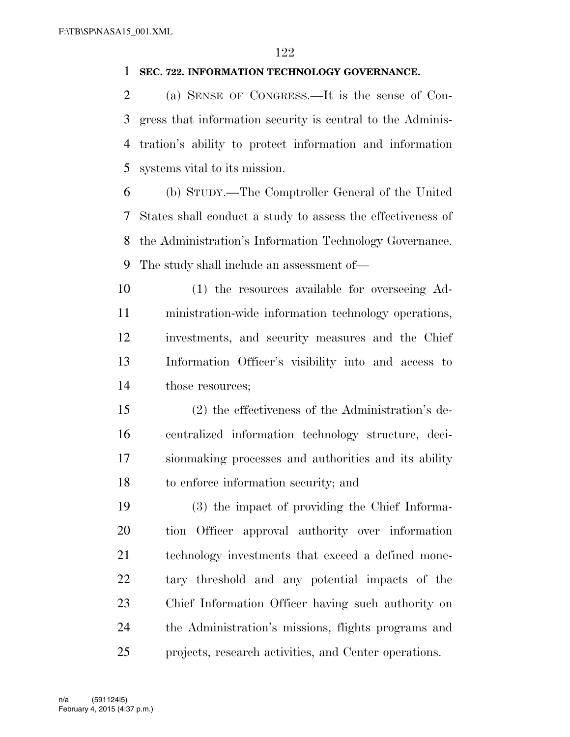#### **SEC. 722. INFORMATION TECHNOLOGY GOVERNANCE.**

 (a) SENSE OF CONGRESS.—It is the sense of Con- gress that information security is central to the Adminis- tration's ability to protect information and information systems vital to its mission.

 (b) STUDY.—The Comptroller General of the United States shall conduct a study to assess the effectiveness of the Administration's Information Technology Governance. The study shall include an assessment of—

 (1) the resources available for overseeing Ad- ministration-wide information technology operations, investments, and security measures and the Chief Information Officer's visibility into and access to 14 those resources;

 (2) the effectiveness of the Administration's de- centralized information technology structure, deci- sionmaking processes and authorities and its ability to enforce information security; and

 (3) the impact of providing the Chief Informa- tion Officer approval authority over information technology investments that exceed a defined mone- tary threshold and any potential impacts of the Chief Information Officer having such authority on the Administration's missions, flights programs and projects, research activities, and Center operations.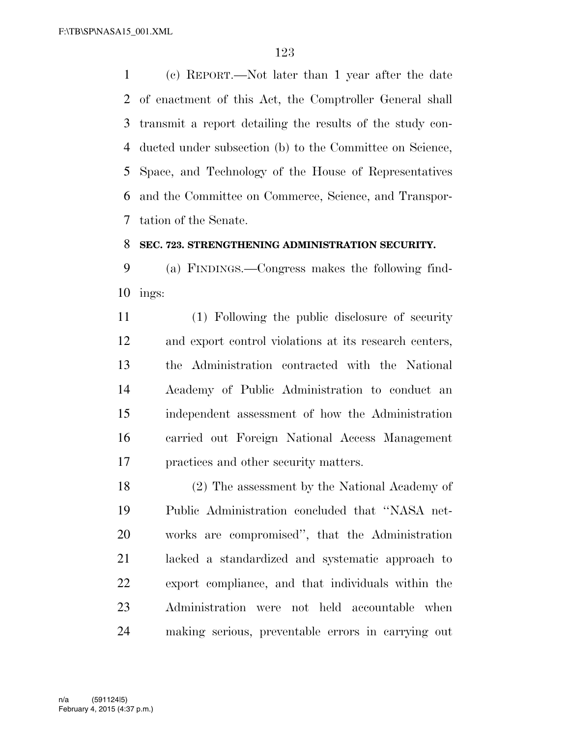(c) REPORT.—Not later than 1 year after the date of enactment of this Act, the Comptroller General shall transmit a report detailing the results of the study con- ducted under subsection (b) to the Committee on Science, Space, and Technology of the House of Representatives and the Committee on Commerce, Science, and Transpor-tation of the Senate.

#### **SEC. 723. STRENGTHENING ADMINISTRATION SECURITY.**

 (a) FINDINGS.—Congress makes the following find-ings:

 (1) Following the public disclosure of security and export control violations at its research centers, the Administration contracted with the National Academy of Public Administration to conduct an independent assessment of how the Administration carried out Foreign National Access Management practices and other security matters.

 (2) The assessment by the National Academy of Public Administration concluded that ''NASA net- works are compromised'', that the Administration lacked a standardized and systematic approach to export compliance, and that individuals within the Administration were not held accountable when making serious, preventable errors in carrying out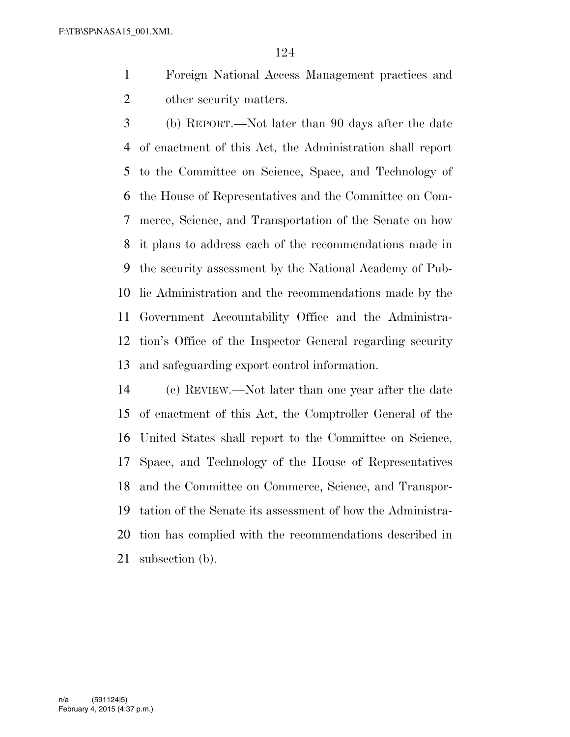- Foreign National Access Management practices and other security matters.
- (b) REPORT.—Not later than 90 days after the date of enactment of this Act, the Administration shall report to the Committee on Science, Space, and Technology of the House of Representatives and the Committee on Com- merce, Science, and Transportation of the Senate on how it plans to address each of the recommendations made in the security assessment by the National Academy of Pub- lic Administration and the recommendations made by the Government Accountability Office and the Administra- tion's Office of the Inspector General regarding security and safeguarding export control information.
- (c) REVIEW.—Not later than one year after the date of enactment of this Act, the Comptroller General of the United States shall report to the Committee on Science, Space, and Technology of the House of Representatives and the Committee on Commerce, Science, and Transpor- tation of the Senate its assessment of how the Administra- tion has complied with the recommendations described in subsection (b).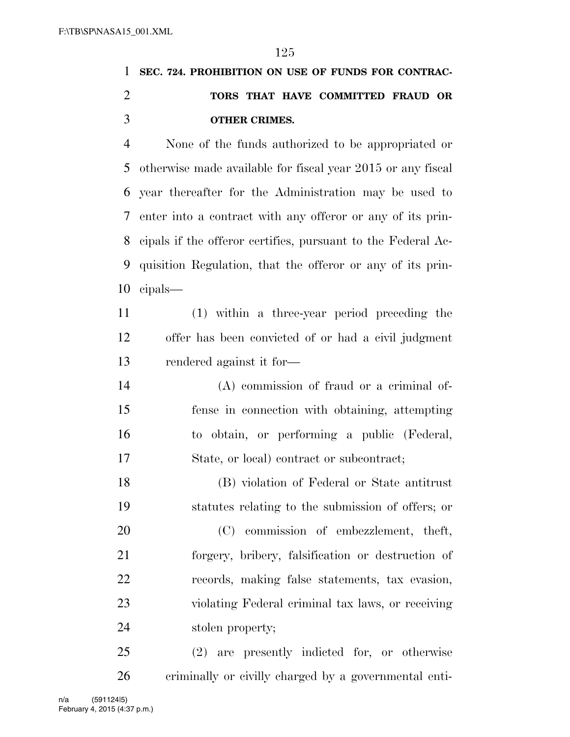# **SEC. 724. PROHIBITION ON USE OF FUNDS FOR CONTRAC- TORS THAT HAVE COMMITTED FRAUD OR OTHER CRIMES.**

 None of the funds authorized to be appropriated or otherwise made available for fiscal year 2015 or any fiscal year thereafter for the Administration may be used to enter into a contract with any offeror or any of its prin- cipals if the offeror certifies, pursuant to the Federal Ac- quisition Regulation, that the offeror or any of its prin-cipals—

 (1) within a three-year period preceding the offer has been convicted of or had a civil judgment rendered against it for—

 (A) commission of fraud or a criminal of- fense in connection with obtaining, attempting to obtain, or performing a public (Federal, State, or local) contract or subcontract;

 (B) violation of Federal or State antitrust statutes relating to the submission of offers; or

 (C) commission of embezzlement, theft, forgery, bribery, falsification or destruction of records, making false statements, tax evasion, violating Federal criminal tax laws, or receiving stolen property;

 (2) are presently indicted for, or otherwise criminally or civilly charged by a governmental enti-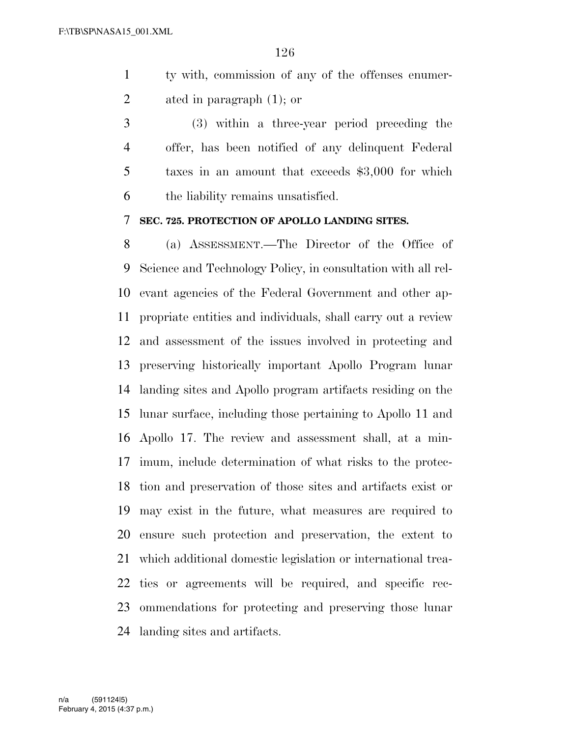- ty with, commission of any of the offenses enumer-ated in paragraph (1); or
- (3) within a three-year period preceding the offer, has been notified of any delinquent Federal taxes in an amount that exceeds \$3,000 for which the liability remains unsatisfied.

#### **SEC. 725. PROTECTION OF APOLLO LANDING SITES.**

 (a) ASSESSMENT.—The Director of the Office of Science and Technology Policy, in consultation with all rel- evant agencies of the Federal Government and other ap- propriate entities and individuals, shall carry out a review and assessment of the issues involved in protecting and preserving historically important Apollo Program lunar landing sites and Apollo program artifacts residing on the lunar surface, including those pertaining to Apollo 11 and Apollo 17. The review and assessment shall, at a min- imum, include determination of what risks to the protec- tion and preservation of those sites and artifacts exist or may exist in the future, what measures are required to ensure such protection and preservation, the extent to which additional domestic legislation or international trea- ties or agreements will be required, and specific rec- ommendations for protecting and preserving those lunar landing sites and artifacts.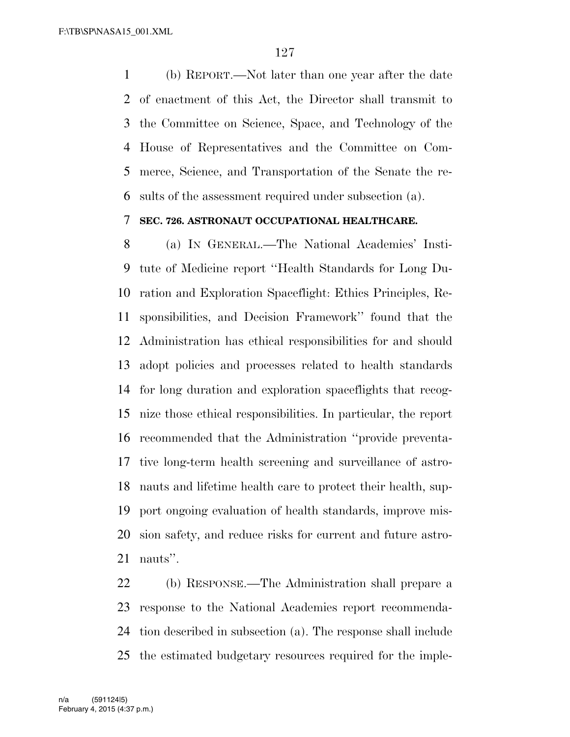(b) REPORT.—Not later than one year after the date of enactment of this Act, the Director shall transmit to the Committee on Science, Space, and Technology of the House of Representatives and the Committee on Com- merce, Science, and Transportation of the Senate the re-sults of the assessment required under subsection (a).

#### **SEC. 726. ASTRONAUT OCCUPATIONAL HEALTHCARE.**

 (a) IN GENERAL.—The National Academies' Insti- tute of Medicine report ''Health Standards for Long Du- ration and Exploration Spaceflight: Ethics Principles, Re- sponsibilities, and Decision Framework'' found that the Administration has ethical responsibilities for and should adopt policies and processes related to health standards for long duration and exploration spaceflights that recog- nize those ethical responsibilities. In particular, the report recommended that the Administration ''provide preventa- tive long-term health screening and surveillance of astro- nauts and lifetime health care to protect their health, sup- port ongoing evaluation of health standards, improve mis- sion safety, and reduce risks for current and future astro-nauts''.

 (b) RESPONSE.—The Administration shall prepare a response to the National Academies report recommenda- tion described in subsection (a). The response shall include the estimated budgetary resources required for the imple-